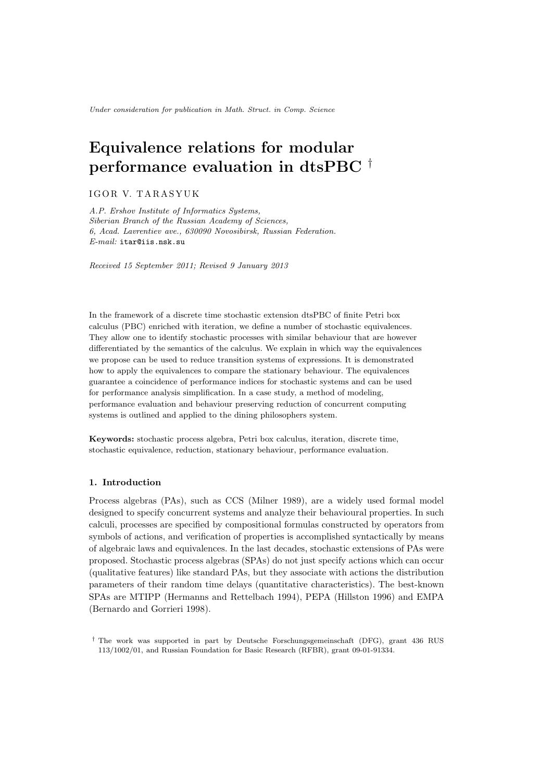Under consideration for publication in Math. Struct. in Comp. Science

# Equivalence relations for modular performance evaluation in dtsPBC †

IGOR V. TARASYUK

*A.P. Ershov Institute of Informatics Systems, Siberian Branch of the Russian Academy of Sciences, 6, Acad. Lavrentiev ave., 630090 Novosibirsk, Russian Federation. E-mail:* itar@iis.nsk.su

*Received 15 September 2011; Revised 9 January 2013*

In the framework of a discrete time stochastic extension dtsPBC of finite Petri box calculus (PBC) enriched with iteration, we define a number of stochastic equivalences. They allow one to identify stochastic processes with similar behaviour that are however differentiated by the semantics of the calculus. We explain in which way the equivalences we propose can be used to reduce transition systems of expressions. It is demonstrated how to apply the equivalences to compare the stationary behaviour. The equivalences guarantee a coincidence of performance indices for stochastic systems and can be used for performance analysis simplification. In a case study, a method of modeling, performance evaluation and behaviour preserving reduction of concurrent computing systems is outlined and applied to the dining philosophers system.

Keywords: stochastic process algebra, Petri box calculus, iteration, discrete time, stochastic equivalence, reduction, stationary behaviour, performance evaluation.

# 1. Introduction

Process algebras (PAs), such as CCS (Milner 1989), are a widely used formal model designed to specify concurrent systems and analyze their behavioural properties. In such calculi, processes are specified by compositional formulas constructed by operators from symbols of actions, and verification of properties is accomplished syntactically by means of algebraic laws and equivalences. In the last decades, stochastic extensions of PAs were proposed. Stochastic process algebras (SPAs) do not just specify actions which can occur (qualitative features) like standard PAs, but they associate with actions the distribution parameters of their random time delays (quantitative characteristics). The best-known SPAs are MTIPP (Hermanns and Rettelbach 1994), PEPA (Hillston 1996) and EMPA (Bernardo and Gorrieri 1998).

<sup>†</sup> The work was supported in part by Deutsche Forschungsgemeinschaft (DFG), grant 436 RUS 113/1002/01, and Russian Foundation for Basic Research (RFBR), grant 09-01-91334.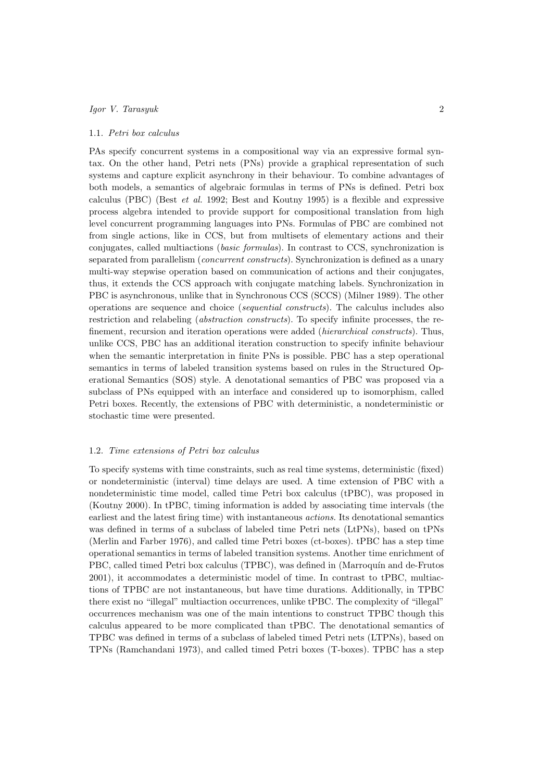## 1.1. Petri box calculus

PAs specify concurrent systems in a compositional way via an expressive formal syntax. On the other hand, Petri nets (PNs) provide a graphical representation of such systems and capture explicit asynchrony in their behaviour. To combine advantages of both models, a semantics of algebraic formulas in terms of PNs is defined. Petri box calculus (PBC) (Best et al. 1992; Best and Koutny 1995) is a flexible and expressive process algebra intended to provide support for compositional translation from high level concurrent programming languages into PNs. Formulas of PBC are combined not from single actions, like in CCS, but from multisets of elementary actions and their conjugates, called multiactions (basic formulas). In contrast to CCS, synchronization is separated from parallelism (concurrent constructs). Synchronization is defined as a unary multi-way stepwise operation based on communication of actions and their conjugates, thus, it extends the CCS approach with conjugate matching labels. Synchronization in PBC is asynchronous, unlike that in Synchronous CCS (SCCS) (Milner 1989). The other operations are sequence and choice (sequential constructs). The calculus includes also restriction and relabeling (abstraction constructs). To specify infinite processes, the refinement, recursion and iteration operations were added (hierarchical constructs). Thus, unlike CCS, PBC has an additional iteration construction to specify infinite behaviour when the semantic interpretation in finite PNs is possible. PBC has a step operational semantics in terms of labeled transition systems based on rules in the Structured Operational Semantics (SOS) style. A denotational semantics of PBC was proposed via a subclass of PNs equipped with an interface and considered up to isomorphism, called Petri boxes. Recently, the extensions of PBC with deterministic, a nondeterministic or stochastic time were presented.

# 1.2. Time extensions of Petri box calculus

To specify systems with time constraints, such as real time systems, deterministic (fixed) or nondeterministic (interval) time delays are used. A time extension of PBC with a nondeterministic time model, called time Petri box calculus (tPBC), was proposed in (Koutny 2000). In tPBC, timing information is added by associating time intervals (the earliest and the latest firing time) with instantaneous actions. Its denotational semantics was defined in terms of a subclass of labeled time Petri nets (LtPNs), based on tPNs (Merlin and Farber 1976), and called time Petri boxes (ct-boxes). tPBC has a step time operational semantics in terms of labeled transition systems. Another time enrichment of PBC, called timed Petri box calculus (TPBC), was defined in (Marroquín and de-Frutos 2001), it accommodates a deterministic model of time. In contrast to tPBC, multiactions of TPBC are not instantaneous, but have time durations. Additionally, in TPBC there exist no "illegal" multiaction occurrences, unlike tPBC. The complexity of "illegal" occurrences mechanism was one of the main intentions to construct TPBC though this calculus appeared to be more complicated than tPBC. The denotational semantics of TPBC was defined in terms of a subclass of labeled timed Petri nets (LTPNs), based on TPNs (Ramchandani 1973), and called timed Petri boxes (T-boxes). TPBC has a step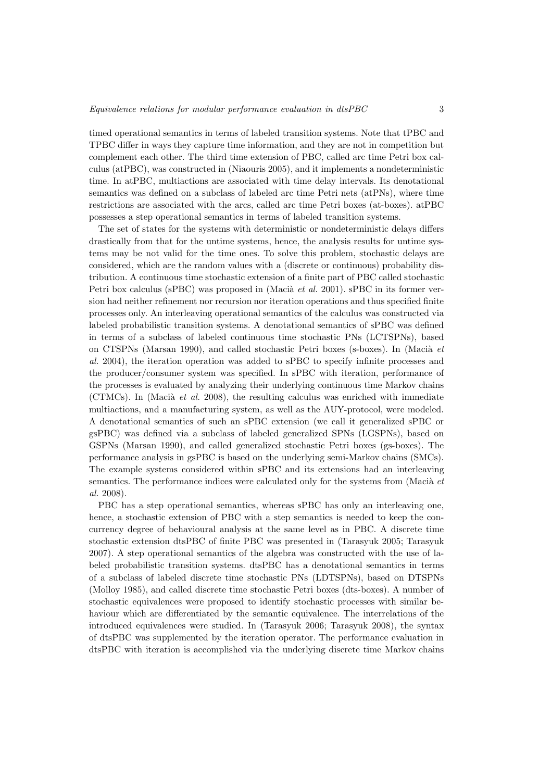timed operational semantics in terms of labeled transition systems. Note that tPBC and TPBC differ in ways they capture time information, and they are not in competition but complement each other. The third time extension of PBC, called arc time Petri box calculus (atPBC), was constructed in (Niaouris 2005), and it implements a nondeterministic time. In atPBC, multiactions are associated with time delay intervals. Its denotational semantics was defined on a subclass of labeled arc time Petri nets (atPNs), where time restrictions are associated with the arcs, called arc time Petri boxes (at-boxes). atPBC possesses a step operational semantics in terms of labeled transition systems.

The set of states for the systems with deterministic or nondeterministic delays differs drastically from that for the untime systems, hence, the analysis results for untime systems may be not valid for the time ones. To solve this problem, stochastic delays are considered, which are the random values with a (discrete or continuous) probability distribution. A continuous time stochastic extension of a finite part of PBC called stochastic Petri box calculus (sPBC) was proposed in (Macià *et al.* 2001). sPBC in its former version had neither refinement nor recursion nor iteration operations and thus specified finite processes only. An interleaving operational semantics of the calculus was constructed via labeled probabilistic transition systems. A denotational semantics of sPBC was defined in terms of a subclass of labeled continuous time stochastic PNs (LCTSPNs), based on CTSPNs (Marsan 1990), and called stochastic Petri boxes (s-boxes). In (Macia  $et$ al. 2004), the iteration operation was added to sPBC to specify infinite processes and the producer/consumer system was specified. In sPBC with iteration, performance of the processes is evaluated by analyzing their underlying continuous time Markov chains (CTMCs). In (Macia *et al.* 2008), the resulting calculus was enriched with immediate multiactions, and a manufacturing system, as well as the AUY-protocol, were modeled. A denotational semantics of such an sPBC extension (we call it generalized sPBC or gsPBC) was defined via a subclass of labeled generalized SPNs (LGSPNs), based on GSPNs (Marsan 1990), and called generalized stochastic Petri boxes (gs-boxes). The performance analysis in gsPBC is based on the underlying semi-Markov chains (SMCs). The example systems considered within sPBC and its extensions had an interleaving semantics. The performance indices were calculated only for the systems from (Macia  $et$ al. 2008).

PBC has a step operational semantics, whereas sPBC has only an interleaving one, hence, a stochastic extension of PBC with a step semantics is needed to keep the concurrency degree of behavioural analysis at the same level as in PBC. A discrete time stochastic extension dtsPBC of finite PBC was presented in (Tarasyuk 2005; Tarasyuk 2007). A step operational semantics of the algebra was constructed with the use of labeled probabilistic transition systems. dtsPBC has a denotational semantics in terms of a subclass of labeled discrete time stochastic PNs (LDTSPNs), based on DTSPNs (Molloy 1985), and called discrete time stochastic Petri boxes (dts-boxes). A number of stochastic equivalences were proposed to identify stochastic processes with similar behaviour which are differentiated by the semantic equivalence. The interrelations of the introduced equivalences were studied. In (Tarasyuk 2006; Tarasyuk 2008), the syntax of dtsPBC was supplemented by the iteration operator. The performance evaluation in dtsPBC with iteration is accomplished via the underlying discrete time Markov chains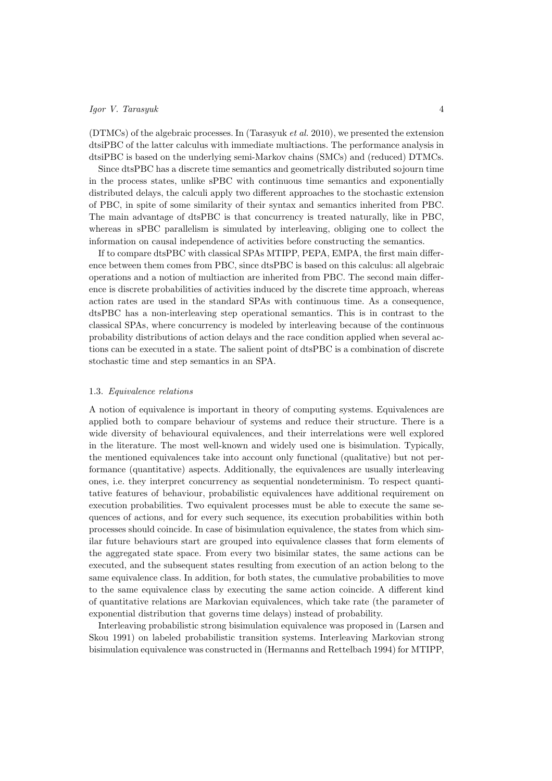(DTMCs) of the algebraic processes. In (Tarasyuk et al. 2010), we presented the extension dtsiPBC of the latter calculus with immediate multiactions. The performance analysis in dtsiPBC is based on the underlying semi-Markov chains (SMCs) and (reduced) DTMCs.

Since dtsPBC has a discrete time semantics and geometrically distributed sojourn time in the process states, unlike sPBC with continuous time semantics and exponentially distributed delays, the calculi apply two different approaches to the stochastic extension of PBC, in spite of some similarity of their syntax and semantics inherited from PBC. The main advantage of dtsPBC is that concurrency is treated naturally, like in PBC, whereas in sPBC parallelism is simulated by interleaving, obliging one to collect the information on causal independence of activities before constructing the semantics.

If to compare dtsPBC with classical SPAs MTIPP, PEPA, EMPA, the first main difference between them comes from PBC, since dtsPBC is based on this calculus: all algebraic operations and a notion of multiaction are inherited from PBC. The second main difference is discrete probabilities of activities induced by the discrete time approach, whereas action rates are used in the standard SPAs with continuous time. As a consequence, dtsPBC has a non-interleaving step operational semantics. This is in contrast to the classical SPAs, where concurrency is modeled by interleaving because of the continuous probability distributions of action delays and the race condition applied when several actions can be executed in a state. The salient point of dtsPBC is a combination of discrete stochastic time and step semantics in an SPA.

# 1.3. Equivalence relations

A notion of equivalence is important in theory of computing systems. Equivalences are applied both to compare behaviour of systems and reduce their structure. There is a wide diversity of behavioural equivalences, and their interrelations were well explored in the literature. The most well-known and widely used one is bisimulation. Typically, the mentioned equivalences take into account only functional (qualitative) but not performance (quantitative) aspects. Additionally, the equivalences are usually interleaving ones, i.e. they interpret concurrency as sequential nondeterminism. To respect quantitative features of behaviour, probabilistic equivalences have additional requirement on execution probabilities. Two equivalent processes must be able to execute the same sequences of actions, and for every such sequence, its execution probabilities within both processes should coincide. In case of bisimulation equivalence, the states from which similar future behaviours start are grouped into equivalence classes that form elements of the aggregated state space. From every two bisimilar states, the same actions can be executed, and the subsequent states resulting from execution of an action belong to the same equivalence class. In addition, for both states, the cumulative probabilities to move to the same equivalence class by executing the same action coincide. A different kind of quantitative relations are Markovian equivalences, which take rate (the parameter of exponential distribution that governs time delays) instead of probability.

Interleaving probabilistic strong bisimulation equivalence was proposed in (Larsen and Skou 1991) on labeled probabilistic transition systems. Interleaving Markovian strong bisimulation equivalence was constructed in (Hermanns and Rettelbach 1994) for MTIPP,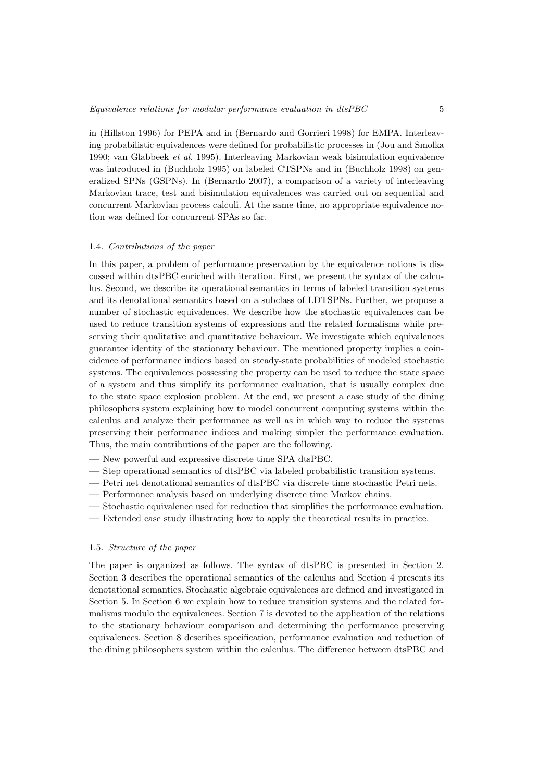in (Hillston 1996) for PEPA and in (Bernardo and Gorrieri 1998) for EMPA. Interleaving probabilistic equivalences were defined for probabilistic processes in (Jou and Smolka 1990; van Glabbeek et al. 1995). Interleaving Markovian weak bisimulation equivalence was introduced in (Buchholz 1995) on labeled CTSPNs and in (Buchholz 1998) on generalized SPNs (GSPNs). In (Bernardo 2007), a comparison of a variety of interleaving Markovian trace, test and bisimulation equivalences was carried out on sequential and concurrent Markovian process calculi. At the same time, no appropriate equivalence notion was defined for concurrent SPAs so far.

# 1.4. Contributions of the paper

In this paper, a problem of performance preservation by the equivalence notions is discussed within dtsPBC enriched with iteration. First, we present the syntax of the calculus. Second, we describe its operational semantics in terms of labeled transition systems and its denotational semantics based on a subclass of LDTSPNs. Further, we propose a number of stochastic equivalences. We describe how the stochastic equivalences can be used to reduce transition systems of expressions and the related formalisms while preserving their qualitative and quantitative behaviour. We investigate which equivalences guarantee identity of the stationary behaviour. The mentioned property implies a coincidence of performance indices based on steady-state probabilities of modeled stochastic systems. The equivalences possessing the property can be used to reduce the state space of a system and thus simplify its performance evaluation, that is usually complex due to the state space explosion problem. At the end, we present a case study of the dining philosophers system explaining how to model concurrent computing systems within the calculus and analyze their performance as well as in which way to reduce the systems preserving their performance indices and making simpler the performance evaluation. Thus, the main contributions of the paper are the following.

- New powerful and expressive discrete time SPA dtsPBC.
- Step operational semantics of dtsPBC via labeled probabilistic transition systems.
- Petri net denotational semantics of dtsPBC via discrete time stochastic Petri nets.
- Performance analysis based on underlying discrete time Markov chains.
- Stochastic equivalence used for reduction that simplifies the performance evaluation.
- Extended case study illustrating how to apply the theoretical results in practice.

# 1.5. Structure of the paper

The paper is organized as follows. The syntax of dtsPBC is presented in Section 2. Section 3 describes the operational semantics of the calculus and Section 4 presents its denotational semantics. Stochastic algebraic equivalences are defined and investigated in Section 5. In Section 6 we explain how to reduce transition systems and the related formalisms modulo the equivalences. Section 7 is devoted to the application of the relations to the stationary behaviour comparison and determining the performance preserving equivalences. Section 8 describes specification, performance evaluation and reduction of the dining philosophers system within the calculus. The difference between dtsPBC and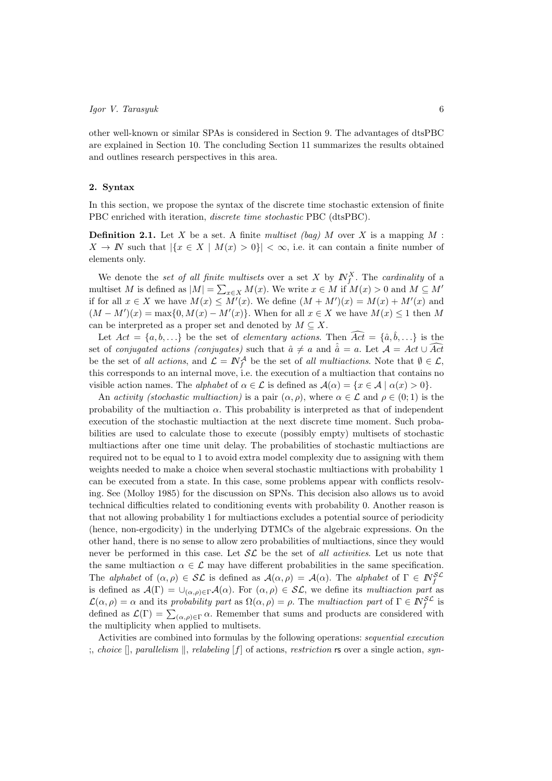other well-known or similar SPAs is considered in Section 9. The advantages of dtsPBC are explained in Section 10. The concluding Section 11 summarizes the results obtained and outlines research perspectives in this area.

# 2. Syntax

In this section, we propose the syntax of the discrete time stochastic extension of finite PBC enriched with iteration, discrete time stochastic PBC (dtsPBC).

**Definition 2.1.** Let X be a set. A finite multiset (bag) M over X is a mapping M :  $X \to \mathbb{N}$  such that  $|\{x \in X \mid M(x) > 0\}| < \infty$ , i.e. it can contain a finite number of elements only.

We denote the set of all finite multisets over a set X by  $N_f^X$ . The cardinality of a multiset M is defined as  $|M| = \sum_{x \in X} M(x)$ . We write  $x \in M$  if  $M(x) > 0$  and  $M \subseteq M'$ if for all  $x \in X$  we have  $M(x) \leq M'(x)$ . We define  $(M + M')(x) = M(x) + M'(x)$  and  $(M - M')(x) = \max\{0, M(x) - M'(x)\}.$  When for all  $x \in X$  we have  $M(x) \leq 1$  then M can be interpreted as a proper set and denoted by  $M \subseteq X$ .

Let  $Act = \{a, b, ...\}$  be the set of *elementary actions*. Then  $\widehat{Act} = \{\hat{a}, \hat{b}, ...\}$  is the set of *conjugated actions (conjugates)* such that  $\hat{a} \neq a$  and  $\hat{a} = a$ . Let  $\mathcal{A} = Act \cup \widehat{Act}$ be the set of all actions, and  $\mathcal{L} = \mathbb{N}_{f}^{\mathcal{A}}$  be the set of all multiactions. Note that  $\emptyset \in \mathcal{L}$ , this corresponds to an internal move, i.e. the execution of a multiaction that contains no visible action names. The *alphabet* of  $\alpha \in \mathcal{L}$  is defined as  $\mathcal{A}(\alpha) = \{x \in \mathcal{A} \mid \alpha(x) > 0\}.$ 

An activity (stochastic multiaction) is a pair  $(\alpha, \rho)$ , where  $\alpha \in \mathcal{L}$  and  $\rho \in (0, 1)$  is the probability of the multiaction  $\alpha$ . This probability is interpreted as that of independent execution of the stochastic multiaction at the next discrete time moment. Such probabilities are used to calculate those to execute (possibly empty) multisets of stochastic multiactions after one time unit delay. The probabilities of stochastic multiactions are required not to be equal to 1 to avoid extra model complexity due to assigning with them weights needed to make a choice when several stochastic multiactions with probability 1 can be executed from a state. In this case, some problems appear with conflicts resolving. See (Molloy 1985) for the discussion on SPNs. This decision also allows us to avoid technical difficulties related to conditioning events with probability 0. Another reason is that not allowing probability 1 for multiactions excludes a potential source of periodicity (hence, non-ergodicity) in the underlying DTMCs of the algebraic expressions. On the other hand, there is no sense to allow zero probabilities of multiactions, since they would never be performed in this case. Let  $\mathcal{SL}$  be the set of all activities. Let us note that the same multiaction  $\alpha \in \mathcal{L}$  may have different probabilities in the same specification. The alphabet of  $(\alpha, \rho) \in \mathcal{SL}$  is defined as  $\mathcal{A}(\alpha, \rho) = \mathcal{A}(\alpha)$ . The alphabet of  $\Gamma \in \mathbb{N}_{f}^{\mathcal{SL}}$ is defined as  $\mathcal{A}(\Gamma) = \bigcup_{(\alpha,\rho)\in\Gamma} \mathcal{A}(\alpha)$ . For  $(\alpha,\rho) \in \mathcal{SL}$ , we define its multiaction part as  $\mathcal{L}(\alpha,\rho) = \alpha$  and its probability part as  $\Omega(\alpha,\rho) = \rho$ . The multiaction part of  $\Gamma \in \mathbb{N}_{f}^{\mathcal{SL}}$  is defined as  $\mathcal{L}(\Gamma) = \sum_{(\alpha,\rho)\in\Gamma} \alpha$ . Remember that sums and products are considered with the multiplicity when applied to multisets.

Activities are combined into formulas by the following operations: sequential execution ;, choice  $\parallel$ , parallelism  $\parallel$ , relabeling [f] of actions, restriction rs over a single action, syn-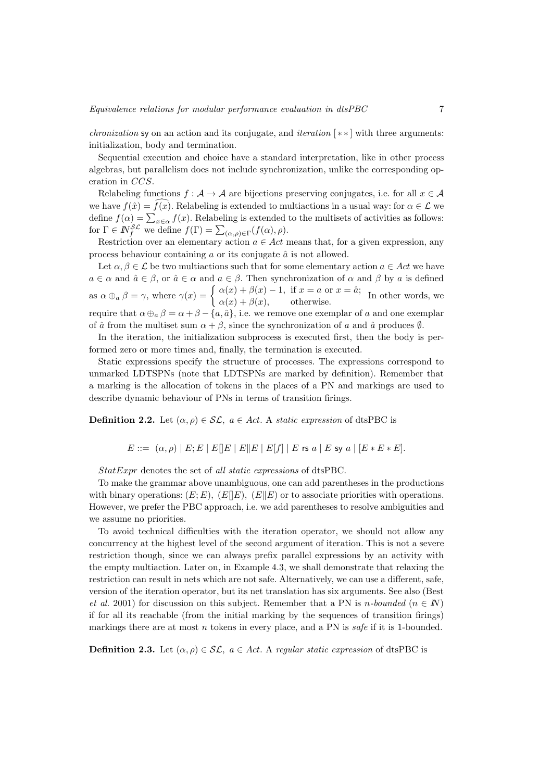*chronization* sy on an action and its conjugate, and *iteration*  $[**]$  with three arguments: initialization, body and termination.

Sequential execution and choice have a standard interpretation, like in other process algebras, but parallelism does not include synchronization, unlike the corresponding operation in CCS.

Relabeling functions  $f : \mathcal{A} \to \mathcal{A}$  are bijections preserving conjugates, i.e. for all  $x \in \mathcal{A}$ we have  $f(\hat{x}) = f(x)$ . Relabeling is extended to multiactions in a usual way: for  $\alpha \in \mathcal{L}$  we define  $f(\alpha) = \sum_{x \in \alpha} f(x)$ . Relabeling is extended to the multisets of activities as follows: for  $\Gamma \in \mathbb{N}_{f}^{\mathcal{SL}}$  we define  $f(\Gamma) = \sum_{(\alpha,\rho) \in \Gamma} (f(\alpha), \rho)$ .

Restriction over an elementary action  $a \in Act$  means that, for a given expression, any process behaviour containing  $a$  or its conjugate  $\hat{a}$  is not allowed.

Let  $\alpha, \beta \in \mathcal{L}$  be two multiactions such that for some elementary action  $a \in Act$  we have  $a \in \alpha$  and  $\hat{a} \in \beta$ , or  $\hat{a} \in \alpha$  and  $a \in \beta$ . Then synchronization of  $\alpha$  and  $\beta$  by  $a$  is defined as  $\alpha \oplus_{a} \beta = \gamma$ , where  $\gamma(x) = \begin{cases} \alpha(x) + \beta(x) - 1, & \text{if } x = a \text{ or } x = \hat{a}; \\ \alpha(x) + \beta(x) & \text{otherwise} \end{cases}$  $\alpha(x) + \beta(x)$ ,  $\alpha(x) + \beta(x)$ , otherwise. In other words, we require that  $\alpha \oplus_a \beta = \alpha + \beta - \{a, \hat{a}\}\$ , i.e. we remove one exemplar of a and one exemplar of  $\hat{a}$  from the multiset sum  $\alpha + \beta$ , since the synchronization of a and  $\hat{a}$  produces  $\emptyset$ .

In the iteration, the initialization subprocess is executed first, then the body is performed zero or more times and, finally, the termination is executed.

Static expressions specify the structure of processes. The expressions correspond to unmarked LDTSPNs (note that LDTSPNs are marked by definition). Remember that a marking is the allocation of tokens in the places of a PN and markings are used to describe dynamic behaviour of PNs in terms of transition firings.

**Definition 2.2.** Let  $(\alpha, \rho) \in \mathcal{SL}$ ,  $a \in Act$ . A *static expression* of dtsPBC is

$$
E ::= (\alpha, \rho) | E; E | E | E | E | E | E | E | f | | E \text{ is a } | E \text{ s y a } | [E * E * E].
$$

StatExpr denotes the set of all static expressions of dtsPBC.

To make the grammar above unambiguous, one can add parentheses in the productions with binary operations:  $(E; E)$ ,  $(E||E)$ ,  $(E||E)$  or to associate priorities with operations. However, we prefer the PBC approach, i.e. we add parentheses to resolve ambiguities and we assume no priorities.

To avoid technical difficulties with the iteration operator, we should not allow any concurrency at the highest level of the second argument of iteration. This is not a severe restriction though, since we can always prefix parallel expressions by an activity with the empty multiaction. Later on, in Example 4.3, we shall demonstrate that relaxing the restriction can result in nets which are not safe. Alternatively, we can use a different, safe, version of the iteration operator, but its net translation has six arguments. See also (Best et al. 2001) for discussion on this subject. Remember that a PN is *n*-bounded ( $n \in \mathbb{N}$ ) if for all its reachable (from the initial marking by the sequences of transition firings) markings there are at most n tokens in every place, and a PN is safe if it is 1-bounded.

**Definition 2.3.** Let  $(\alpha, \rho) \in \mathcal{SL}$ ,  $a \in Act$ . A regular static expression of dtsPBC is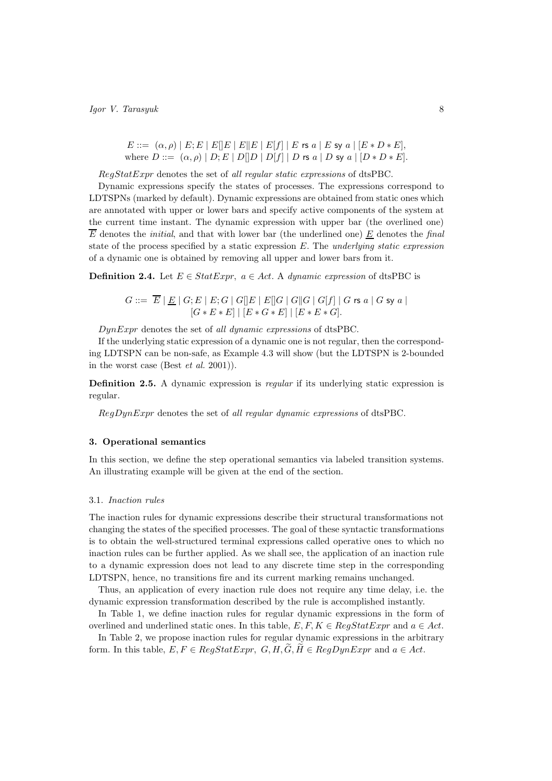$$
E ::= (\alpha, \rho) | E; E | E[|E| | E|E|] | E[f] | E \text{ is a } | E \text{ sy a } | [E * D * E],
$$
  
where  $D ::= (\alpha, \rho) | D; E | D[|D| | D[f] | D \text{ is a } | D \text{ sy a } | [D * D * E].$ 

RegStatExpr denotes the set of all regular static expressions of dtsPBC.

Dynamic expressions specify the states of processes. The expressions correspond to LDTSPNs (marked by default). Dynamic expressions are obtained from static ones which are annotated with upper or lower bars and specify active components of the system at the current time instant. The dynamic expression with upper bar (the overlined one)  $\overline{E}$  denotes the *initial*, and that with lower bar (the underlined one) E denotes the final state of the process specified by a static expression  $E$ . The underlying static expression of a dynamic one is obtained by removing all upper and lower bars from it.

**Definition 2.4.** Let  $E \in StatExpr$ ,  $a \in Act$ . A dynamic expression of dtsPBC is

$$
G ::= \overline{E} | \underline{E} | G; E | E; G | G[]E | E[]G | G[]G | G[f] | G \text{ rs } a | G \text{ sy } a |
$$
  

$$
[G * E * E] | [E * G * E] | [E * E * G].
$$

DynExpr denotes the set of all dynamic expressions of dtsPBC.

If the underlying static expression of a dynamic one is not regular, then the corresponding LDTSPN can be non-safe, as Example 4.3 will show (but the LDTSPN is 2-bounded in the worst case (Best et al. 2001)).

Definition 2.5. A dynamic expression is *regular* if its underlying static expression is regular.

 $RegDynExpr$  denotes the set of all regular dynamic expressions of dtsPBC.

# 3. Operational semantics

In this section, we define the step operational semantics via labeled transition systems. An illustrating example will be given at the end of the section.

#### 3.1. Inaction rules

The inaction rules for dynamic expressions describe their structural transformations not changing the states of the specified processes. The goal of these syntactic transformations is to obtain the well-structured terminal expressions called operative ones to which no inaction rules can be further applied. As we shall see, the application of an inaction rule to a dynamic expression does not lead to any discrete time step in the corresponding LDTSPN, hence, no transitions fire and its current marking remains unchanged.

Thus, an application of every inaction rule does not require any time delay, i.e. the dynamic expression transformation described by the rule is accomplished instantly.

In Table 1, we define inaction rules for regular dynamic expressions in the form of overlined and underlined static ones. In this table,  $E, F, K \in RegStatExpr$  and  $a \in Act$ .

In Table 2, we propose inaction rules for regular dynamic expressions in the arbitrary form. In this table,  $E, F \in RegStatexpr$ ,  $G, H, \widetilde{G}, \widetilde{H} \in RegDynExpr$  and  $a \in Act$ .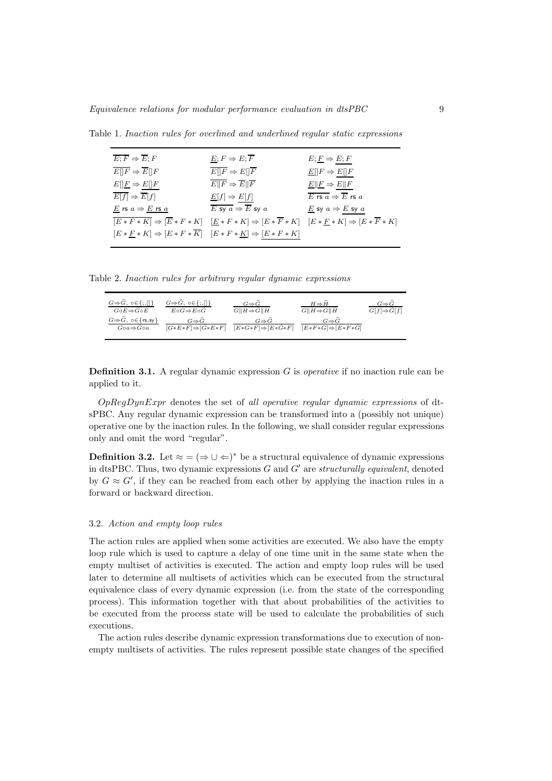| $\overline{E;F} \Rightarrow \overline{E};F$                                                | $E; F \Rightarrow E; \overline{F}$                                                                                                                        | $E; E \Rightarrow E; F$                  |
|--------------------------------------------------------------------------------------------|-----------------------------------------------------------------------------------------------------------------------------------------------------------|------------------------------------------|
| $E  F \Rightarrow E  F$                                                                    | $E  F \Rightarrow E  F$                                                                                                                                   | $E[ F \Rightarrow E[]F$                  |
| $E[\underline{F} \Rightarrow E[\overline{F}]$                                              | $E  F \Rightarrow E  \overline{F}$                                                                                                                        | $E  E \Rightarrow E  F$                  |
| $\overline{E[f]} \Rightarrow \overline{E}[f]$                                              | $\underline{E}[f] \Rightarrow E[f]$                                                                                                                       | E rs $a \Rightarrow \overline{E}$ rs $a$ |
| $E$ rs $a \Rightarrow E$ rs $a$                                                            | E sy $a \Rightarrow \overline{E}$ sy $a$                                                                                                                  | E sy $a \Rightarrow E$ sy $a$            |
|                                                                                            | $\overline{[E*F*K]} \Rightarrow [\overline{E}*F*K] \quad [\underline{E}*F*K] \Rightarrow [E*\overline{F}*K] \quad [E*E*K] \Rightarrow [E*\overline{F}*K]$ |                                          |
| $[E * F * K] \Rightarrow [E * F * \overline{K}] \quad [E * F * K] \Rightarrow [E * F * K]$ |                                                                                                                                                           |                                          |

Table 1. Inaction rules for overlined and underlined regular static expressions

Table 2. Inaction rules for arbitrary regular dynamic expressions

| $G \Rightarrow \tilde{G}, \{o \in \{ ; , [] \}$        | $G \Rightarrow G, \ o \in \{ ; , [] \}$ | $G \Rightarrow G$                   | $H \Rightarrow H$                     | $G \Rightarrow G$                   |
|--------------------------------------------------------|-----------------------------------------|-------------------------------------|---------------------------------------|-------------------------------------|
| $G \circ E \Rightarrow G \circ E$                      | $E \circ G \Rightarrow E \circ G$       | $G  H \Rightarrow \widetilde{G}  H$ | $G  H \Rightarrow G  \widetilde{H}$   | $G[f] \Rightarrow \widetilde{G}[f]$ |
| $G \Rightarrow \widetilde{G}$ , $\circ \in \{rs, sy\}$ | $G \Rightarrow G$                       | $G \Rightarrow G$                   | $G \Rightarrow G$                     |                                     |
| $Goa \Rightarrow Goa$                                  | $[G*E*F] \Rightarrow [G*E*F]$           | $[E*G*F] \Rightarrow [E*G*F]$       | $[E * F * G] \Rightarrow [E * F * G]$ |                                     |

**Definition 3.1.** A regular dynamic expression  $G$  is *operative* if no inaction rule can be applied to it.

 $OpRegDynExpr$  denotes the set of all operative regular dynamic expressions of dtsPBC. Any regular dynamic expression can be transformed into a (possibly not unique) operative one by the inaction rules. In the following, we shall consider regular expressions only and omit the word "regular".

**Definition 3.2.** Let  $\approx$  =  $(\Rightarrow \cup \Leftarrow)^*$  be a structural equivalence of dynamic expressions in dtsPBC. Thus, two dynamic expressions  $G$  and  $G'$  are structurally equivalent, denoted by  $G \approx G'$ , if they can be reached from each other by applying the inaction rules in a forward or backward direction.

# 3.2. Action and empty loop rules

The action rules are applied when some activities are executed. We also have the empty loop rule which is used to capture a delay of one time unit in the same state when the empty multiset of activities is executed. The action and empty loop rules will be used later to determine all multisets of activities which can be executed from the structural equivalence class of every dynamic expression (i.e. from the state of the corresponding process). This information together with that about probabilities of the activities to be executed from the process state will be used to calculate the probabilities of such executions.

The action rules describe dynamic expression transformations due to execution of nonempty multisets of activities. The rules represent possible state changes of the specified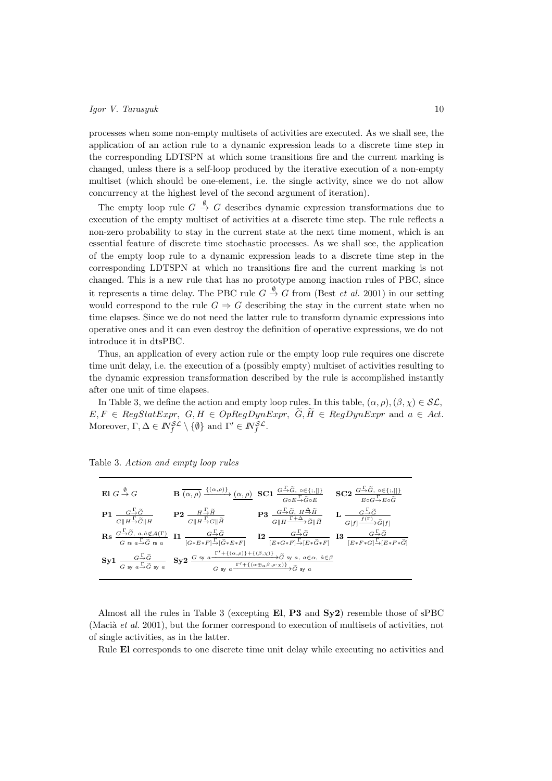processes when some non-empty multisets of activities are executed. As we shall see, the application of an action rule to a dynamic expression leads to a discrete time step in the corresponding LDTSPN at which some transitions fire and the current marking is changed, unless there is a self-loop produced by the iterative execution of a non-empty multiset (which should be one-element, i.e. the single activity, since we do not allow concurrency at the highest level of the second argument of iteration).

The empty loop rule  $G \stackrel{\emptyset}{\rightarrow} G$  describes dynamic expression transformations due to execution of the empty multiset of activities at a discrete time step. The rule reflects a non-zero probability to stay in the current state at the next time moment, which is an essential feature of discrete time stochastic processes. As we shall see, the application of the empty loop rule to a dynamic expression leads to a discrete time step in the corresponding LDTSPN at which no transitions fire and the current marking is not changed. This is a new rule that has no prototype among inaction rules of PBC, since it represents a time delay. The PBC rule  $G \stackrel{\emptyset}{\to} G$  from (Best *et al.* 2001) in our setting would correspond to the rule  $G \Rightarrow G$  describing the stay in the current state when no time elapses. Since we do not need the latter rule to transform dynamic expressions into operative ones and it can even destroy the definition of operative expressions, we do not introduce it in dtsPBC.

Thus, an application of every action rule or the empty loop rule requires one discrete time unit delay, i.e. the execution of a (possibly empty) multiset of activities resulting to the dynamic expression transformation described by the rule is accomplished instantly after one unit of time elapses.

In Table 3, we define the action and empty loop rules. In this table,  $(\alpha, \rho), (\beta, \chi) \in \mathcal{SL}$ ,  $E, F \in RegStatexpr, G, H \in OpRegDynError, \widetilde{G}, \widetilde{H} \in RegDynExpr$  and  $a \in Act$ . Moreover,  $\Gamma, \Delta \in \mathbb{N}_{f}^{\mathcal{SL}} \setminus \{\emptyset\}$  and  $\Gamma' \in \mathbb{N}_{f}^{\mathcal{SL}}$ .

| El $G \stackrel{\emptyset}{\rightarrow} G$ | $\mathbf{B}\xrightarrow[(\alpha,\rho)\xrightarrow{\{(\alpha,\rho)\}}(\alpha,\rho)\mathbf{S}\mathbf{C}\mathbf{1}\xrightarrow[G\circ E\rightarrow\widetilde{G}\circ E\rightarrow[\zeta\circ E]$                                                                                                                                                                                                                                                                |                                                                                                                                                                            | $SC2 \frac{G \stackrel{\Gamma}{\rightarrow} \widetilde{G}, o \in \{; , [\}]}{E \circ G \stackrel{\Gamma}{\rightarrow} E \circ \widetilde{G}}$ |
|--------------------------------------------|--------------------------------------------------------------------------------------------------------------------------------------------------------------------------------------------------------------------------------------------------------------------------------------------------------------------------------------------------------------------------------------------------------------------------------------------------------------|----------------------------------------------------------------------------------------------------------------------------------------------------------------------------|-----------------------------------------------------------------------------------------------------------------------------------------------|
|                                            | <b>P1</b> $\frac{G\frac{\Gamma}{\rightarrow}\widetilde{G}}{G\ H\frac{\Gamma}{\rightarrow}\widetilde{G}\ H}$ <b>P2</b> $\frac{H\frac{\Gamma}{\rightarrow}\widetilde{H}}{G\ H\frac{\Gamma}{\rightarrow}G\ \widetilde{H}}$                                                                                                                                                                                                                                      | <b>P3</b> $\frac{G-\widetilde{G}}{G\ H\frac{\Gamma+\Delta}{\widetilde{G}}\widetilde{G}\ H}$ <b>L</b> $\frac{G-\widetilde{G}}{G\{f\}\frac{f(\Gamma)}{G}\widetilde{G}\{f\}}$ |                                                                                                                                               |
|                                            | $\text{Rs } \frac{G\overset{\Gamma}{\to}\widetilde{G},\;a,\hat{a}\not\in\mathcal{A}(\Gamma)}{G\;\text{rs } a\overset{\Gamma}{\to}\widetilde{G}\;\text{rs } a} \;\; \text{I1 } \;\frac{G\overset{\Gamma}{\to}\widetilde{G}}{[G*E*F]\overset{\Gamma}{\to}[\widetilde{G}*E*F]} \;\; \text{I2 } \;\frac{G\overset{\Gamma}{\to}\widetilde{G}}{[E*G*F]\overset{\Gamma}{\to}[E*\widetilde{G}*F]} \;\; \text{I3 } \;\frac{G\overset{\Gamma}{\to}\widetilde{G}}{[E*F$ |                                                                                                                                                                            |                                                                                                                                               |
|                                            | $Syl \frac{G^{\Gamma} \tilde{G}}{G \text{ sy } a^{\Gamma} \tilde{G} \text{ sy } a} \quad Syl \frac{G \text{ sy } a^{\Gamma'+\{(\alpha,\rho)\}+\{(\beta,\chi)\}}}{G \text{ sy } a^{\Gamma'+\{(\alpha\beta,\rho)\}} \tilde{G} \text{ sy } a, a \in \alpha, \hat{a} \in \beta}$                                                                                                                                                                                 |                                                                                                                                                                            |                                                                                                                                               |

Table 3. Action and empty loop rules

Almost all the rules in Table 3 (excepting El, P3 and Sy2) resemble those of sPBC (Macià *et al.* 2001), but the former correspond to execution of multisets of activities, not of single activities, as in the latter.

Rule El corresponds to one discrete time unit delay while executing no activities and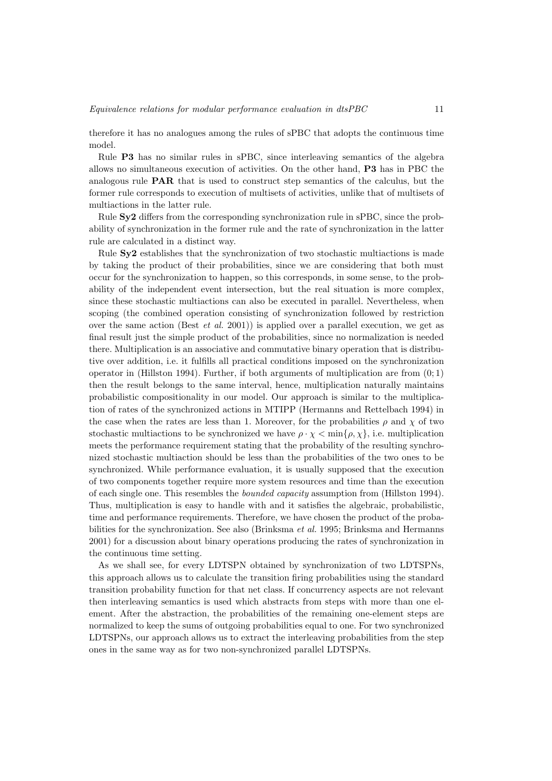therefore it has no analogues among the rules of sPBC that adopts the continuous time model.

Rule P3 has no similar rules in sPBC, since interleaving semantics of the algebra allows no simultaneous execution of activities. On the other hand, P3 has in PBC the analogous rule PAR that is used to construct step semantics of the calculus, but the former rule corresponds to execution of multisets of activities, unlike that of multisets of multiactions in the latter rule.

Rule Sy2 differs from the corresponding synchronization rule in sPBC, since the probability of synchronization in the former rule and the rate of synchronization in the latter rule are calculated in a distinct way.

Rule Sy2 establishes that the synchronization of two stochastic multiactions is made by taking the product of their probabilities, since we are considering that both must occur for the synchronization to happen, so this corresponds, in some sense, to the probability of the independent event intersection, but the real situation is more complex, since these stochastic multiactions can also be executed in parallel. Nevertheless, when scoping (the combined operation consisting of synchronization followed by restriction over the same action (Best *et al.* 2001)) is applied over a parallel execution, we get as final result just the simple product of the probabilities, since no normalization is needed there. Multiplication is an associative and commutative binary operation that is distributive over addition, i.e. it fulfills all practical conditions imposed on the synchronization operator in (Hillston 1994). Further, if both arguments of multiplication are from  $(0, 1)$ then the result belongs to the same interval, hence, multiplication naturally maintains probabilistic compositionality in our model. Our approach is similar to the multiplication of rates of the synchronized actions in MTIPP (Hermanns and Rettelbach 1994) in the case when the rates are less than 1. Moreover, for the probabilities  $\rho$  and  $\chi$  of two stochastic multiactions to be synchronized we have  $\rho \cdot \chi < \min\{\rho, \chi\}$ , i.e. multiplication meets the performance requirement stating that the probability of the resulting synchronized stochastic multiaction should be less than the probabilities of the two ones to be synchronized. While performance evaluation, it is usually supposed that the execution of two components together require more system resources and time than the execution of each single one. This resembles the bounded capacity assumption from (Hillston 1994). Thus, multiplication is easy to handle with and it satisfies the algebraic, probabilistic, time and performance requirements. Therefore, we have chosen the product of the probabilities for the synchronization. See also (Brinksma et al. 1995; Brinksma and Hermanns 2001) for a discussion about binary operations producing the rates of synchronization in the continuous time setting.

As we shall see, for every LDTSPN obtained by synchronization of two LDTSPNs, this approach allows us to calculate the transition firing probabilities using the standard transition probability function for that net class. If concurrency aspects are not relevant then interleaving semantics is used which abstracts from steps with more than one element. After the abstraction, the probabilities of the remaining one-element steps are normalized to keep the sums of outgoing probabilities equal to one. For two synchronized LDTSPNs, our approach allows us to extract the interleaving probabilities from the step ones in the same way as for two non-synchronized parallel LDTSPNs.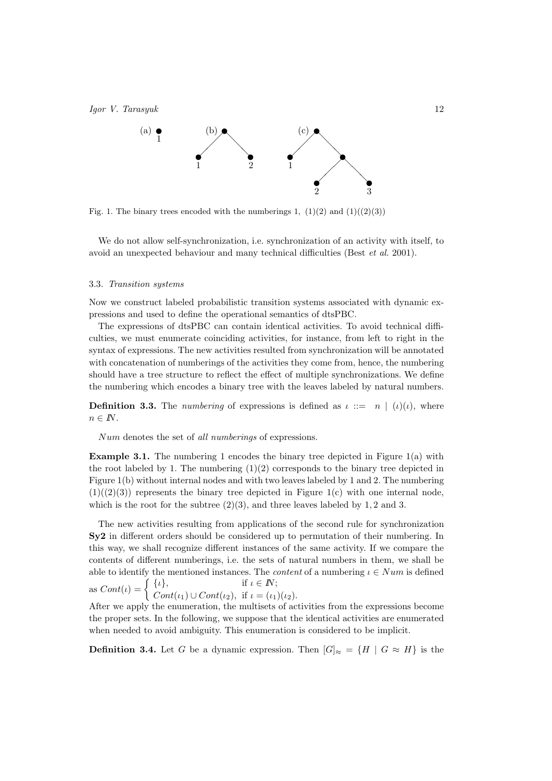

Fig. 1. The binary trees encoded with the numberings 1,  $(1)(2)$  and  $(1)((2)(3))$ 

We do not allow self-synchronization, i.e. synchronization of an activity with itself, to avoid an unexpected behaviour and many technical difficulties (Best et al. 2001).

#### 3.3. Transition systems

Now we construct labeled probabilistic transition systems associated with dynamic expressions and used to define the operational semantics of dtsPBC.

The expressions of dtsPBC can contain identical activities. To avoid technical difficulties, we must enumerate coinciding activities, for instance, from left to right in the syntax of expressions. The new activities resulted from synchronization will be annotated with concatenation of numberings of the activities they come from, hence, the numbering should have a tree structure to reflect the effect of multiple synchronizations. We define the numbering which encodes a binary tree with the leaves labeled by natural numbers.

**Definition 3.3.** The numbering of expressions is defined as  $\iota ::= n \mid (\iota)(\iota)$ , where  $n \in \mathbb{N}$ .

Num denotes the set of all numberings of expressions.

**Example 3.1.** The numbering 1 encodes the binary tree depicted in Figure 1(a) with the root labeled by 1. The numbering  $(1)(2)$  corresponds to the binary tree depicted in Figure 1(b) without internal nodes and with two leaves labeled by 1 and 2. The numbering  $(1)((2)(3))$  represents the binary tree depicted in Figure 1(c) with one internal node, which is the root for the subtree  $(2)(3)$ , and three leaves labeled by 1, 2 and 3.

The new activities resulting from applications of the second rule for synchronization Sy2 in different orders should be considered up to permutation of their numbering. In this way, we shall recognize different instances of the same activity. If we compare the contents of different numberings, i.e. the sets of natural numbers in them, we shall be able to identify the mentioned instances. The *content* of a numbering  $\iota \in Num$  is defined as  $Cont(\iota) = \begin{cases} {\{\iota\}}, & \text{if } \iota \in \mathbb{N}; \\ C, & \iota(\iota) \in \mathbb{N}, \end{cases}$ 

 $Cont(\iota_1) \cup Cont(\iota_2)$ , if  $\iota = (\iota_1)(\iota_2)$ . After we apply the enumeration, the multisets of activities from the expressions become the proper sets. In the following, we suppose that the identical activities are enumerated

when needed to avoid ambiguity. This enumeration is considered to be implicit.

**Definition 3.4.** Let G be a dynamic expression. Then  $[G]_{\approx} = \{H \mid G \approx H\}$  is the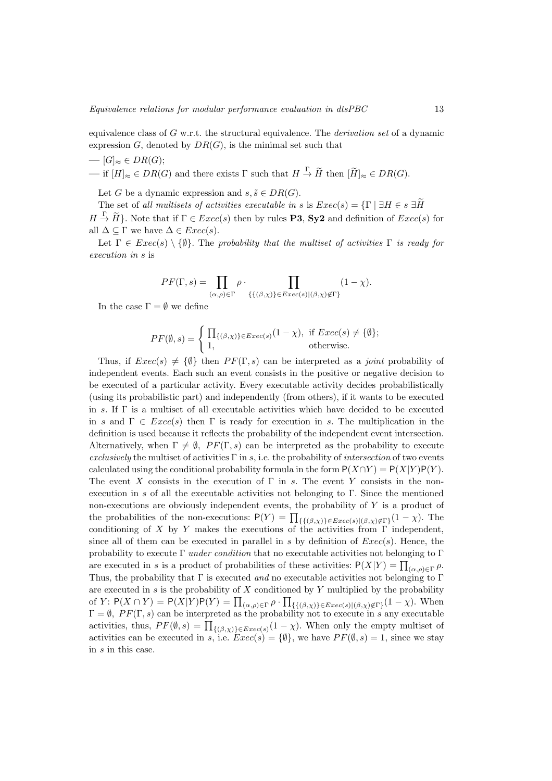equivalence class of  $G$  w.r.t. the structural equivalence. The *derivation set* of a dynamic expression G, denoted by  $DR(G)$ , is the minimal set such that

$$
-[G]_{\approx} \in DR(G);
$$
  
— if  $[H]_{\approx} \in DR(G)$  and there exists  $\Gamma$  such that  $H \xrightarrow{\Gamma} \widetilde{H}$  then  $[\widetilde{H}]_{\approx} \in DR(G).$ 

Let G be a dynamic expression and  $s, \tilde{s} \in DR(G)$ .

The set of all multisets of activities executable in s is  $Exec(s) = \{\Gamma \mid \exists H \in s \exists H\}$  $H \stackrel{\Gamma}{\to} \widetilde{H}$ . Note that if  $\Gamma \in \mathit{Exec}(s)$  then by rules **P3**, **Sy2** and definition of  $Exec(s)$  for all  $\Delta \subseteq \Gamma$  we have  $\Delta \in E \text{vec}(s)$ .

Let  $\Gamma \in \text{Exec}(s) \setminus \{\emptyset\}$ . The probability that the multiset of activities  $\Gamma$  is ready for execution in s is

$$
PF(\Gamma,s) = \prod_{(\alpha,\rho)\in\Gamma} \rho \cdot \prod_{\{\{(\beta,\chi)\}\in\text{Exec}(s)|( \beta,\chi)\not\in\Gamma\}} (1-\chi).
$$

In the case  $\Gamma = \emptyset$  we define

$$
PF(\emptyset, s) = \begin{cases} \prod_{\{(\beta, \chi)\} \in \text{Exec}(s)} (1 - \chi), & \text{if } \text{Exec}(s) \neq \{\emptyset\}; \\ 1, & \text{otherwise.} \end{cases}
$$

Thus, if  $Exec(s) \neq {\emptyset}$  then  $PF(\Gamma, s)$  can be interpreted as a *joint* probability of independent events. Each such an event consists in the positive or negative decision to be executed of a particular activity. Every executable activity decides probabilistically (using its probabilistic part) and independently (from others), if it wants to be executed in s. If Γ is a multiset of all executable activities which have decided to be executed in s and  $\Gamma \in \text{Exec}(s)$  then  $\Gamma$  is ready for execution in s. The multiplication in the definition is used because it reflects the probability of the independent event intersection. Alternatively, when  $\Gamma \neq \emptyset$ ,  $PF(\Gamma, s)$  can be interpreted as the probability to execute exclusively the multiset of activities  $\Gamma$  in s, i.e. the probability of *intersection* of two events calculated using the conditional probability formula in the form  $P(X \cap Y) = P(X|Y)P(Y)$ . The event X consists in the execution of  $\Gamma$  in s. The event Y consists in the nonexecution in s of all the executable activities not belonging to Γ. Since the mentioned non-executions are obviously independent events, the probability of Y is a product of the probabilities of the non-executions:  $P(Y) = \prod_{\{\{(\beta,\chi)\}\in Excel(s)|(\beta,\chi)\notin \Gamma\}} (1-\chi)$ . The conditioning of X by Y makes the executions of the activities from  $\Gamma$  independent, since all of them can be executed in parallel in s by definition of  $Exec(s)$ . Hence, the probability to execute  $\Gamma$  *under condition* that no executable activities not belonging to  $\Gamma$ are executed in s is a product of probabilities of these activities:  $P(X|Y) = \prod_{(\alpha,\rho) \in \Gamma} \rho$ . Thus, the probability that  $\Gamma$  is executed and no executable activities not belonging to  $\Gamma$ are executed in s is the probability of  $X$  conditioned by Y multiplied by the probability of Y:  $P(X \cap Y) = P(X|Y)P(Y) = \prod_{(\alpha,\rho) \in \Gamma} \rho \cdot \prod_{\{\{\beta,\chi\}\}\in Excel(s)\}\{\beta,\chi\}\notin\Gamma\}}(1-\chi)$ . When  $\Gamma = \emptyset$ ,  $PF(\Gamma, s)$  can be interpreted as the probability not to execute in s any executable activities, thus,  $PF(\emptyset, s) = \prod_{\{(\beta,\chi)\}\in Excel(s)} (1-\chi)$ . When only the empty multiset of activities can be executed in s, i.e.  $Exec(s) = \{\emptyset\}$ , we have  $PF(\emptyset, s) = 1$ , since we stay in s in this case.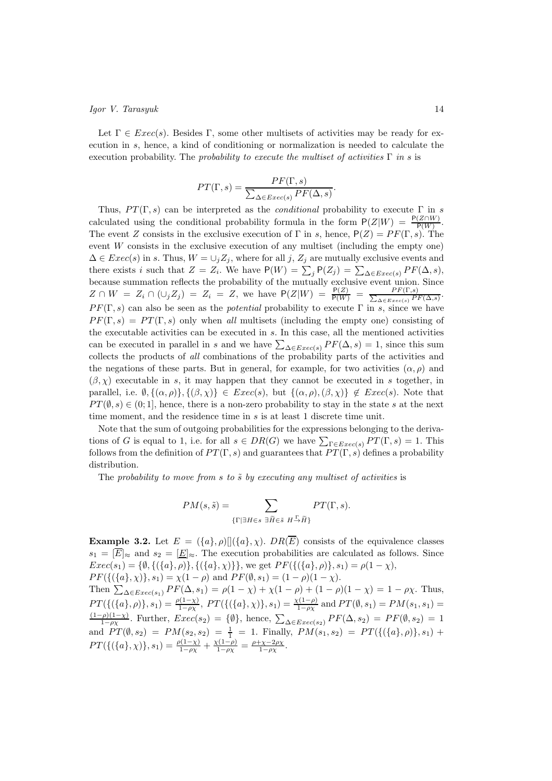Let  $\Gamma \in \text{Exec}(s)$ . Besides  $\Gamma$ , some other multisets of activities may be ready for execution in s, hence, a kind of conditioning or normalization is needed to calculate the execution probability. The *probability to execute the multiset of activities*  $\Gamma$  *in s* is

$$
PT(\Gamma, s) = \frac{PF(\Gamma, s)}{\sum_{\Delta \in E}{\text{vec}(s)} PF(\Delta, s)}.
$$

Thus,  $PT(\Gamma, s)$  can be interpreted as the *conditional* probability to execute  $\Gamma$  in s calculated using the conditional probability formula in the form  $P(Z|W) = \frac{P(Z \cap W)}{P(W)}$ . The event Z consists in the exclusive execution of  $\Gamma$  in s, hence,  $P(Z) = PF(\Gamma, s)$ . The event  $W$  consists in the exclusive execution of any multiset (including the empty one)  $\Delta \in E \text{vec}(s)$  in s. Thus,  $W = \cup_j Z_j$ , where for all j,  $Z_j$  are mutually exclusive events and there exists *i* such that  $Z = Z_i$ . We have  $P(W) = \sum_j P(Z_j) = \sum_{\Delta \in Excel(s)} PF(\Delta, s)$ , because summation reflects the probability of the mutually exclusive event union. Since  $Z \cap W = Z_i \cap (\cup_j Z_j) = Z_i = Z$ , we have  $P(Z|W) = \frac{P(Z)}{P(W)} = \frac{P(F(\Gamma,s))}{\sum_{\Delta \in Exercise(s)} P_j}$  $\frac{\Gamma F\left(1,s\right)}{\Delta\in Exc(s)}PF(\Delta,s)}.$  $PF(\Gamma, s)$  can also be seen as the *potential* probability to execute  $\Gamma$  in s, since we have  $PF(\Gamma, s) = PT(\Gamma, s)$  only when all multisets (including the empty one) consisting of the executable activities can be executed in s. In this case, all the mentioned activities can be executed in parallel in s and we have  $\sum_{\Delta \in E \text{vec}(s)} PF(\Delta, s) = 1$ , since this sum collects the products of all combinations of the probability parts of the activities and the negations of these parts. But in general, for example, for two activities  $(\alpha, \rho)$  and  $(\beta, \chi)$  executable in s, it may happen that they cannot be executed in s together, in parallel, i.e.  $\emptyset, \{(\alpha, \rho)\}, \{(\beta, \chi)\}\in \text{Exec}(s)$ , but  $\{(\alpha, \rho), (\beta, \chi)\}\notin \text{Exec}(s)$ . Note that  $PT(\emptyset, s) \in (0, 1]$ , hence, there is a non-zero probability to stay in the state s at the next time moment, and the residence time in s is at least 1 discrete time unit.

Note that the sum of outgoing probabilities for the expressions belonging to the derivations of G is equal to 1, i.e. for all  $s \in DR(G)$  we have  $\sum_{\Gamma \in Exercise(s)} PT(\Gamma, s) = 1$ . This follows from the definition of  $PT(\Gamma, s)$  and guarantees that  $PT(\Gamma, s)$  defines a probability distribution.

The probability to move from s to  $\tilde{s}$  by executing any multiset of activities is

$$
PM(s, \tilde{s}) = \sum_{\{\Gamma \mid \exists H \in s \ \exists \tilde{H} \in \tilde{s} \ H \stackrel{\Gamma}{\rightarrow} \tilde{H}\}} PT(\Gamma, s).
$$

**Example 3.2.** Let  $E = (\{a\}, \rho) || (\{a\}, \chi)$ . DR $(\overline{E})$  consists of the equivalence classes  $s_1 = \boxed{E}$  and  $s_2 = \boxed{E}$  The execution probabilities are calculated as follows. Since  $Exec(s_1) = \{\emptyset, \{(\{a\}, \rho)\}, \{(\{a\}, \chi)\}\}\$ , we get  $PF(\{(\{a\}, \rho)\}, s_1) = \rho(1 - \chi)$ ,  $PF(\{(\{a\}, \chi)\}, s_1) = \chi(1-\rho)$  and  $PF(\emptyset, s_1) = (1-\rho)(1-\chi)$ . Then  $\sum_{\Delta \in \text{Exec}(s_1)} PF(\Delta, s_1) = \rho(1-\chi) + \chi(1-\rho) + (1-\rho)(1-\chi) = 1 - \rho\chi$ . Thus,  $PT(\{(\{a\}, \rho)\}, s_1) = \frac{\rho(1-\chi)}{1-\rho\chi}, PT(\{(\{a\}, \chi)\}, s_1) = \frac{\chi(1-\rho)}{1-\rho\chi}$  and  $PT(\emptyset, s_1) = PM(s_1, s_1) =$  $(1-\rho)(1-\chi)$  $\frac{1-\rho(1-\chi)}{1-\rho\chi}$ . Further,  $Exec(s_2) = \{\emptyset\}$ , hence,  $\sum_{\Delta \inExec(s_2)} PF(\Delta, s_2) = PF(\emptyset, s_2) = 1$ and  $PT(\emptyset, s_2) = PM(s_2, s_2) = \frac{1}{1} = 1$ . Finally,  $PM(s_1, s_2) = PT(\{(\{a\}, \rho)\}, s_1) +$  $PT(\{(\{a\},\chi)\},s_1)=\frac{\rho(1-\chi)}{1-\rho\chi}+\frac{\chi(1-\rho)}{1-\rho\chi}=\frac{\rho+\chi-2\rho\chi}{1-\rho\chi}.$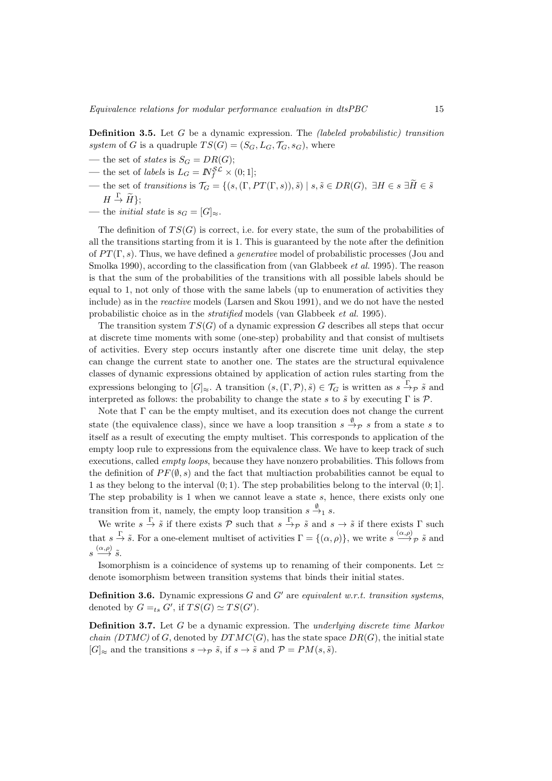Definition 3.5. Let G be a dynamic expression. The (labeled probabilistic) transition system of G is a quadruple  $TS(G) = (S_G, L_G, \mathcal{T}_G, s_G)$ , where

- the set of *states* is  $S_G = DR(G)$ ;
- the set of *labels* is  $L_G = N_f^{\mathcal{SL}} \times (0, 1];$
- the set of transitions is  $\mathcal{T}_G = \{(s, (\Gamma, PT(\Gamma, s)), \tilde{s}) \mid s, \tilde{s} \in DR(G), \exists H \in s \exists \tilde{H} \in \tilde{s} \}$  $H \stackrel{\Gamma}{\rightarrow} \widetilde{H}$ ;
- the *initial state* is  $s_G = [G]_{\approx}$ .

The definition of  $TS(G)$  is correct, i.e. for every state, the sum of the probabilities of all the transitions starting from it is 1. This is guaranteed by the note after the definition of  $PT(\Gamma, s)$ . Thus, we have defined a *generative* model of probabilistic processes (Jou and Smolka 1990), according to the classification from (van Glabbeek *et al.* 1995). The reason is that the sum of the probabilities of the transitions with all possible labels should be equal to 1, not only of those with the same labels (up to enumeration of activities they include) as in the reactive models (Larsen and Skou 1991), and we do not have the nested probabilistic choice as in the stratified models (van Glabbeek et al. 1995).

The transition system  $TS(G)$  of a dynamic expression G describes all steps that occur at discrete time moments with some (one-step) probability and that consist of multisets of activities. Every step occurs instantly after one discrete time unit delay, the step can change the current state to another one. The states are the structural equivalence classes of dynamic expressions obtained by application of action rules starting from the expressions belonging to  $[G]_{\approx}$ . A transition  $(s, (\Gamma, \mathcal{P}), \tilde{s}) \in \mathcal{T}_G$  is written as  $s \stackrel{\Gamma}{\rightarrow} \rho \tilde{s}$  and interpreted as follows: the probability to change the state s to  $\tilde{s}$  by executing  $\Gamma$  is  $\mathcal{P}$ .

Note that Γ can be the empty multiset, and its execution does not change the current state (the equivalence class), since we have a loop transition  $s \stackrel{\emptyset}{\rightarrow} \rho s$  from a state s to itself as a result of executing the empty multiset. This corresponds to application of the empty loop rule to expressions from the equivalence class. We have to keep track of such executions, called empty loops, because they have nonzero probabilities. This follows from the definition of  $PF(\emptyset, s)$  and the fact that multiaction probabilities cannot be equal to 1 as they belong to the interval  $(0, 1)$ . The step probabilities belong to the interval  $(0, 1]$ . The step probability is 1 when we cannot leave a state  $s$ , hence, there exists only one transition from it, namely, the empty loop transition  $s \xrightarrow{\emptyset} s$ .

We write  $s \stackrel{\Gamma}{\to} \tilde{s}$  if there exists  $P$  such that  $s \stackrel{\Gamma}{\to} \tilde{s}$  and  $s \to \tilde{s}$  if there exists  $\Gamma$  such that  $s \stackrel{\Gamma}{\to} \tilde{s}$ . For a one-element multiset of activities  $\Gamma = \{(\alpha, \rho)\}\$ , we write  $s \stackrel{(\alpha, \rho)}{\longrightarrow} \tilde{\rho}$  and  $s \stackrel{(\alpha,\rho)}{\longrightarrow} \tilde{s}.$ 

Isomorphism is a coincidence of systems up to renaming of their components. Let  $\simeq$ denote isomorphism between transition systems that binds their initial states.

**Definition 3.6.** Dynamic expressions  $G$  and  $G'$  are equivalent w.r.t. transition systems, denoted by  $G =_{ts} G'$ , if  $TS(G) \simeq TS(G')$ .

**Definition 3.7.** Let  $G$  be a dynamic expression. The underlying discrete time Markov *chain (DTMC)* of G, denoted by  $DTMC(G)$ , has the state space  $DR(G)$ , the initial state  $[G]_{\approx}$  and the transitions  $s \to_{\mathcal{P}} \tilde{s}$ , if  $s \to \tilde{s}$  and  $\mathcal{P} = PM(s, \tilde{s})$ .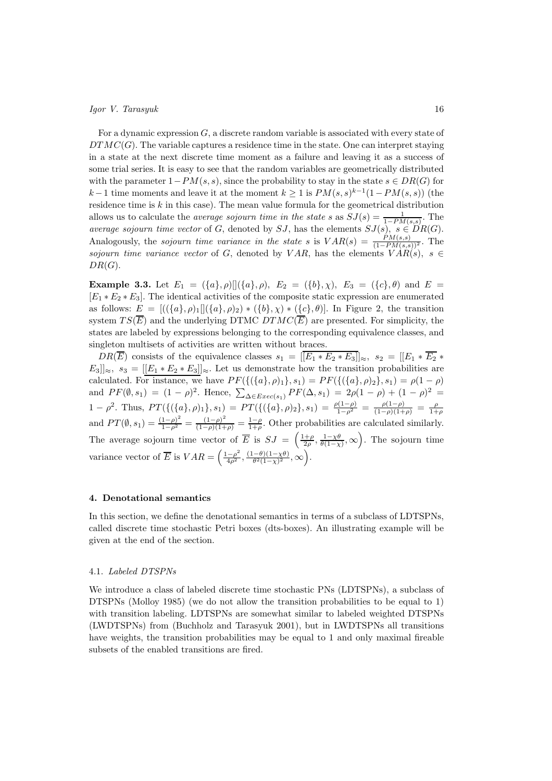For a dynamic expression  $G$ , a discrete random variable is associated with every state of  $DTMC(G)$ . The variable captures a residence time in the state. One can interpret staying in a state at the next discrete time moment as a failure and leaving it as a success of some trial series. It is easy to see that the random variables are geometrically distributed with the parameter  $1-PM(s, s)$ , since the probability to stay in the state  $s \in DR(G)$  for k – 1 time moments and leave it at the moment  $k \geq 1$  is  $PM(s, s)^{k-1}(1 - PM(s, s))$  (the residence time is  $k$  in this case). The mean value formula for the geometrical distribution allows us to calculate the *average sojourn time in the state s* as  $SJ(s) = \frac{1}{1 - PM(s,s)}$ . The average sojourn time vector of G, denoted by SJ, has the elements  $SJ(s), s \in DR(G)$ . Analogously, the *sojourn time variance in the state s* is  $VAR(s) = \frac{PM(s,s)}{(1 - PM(s,s))^2}$ . The sojourn time variance vector of G, denoted by VAR, has the elements  $VAR(s), s \in$  $DR(G)$ .

**Example 3.3.** Let  $E_1 = (\{a\}, \rho) [](\{a\}, \rho), E_2 = (\{b\}, \chi), E_3 = (\{c\}, \theta)$  and  $E =$  $[E_1 * E_2 * E_3]$ . The identical activities of the composite static expression are enumerated as follows:  $E = [((\{a\}, \rho)_1 | (\{a\}, \rho)_2) * (\{b\}, \chi) * (\{c\}, \theta)].$  In Figure 2, the transition system  $TS(\overline{E})$  and the underlying DTMC  $DTMC(\overline{E})$  are presented. For simplicity, the states are labeled by expressions belonging to the corresponding equivalence classes, and singleton multisets of activities are written without braces.

 $DR(\overline{E})$  consists of the equivalence classes  $s_1 = [[E_1 * E_2 * E_3]]_{\approx}$ ,  $s_2 = [[E_1 * \overline{E_2} * E_3]]_{\approx}$  $E_3\|_{\approx}$ ,  $s_3 = [[E_1 * E_2 * E_3]]_{\approx}$ . Let us demonstrate how the transition probabilities are calculated. For instance, we have  $PF(\{(a), \rho_1\}, s_1) = PF(\{(\{a\}, \rho_2\}, s_1) = \rho(1 - \rho)$ and  $PF(\emptyset, s_1) = (1 - \rho)^2$ . Hence,  $\sum_{\Delta \in E \text{tree}(s_1)} PF(\Delta, s_1) = 2\rho(1 - \rho) + (1 - \rho)^2 =$ 1 -  $\rho^2$ . Thus,  $PT(\{(\{a\}, \rho)_1\}, s_1) = PT(\{(\{a\}, \rho)_2\}, s_1) = \frac{\rho(1-\rho)}{1-\rho^2} = \frac{\rho(1-\rho)}{(1-\rho)(1+\rho)} = \frac{\rho}{1+\rho}$ and  $PT(\emptyset, s_1) = \frac{(1-\rho)^2}{1-\rho^2} = \frac{(1-\rho)^2}{(1-\rho)(1+\rho)} = \frac{1-\rho}{1+\rho}$ . Other probabilities are calculated similarly. The average sojourn time vector of  $\overline{E}$  is  $SJ = \left(\frac{1+\rho}{2\rho}, \frac{1-\chi\theta}{\theta(1-\chi)}, \infty\right)$ . The sojourn time variance vector of  $\overline{E}$  is  $VAR = \left(\frac{1-\rho^2}{4\rho^2}, \frac{(1-\theta)(1-\chi\theta)}{\theta^2(1-\chi)^2}\right)$  $\frac{(-\theta)(1-\chi\theta)}{\theta^2(1-\chi)^2},\infty$ .

#### 4. Denotational semantics

In this section, we define the denotational semantics in terms of a subclass of LDTSPNs, called discrete time stochastic Petri boxes (dts-boxes). An illustrating example will be given at the end of the section.

# 4.1. Labeled DTSPNs

We introduce a class of labeled discrete time stochastic PNs (LDTSPNs), a subclass of DTSPNs (Molloy 1985) (we do not allow the transition probabilities to be equal to 1) with transition labeling. LDTSPNs are somewhat similar to labeled weighted DTSPNs (LWDTSPNs) from (Buchholz and Tarasyuk 2001), but in LWDTSPNs all transitions have weights, the transition probabilities may be equal to 1 and only maximal fireable subsets of the enabled transitions are fired.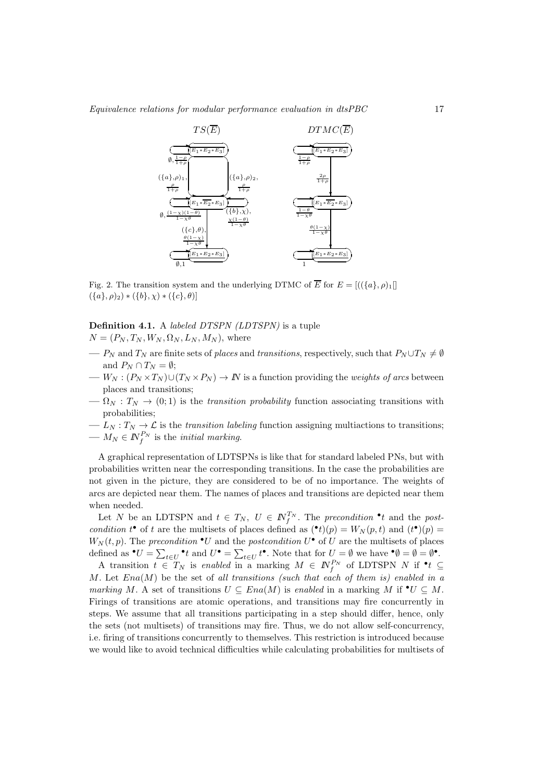

Fig. 2. The transition system and the underlying DTMC of  $\overline{E}$  for  $E = [((\lbrace a \rbrace, \rho)_1]$  $({a}, \rho)_2) * ({b}, \chi) * ({c}, \theta)$ ]

# Definition 4.1. A *labeled DTSPN* (LDTSPN) is a tuple  $N = (P_N, T_N, W_N, \Omega_N, L_N, M_N)$ , where

- $P_N$  and  $T_N$  are finite sets of places and transitions, respectively, such that  $P_N \cup T_N \neq \emptyset$ and  $P_N \cap T_N = \emptyset$ ;
- $W_N : (P_N \times T_N) \cup (T_N \times P_N) \to \mathbb{N}$  is a function providing the *weights of arcs* between places and transitions;
- $-\Omega_N : T_N \to (0,1)$  is the transition probability function associating transitions with probabilities;
- $L_N: T_N \to \mathcal{L}$  is the *transition labeling* function assigning multiactions to transitions;
- $-M_N \in \mathbb{N}_f^{P_N}$  is the *initial marking*.

A graphical representation of LDTSPNs is like that for standard labeled PNs, but with probabilities written near the corresponding transitions. In the case the probabilities are not given in the picture, they are considered to be of no importance. The weights of arcs are depicted near them. The names of places and transitions are depicted near them when needed.

Let N be an LDTSPN and  $t \in T_N$ ,  $U \in \mathbb{N}_{f}^{T_N}$ . The precondition  $\cdot t$  and the postcondition  $t^{\bullet}$  of t are the multisets of places defined as  $({^{\bullet}t})(p) = W_N(p, t)$  and  $(t^{\bullet})(p) =$  $W_N(t,p)$ . The precondition  $\bullet U$  and the postcondition  $U^{\bullet}$  of U are the multisets of places defined as  $\bullet U = \sum_{t \in U} \bullet t$  and  $U^{\bullet} = \sum_{t \in U} t^{\bullet}$ . Note that for  $U = \emptyset$  we have  $\bullet \emptyset = \emptyset = \emptyset^{\bullet}$ .

A transition  $t \in T_N$  is enabled in a marking  $M \in \mathbb{N}_f^{P_N}$  of LDTSPN N if  $\bullet t \subseteq$ M. Let  $Ena(M)$  be the set of all transitions (such that each of them is) enabled in a marking M. A set of transitions  $U \subseteq Ena(M)$  is enabled in a marking M if  $\bullet U \subseteq M$ . Firings of transitions are atomic operations, and transitions may fire concurrently in steps. We assume that all transitions participating in a step should differ, hence, only the sets (not multisets) of transitions may fire. Thus, we do not allow self-concurrency, i.e. firing of transitions concurrently to themselves. This restriction is introduced because we would like to avoid technical difficulties while calculating probabilities for multisets of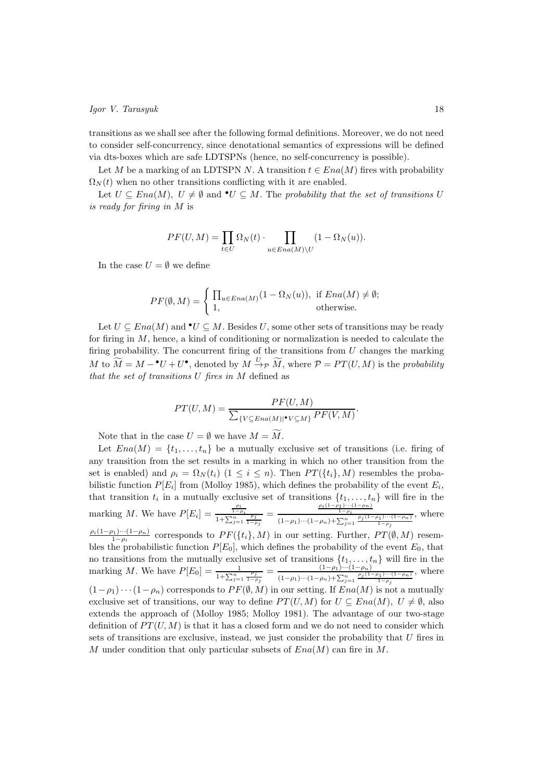transitions as we shall see after the following formal definitions. Moreover, we do not need to consider self-concurrency, since denotational semantics of expressions will be defined via dts-boxes which are safe LDTSPNs (hence, no self-concurrency is possible).

Let M be a marking of an LDTSPN N. A transition  $t \in Ena(M)$  fires with probability  $\Omega_N(t)$  when no other transitions conflicting with it are enabled.

Let  $U \subseteq Ena(M)$ ,  $U \neq \emptyset$  and  $\bullet U \subseteq M$ . The probability that the set of transitions U is ready for firing in M is

$$
PF(U, M) = \prod_{t \in U} \Omega_N(t) \cdot \prod_{u \in Ena(M) \setminus U} (1 - \Omega_N(u)).
$$

In the case  $U = \emptyset$  we define

$$
PF(\emptyset, M) = \begin{cases} \prod_{u \in Ena(M)} (1 - \Omega_N(u)), & \text{if } Ena(M) \neq \emptyset; \\ 1, & \text{otherwise.} \end{cases}
$$

Let  $U \subseteq Ena(M)$  and  $\bullet U \subseteq M$ . Besides U, some other sets of transitions may be ready for firing in  $M$ , hence, a kind of conditioning or normalization is needed to calculate the firing probability. The concurrent firing of the transitions from  $U$  changes the marking M to  $\widetilde{M} = M - {}^{\bullet}U + U^{\bullet}$ , denoted by  $M \xrightarrow{U} \widetilde{M}$ , where  $\mathcal{P} = PT(U, M)$  is the probability that the set of transitions  $U$  fires in  $M$  defined as

$$
PT(U, M) = \frac{PF(U, M)}{\sum_{\{V \subseteq Ena(M)|\bullet V \subseteq M\}} PF(V, M)}.
$$

Note that in the case  $U = \emptyset$  we have  $M = \widetilde{M}$ .

Let  $Ena(M) = \{t_1, \ldots, t_n\}$  be a mutually exclusive set of transitions (i.e. firing of any transition from the set results in a marking in which no other transition from the set is enabled) and  $\rho_i = \Omega_N(t_i)$  ( $1 \leq i \leq n$ ). Then  $PT(\lbrace t_i \rbrace, M)$  resembles the probabilistic function  $P[E_i]$  from (Molloy 1985), which defines the probability of the event  $E_i$ , that transition  $t_i$  in a mutually exclusive set of transitions  $\{t_1, \ldots, t_n\}$  will fire in the marking M. We have  $P[E_i] = \frac{\frac{\rho_i}{1-\rho_i}}{1+\sum_{j=1}^n \frac{\rho_j}{1-\rho_j}} = \frac{\frac{\rho_i(1-\rho_1)\cdots(1-\rho_n)}{1-\rho_i}}{(1-\rho_1)\cdots(1-\rho_n)+\sum_{j=1}^n \frac{\rho_j(1-\rho_1)\cdots(1-\rho_n)}{1-\rho_j}}$ , where  $\rho_i(1-\rho_1)\cdots(1-\rho_n)$  $\frac{p_1,\ldots,p_n}{1-\rho_i}$  corresponds to  $PF(\{t_i\},M)$  in our setting. Further,  $PT(\emptyset,M)$  resembles the probabilistic function  $P[E_0]$ , which defines the probability of the event  $E_0$ , that no transitions from the mutually exclusive set of transitions  $\{t_1, \ldots, t_n\}$  will fire in the marking M. We have  $P[E_0] = \frac{1}{1 + \sum_{j=1}^n \frac{\rho_j}{1 - \rho_j}} = \frac{(1 - \rho_1) \cdots (1 - \rho_n)}{(1 - \rho_1) \cdots (1 - \rho_n) + \sum_{j=1}^n \frac{\rho_j (1 - \rho_1)}{(1 - \rho_1) \cdots (1 - \rho_n)}}$  $(1-\rho_1)\cdots(1-\rho_n)+\sum_{j=1}^n \frac{\rho_j(1-\rho_1)\cdots(1-\rho_n)}{1-\rho_j}$ , where  $(1-\rho_1)\cdots(1-\rho_n)$  corresponds to  $PF(\emptyset, M)$  in our setting. If  $Ena(M)$  is not a mutually exclusive set of transitions, our way to define  $PT(U, M)$  for  $U \subseteq Ena(M)$ ,  $U \neq \emptyset$ , also extends the approach of (Molloy 1985; Molloy 1981). The advantage of our two-stage definition of  $PT(U, M)$  is that it has a closed form and we do not need to consider which sets of transitions are exclusive, instead, we just consider the probability that  $U$  fires in M under condition that only particular subsets of  $Ena(M)$  can fire in M.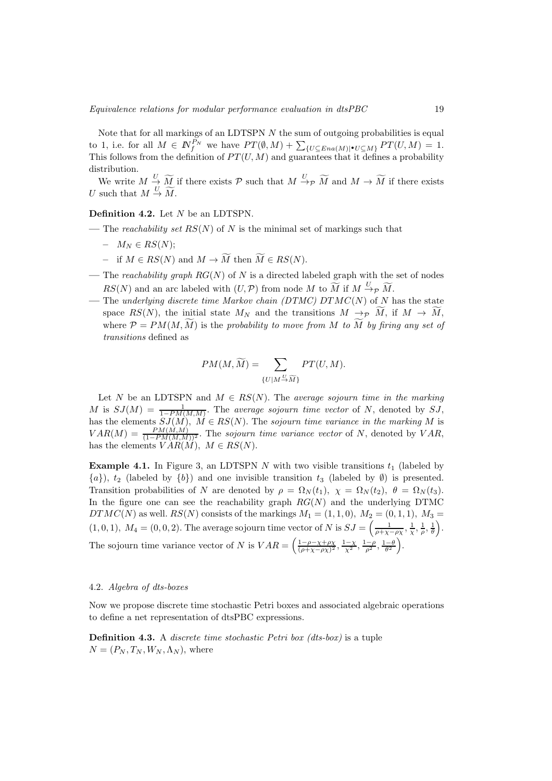Note that for all markings of an LDTSPN  $N$  the sum of outgoing probabilities is equal to 1, i.e. for all  $M \in \mathbb{N}_{f}^{P_N}$  we have  $PT(\emptyset, M) + \sum_{\{U \subseteq Ena(M)|\bullet U \subseteq M\}} PT(U, M) = 1$ . This follows from the definition of  $PT(U, M)$  and guarantees that it defines a probability distribution.

We write  $M \stackrel{U}{\rightarrow} \widetilde{M}$  if there exists  $\mathcal P$  such that  $M \stackrel{U}{\rightarrow} \mathcal P$   $\widetilde{M}$  and  $M \rightarrow \widetilde{M}$  if there exists U such that  $M \stackrel{U}{\rightarrow} \widetilde{M}$ .

Definition 4.2. Let N be an LDTSPN.

- The reachability set  $RS(N)$  of N is the minimal set of markings such that
	- $M_N \in RS(N);$
	- if  $M \in RS(N)$  and  $M \to \widetilde{M}$  then  $\widetilde{M} \in RS(N)$ .
- The reachability graph  $RG(N)$  of N is a directed labeled graph with the set of nodes  $RS(N)$  and an arc labeled with  $(U, \mathcal{P})$  from node M to  $\widetilde{M}$  if  $M \xrightarrow{U} \widetilde{M}$ .
- The underlying discrete time Markov chain (DTMC) DTMC(N) of N has the state space  $RS(N)$ , the initial state  $M_N$  and the transitions  $M \to \widetilde{M}$ , if  $M \to \widetilde{M}$ , where  $\mathcal{P} = PM(M, \tilde{M})$  is the probability to move from M to  $\tilde{M}$  by firing any set of transitions defined as

$$
PM(M, \widetilde{M}) = \sum_{\{U \mid M \stackrel{U}{\to} \widetilde{M}\}} PT(U, M).
$$

Let N be an LDTSPN and  $M \in RS(N)$ . The average sojourn time in the marking M is  $SJ(M) = \frac{1}{1 - PM(M,M)}$ . The average sojourn time vector of N, denoted by SJ, has the elements  $SJ(M)$ ,  $M \in RS(N)$ . The sojourn time variance in the marking M is  $VAR(M) = \frac{PM(M,M)}{(1 - PM(M,M))^2}$ . The sojourn time variance vector of N, denoted by VAR, has the elements  $V \overset{\sim}{A} R(\overset{\sim}{M}), M \in RS(N)$ .

**Example 4.1.** In Figure 3, an LDTSPN N with two visible transitions  $t_1$  (labeled by  $\{a\}$ ,  $t_2$  (labeled by  $\{b\}$ ) and one invisible transition  $t_3$  (labeled by  $\emptyset$ ) is presented. Transition probabilities of N are denoted by  $\rho = \Omega_N(t_1), \chi = \Omega_N(t_2), \theta = \Omega_N(t_3)$ . In the figure one can see the reachability graph  $RG(N)$  and the underlying DTMC  $DTMC(N)$  as well.  $RS(N)$  consists of the markings  $M_1 = (1, 1, 0), M_2 = (0, 1, 1), M_3 =$  $(1,0,1), M_4 = (0,0,2).$  The average sojourn time vector of N is  $SJ = \left(\frac{1}{\rho + \chi - \rho \chi}, \frac{1}{\chi}, \frac{1}{\rho}, \frac{1}{\theta}\right)$  . The sojourn time variance vector of N is  $VAR = \left( \frac{1-\rho-\chi+\rho\chi}{(\rho+\chi-\rho\chi)^2}, \frac{1-\chi}{\chi^2}, \frac{1-\rho}{\rho^2}, \frac{1-\theta}{\theta^2} \right)$ .

# 4.2. Algebra of dts-boxes

Now we propose discrete time stochastic Petri boxes and associated algebraic operations to define a net representation of dtsPBC expressions.

**Definition 4.3.** A *discrete time stochastic Petri box (dts-box)* is a tuple  $N = (P_N, T_N, W_N, \Lambda_N)$ , where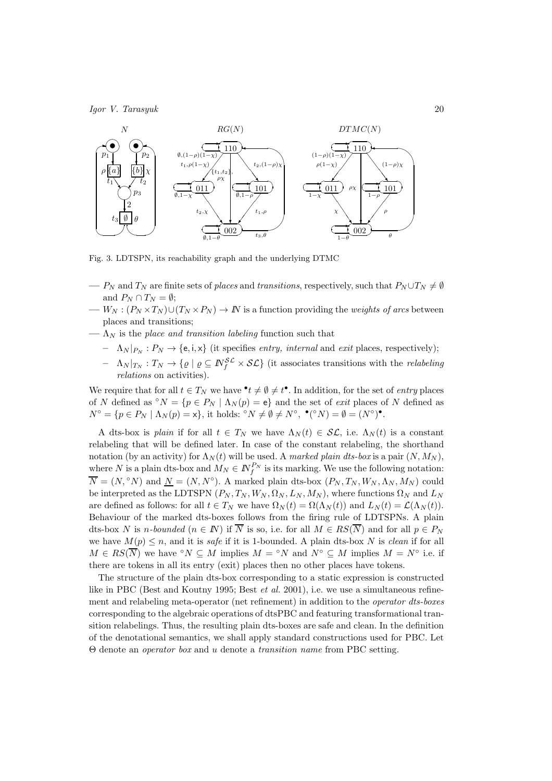

Fig. 3. LDTSPN, its reachability graph and the underlying DTMC

- $-P_N$  and  $T_N$  are finite sets of places and transitions, respectively, such that  $P_N \cup T_N \neq \emptyset$ and  $P_N \cap T_N = \emptyset;$
- $W_N$ :  $(P_N \times T_N) \cup (T_N \times P_N) \to N$  is a function providing the *weights of arcs* between places and transitions;
- $-\Lambda_N$  is the place and transition labeling function such that
	- $\Lambda_N |_{P_N} : P_N \to \{e, i, x\}$  (it specifies entry, internal and exit places, respectively);
	- $\Lambda_N |_{T_N}: T_N \to \{ \varrho \mid \varrho \subseteq \mathbb{N}^{\mathcal{SL}}_f \times \mathcal{SL} \}$  (it associates transitions with the *relabeling* relations on activities).

We require that for all  $t \in T_N$  we have  $\mathbf{e} \cdot t \neq \emptyset \neq t^{\bullet}$ . In addition, for the set of *entry* places of N defined as  $\mathcal{O}N = \{p \in P_N \mid \Lambda_N(p) = e\}$  and the set of *exit* places of N defined as  $N^{\circ} = \{p \in P_N \mid \Lambda_N(p) = x\},\$ it holds:  ${}^{\circ}N \neq \emptyset \neq N^{\circ}, \bullet({}^{\circ}N) = \emptyset = (N^{\circ})^{\bullet}.$ 

A dts-box is plain if for all  $t \in T_N$  we have  $\Lambda_N(t) \in \mathcal{SL}$ , i.e.  $\Lambda_N(t)$  is a constant relabeling that will be defined later. In case of the constant relabeling, the shorthand notation (by an activity) for  $\Lambda_N(t)$  will be used. A marked plain dts-box is a pair  $(N, M_N)$ , where N is a plain dts-box and  $M_N \in \mathbb{N}_{f}^{P_N}$  is its marking. We use the following notation:  $\overline{N} = (N, \degree N)$  and  $\underline{N} = (N, N^{\degree})$ . A marked plain dts-box  $(P_N, T_N, W_N, \Lambda_N, M_N)$  could be interpreted as the LDTSPN  $(P_N, T_N, W_N, \Omega_N, L_N, M_N)$ , where functions  $\Omega_N$  and  $L_N$ are defined as follows: for all  $t \in T_N$  we have  $\Omega_N(t) = \Omega(\Lambda_N(t))$  and  $L_N(t) = \mathcal{L}(\Lambda_N(t))$ . Behaviour of the marked dts-boxes follows from the firing rule of LDTSPNs. A plain dts-box N is n-bounded ( $n \in \mathbb{N}$ ) if  $\overline{N}$  is so, i.e. for all  $M \in RS(\overline{N})$  and for all  $p \in P_N$ we have  $M(p) \leq n$ , and it is safe if it is 1-bounded. A plain dts-box N is clean if for all  $M \in RS(\overline{N})$  we have °N  $\subseteq M$  implies  $M = \text{°}N$  and  $N^{\circ} \subseteq M$  implies  $M = N^{\circ}$  i.e. if there are tokens in all its entry (exit) places then no other places have tokens.

The structure of the plain dts-box corresponding to a static expression is constructed like in PBC (Best and Koutny 1995; Best *et al.* 2001), i.e. we use a simultaneous refinement and relabeling meta-operator (net refinement) in addition to the operator dts-boxes corresponding to the algebraic operations of dtsPBC and featuring transformational transition relabelings. Thus, the resulting plain dts-boxes are safe and clean. In the definition of the denotational semantics, we shall apply standard constructions used for PBC. Let Θ denote an operator box and u denote a transition name from PBC setting.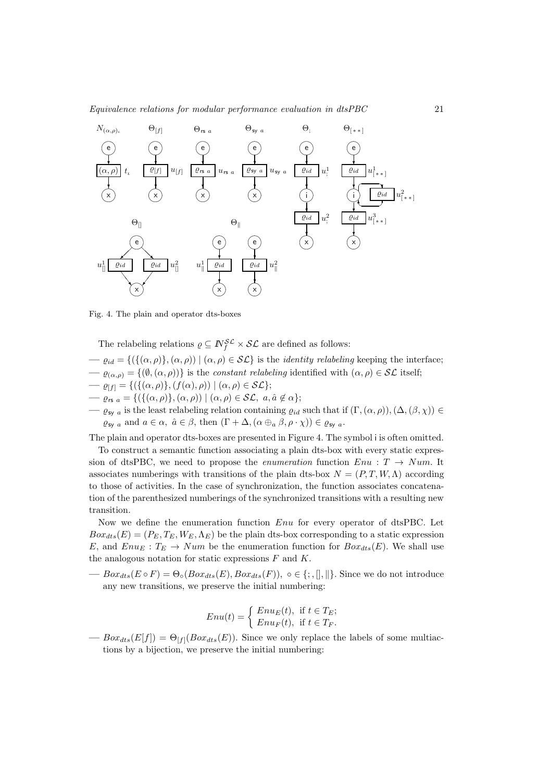

Fig. 4. The plain and operator dts-boxes

The relabeling relations  $\rho \subseteq N_f^{\mathcal{SL}} \times \mathcal{SL}$  are defined as follows:

- $-\varrho_{id} = \{(\{(\alpha, \rho)\}, (\alpha, \rho)) \mid (\alpha, \rho) \in \mathcal{SL}\}\$ is the *identity relabeling* keeping the interface;
- $-\varrho_{(\alpha,\rho)} = \{(\emptyset,(\alpha,\rho))\}$  is the *constant relabeling* identified with  $(\alpha,\rho) \in \mathcal{SL}$  itself;
- $-\varrho_{[f]} = \{(\{(\alpha,\rho)\},(f(\alpha),\rho)) \mid (\alpha,\rho) \in \mathcal{SL}\};$
- $-\varrho_{rs a} = \{ (\{(\alpha, \rho)\}, (\alpha, \rho)) \mid (\alpha, \rho) \in \mathcal{SL}, a, \hat{a} \notin \alpha \};$
- $\varrho_{\text{sy }a}$  is the least relabeling relation containing  $\varrho_{id}$  such that if  $(\Gamma,(\alpha,\rho)),(\Delta,(\beta,\chi))\in$  $\varrho_{\mathsf{sy}\, a}$  and  $a \in \alpha$ ,  $\hat{a} \in \beta$ , then  $(\Gamma + \Delta, (\alpha \oplus_a \beta, \rho \cdot \chi)) \in \varrho_{\mathsf{sy}\, a}$ .

The plain and operator dts-boxes are presented in Figure 4. The symbol i is often omitted.

To construct a semantic function associating a plain dts-box with every static expression of dtsPBC, we need to propose the *enumeration* function  $Env : T \rightarrow Num$ . It associates numberings with transitions of the plain dts-box  $N = (P, T, W, \Lambda)$  according to those of activities. In the case of synchronization, the function associates concatenation of the parenthesized numberings of the synchronized transitions with a resulting new transition.

Now we define the enumeration function Enu for every operator of dtsPBC. Let  $Box_{dts}(E) = (P_E, T_E, W_E, \Lambda_E)$  be the plain dts-box corresponding to a static expression E, and  $Enu_E : T_E \to Num$  be the enumeration function for  $Box_{dts}(E)$ . We shall use the analogous notation for static expressions  $F$  and  $K$ .

—  $Box_{dts}(E \circ F) = \Theta_{\circ}(Box_{dts}(E),Box_{dts}(F)), \circ \in \{; , \|, \| \}.$  Since we do not introduce any new transitions, we preserve the initial numbering:

$$
Enu(t) = \begin{cases} Enu_E(t), & \text{if } t \in T_E; \\ Enu_F(t), & \text{if } t \in T_F. \end{cases}
$$

 $\longrightarrow Box_{cts}(E[f]) = \Theta_{[f]}(Box_{tds}(E)).$  Since we only replace the labels of some multiactions by a bijection, we preserve the initial numbering: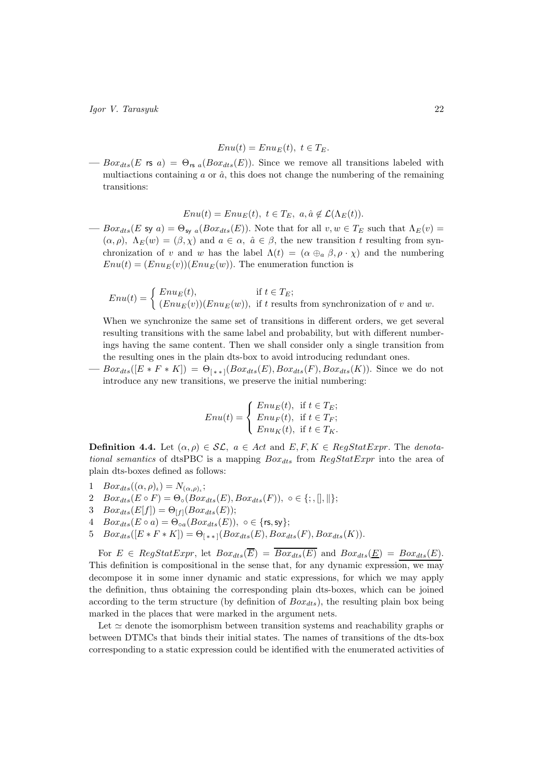$$
Enu(t) = EnuE(t), t \in TE.
$$

 $-$  Box<sub>dts</sub>(E rs a) =  $\Theta_{rs}$  (Box<sub>dts</sub>(E)). Since we remove all transitions labeled with multiactions containing  $a$  or  $\hat{a}$ , this does not change the numbering of the remaining transitions:

$$
Enu(t) = EnuE(t), t \in TE, a, \hat{a} \notin \mathcal{L}(\Lambda_E(t)).
$$

—  $Box_{dts}(E \text{ sy } a) = \Theta_{\text{sy } a}(Box_{dts}(E))$ . Note that for all  $v, w \in T_E$  such that  $\Lambda_E(v)$  $(\alpha, \rho)$ ,  $\Lambda_E(w) = (\beta, \chi)$  and  $a \in \alpha$ ,  $\hat{a} \in \beta$ , the new transition t resulting from synchronization of v and w has the label  $\Lambda(t) = (\alpha \oplus_a \beta, \rho \cdot \chi)$  and the numbering  $Env(t) = (Env<sub>E</sub>(v))(Env(w))$ . The enumeration function is

$$
Enu(t) = \begin{cases} Enu_E(t), & \text{if } t \in T_E; \\ (Enu_E(v))(Enu_E(w)), & \text{if } t \text{ results from synchronization of } v \text{ and } w. \end{cases}
$$

When we synchronize the same set of transitions in different orders, we get several resulting transitions with the same label and probability, but with different numberings having the same content. Then we shall consider only a single transition from the resulting ones in the plain dts-box to avoid introducing redundant ones.

 $Box_{dts}([E * F * K]) = \Theta_{(**]}(Box_{dts}(E), Box_{dts}(F), Box_{dts}(K)).$  Since we do not introduce any new transitions, we preserve the initial numbering:

$$
Enu(t) = \begin{cases} Enu_E(t), & \text{if } t \in T_E; \\ Enu_F(t), & \text{if } t \in T_F; \\ Enu_K(t), & \text{if } t \in T_K. \end{cases}
$$

**Definition 4.4.** Let  $(\alpha, \rho) \in \mathcal{SL}$ ,  $a \in Act$  and  $E, F, K \in RegStatExpr$ . The *denota*tional semantics of dtsPBC is a mapping  $Box_{dts}$  from  $RegStatExpr$  into the area of plain dts-boxes defined as follows:

- 1  $Box_{dts}((\alpha, \rho)_\iota) = N_{(\alpha, \rho)_\iota};$
- 2  $Box_{dts}(E \circ F) = \Theta_{\circ}(Box_{dts}(E),Box_{dts}(F)), \circ \in \{; , \|, \| \};$
- 3  $Box_{dts}(E[f]) = \Theta_{[f]}(Box_{dts}(E));$
- 4  $Box_{dts}(E \circ a) = \Theta_{oa}(Box_{dts}(E)), o \in \{rs, sy\};$
- 5  $Box_{dts}([E * F * K]) = \Theta_{[**]}(Box_{dts}(E), Box_{dts}(F), Box_{dts}(K)).$

For  $E \in RegStatexpr$ , let  $Box_{dts}(\overline{E}) = \overline{Box_{dts}(E)}$  and  $Box_{dts}(E) = Box_{dts}(E)$ . This definition is compositional in the sense that, for any dynamic expression, we may decompose it in some inner dynamic and static expressions, for which we may apply the definition, thus obtaining the corresponding plain dts-boxes, which can be joined according to the term structure (by definition of  $Box_{dts}$ ), the resulting plain box being marked in the places that were marked in the argument nets.

Let  $\simeq$  denote the isomorphism between transition systems and reachability graphs or between DTMCs that binds their initial states. The names of transitions of the dts-box corresponding to a static expression could be identified with the enumerated activities of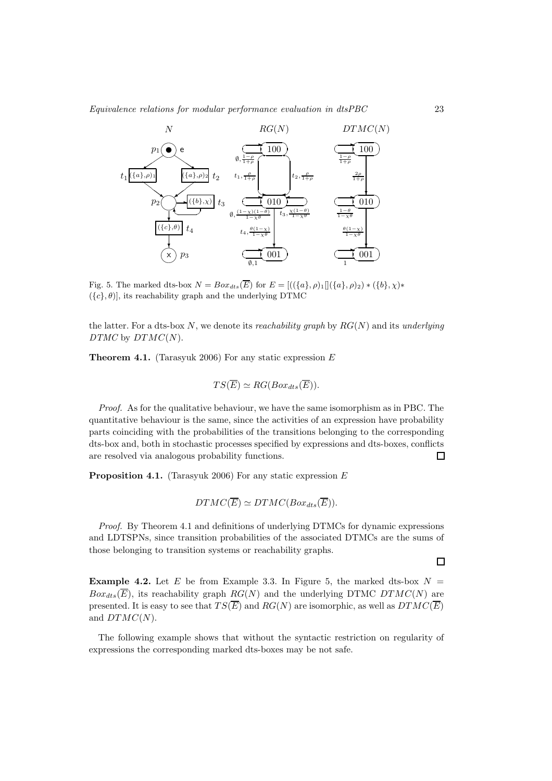

Fig. 5. The marked dts-box  $N = Box_{dts}(\overline{E})$  for  $E = [(({a}, \rho)_1][({a}, \rho)_2) * ({b}, \chi)*$  $({c}, \theta)$ , its reachability graph and the underlying DTMC

the latter. For a dts-box N, we denote its reachability graph by  $RG(N)$  and its underlying  $DTMC$  by  $DTMC(N)$ .

**Theorem 4.1.** (Tarasyuk 2006) For any static expression  $E$ 

$$
TS(\overline{E}) \simeq RG(Box_{dts}(\overline{E})).
$$

Proof. As for the qualitative behaviour, we have the same isomorphism as in PBC. The quantitative behaviour is the same, since the activities of an expression have probability parts coinciding with the probabilities of the transitions belonging to the corresponding dts-box and, both in stochastic processes specified by expressions and dts-boxes, conflicts are resolved via analogous probability functions.  $\Box$ 

**Proposition 4.1.** (Tarasyuk 2006) For any static expression  $E$ 

$$
DTMC(\overline{E}) \simeq DTMC(Box_{dts}(\overline{E})).
$$

Proof. By Theorem 4.1 and definitions of underlying DTMCs for dynamic expressions and LDTSPNs, since transition probabilities of the associated DTMCs are the sums of those belonging to transition systems or reachability graphs.

**Example 4.2.** Let E be from Example 3.3. In Figure 5, the marked dts-box  $N =$  $Box_{dts}(\overline{E})$ , its reachability graph  $RG(N)$  and the underlying DTMC DTMC(N) are presented. It is easy to see that  $TS(\overline{E})$  and  $RG(N)$  are isomorphic, as well as  $DTMC(\overline{E})$ and  $DTMC(N)$ .

The following example shows that without the syntactic restriction on regularity of expressions the corresponding marked dts-boxes may be not safe.

 $\Box$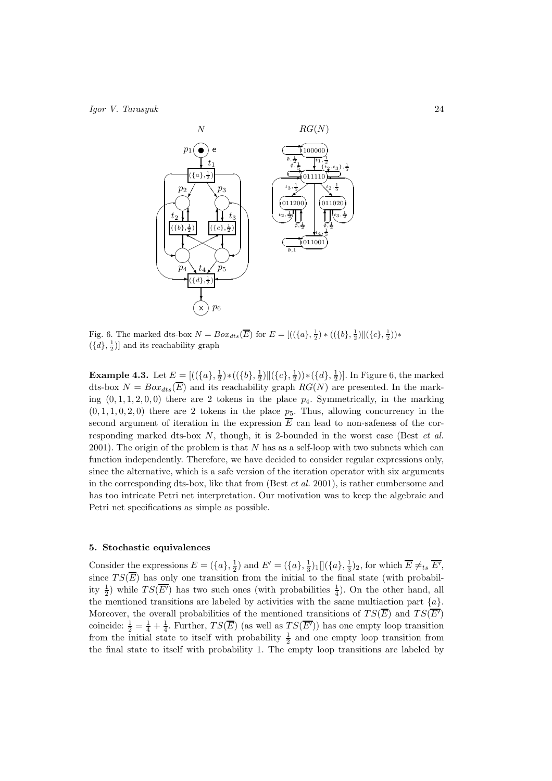

Fig. 6. The marked dts-box  $N = Box_{dts}(\overline{E})$  for  $E = [((\{a\}, \frac{1}{2}) * ((\{b\}, \frac{1}{2}) || (\{c\}, \frac{1}{2})) *$  $(\lbrace d \rbrace, \frac{1}{2})$ ] and its reachability graph

**Example 4.3.** Let  $E = [((\{a\}, \frac{1}{2}) * ((\{b\}, \frac{1}{2}) || (\{c\}, \frac{1}{2})) * (\{d\}, \frac{1}{2})].$  In Figure 6, the marked dts-box  $N = Box_{ds}(\overline{E})$  and its reachability graph  $RG(N)$  are presented. In the marking  $(0, 1, 1, 2, 0, 0)$  there are 2 tokens in the place  $p_4$ . Symmetrically, in the marking  $(0, 1, 1, 0, 2, 0)$  there are 2 tokens in the place  $p_5$ . Thus, allowing concurrency in the second argument of iteration in the expression  $\overline{E}$  can lead to non-safeness of the corresponding marked dts-box  $N$ , though, it is 2-bounded in the worst case (Best et al.  $2001$ ). The origin of the problem is that N has as a self-loop with two subnets which can function independently. Therefore, we have decided to consider regular expressions only, since the alternative, which is a safe version of the iteration operator with six arguments in the corresponding dts-box, like that from (Best *et al.* 2001), is rather cumbersome and has too intricate Petri net interpretation. Our motivation was to keep the algebraic and Petri net specifications as simple as possible.

## 5. Stochastic equivalences

Consider the expressions  $E = (\{a\}, \frac{1}{2})$  and  $E' = (\{a\}, \frac{1}{3})_1 [](\{a\}, \frac{1}{3})_2$ , for which  $\overline{E} \neq_{ts} \overline{E'}$ , since  $TS(\overline{E})$  has only one transition from the initial to the final state (with probability  $\frac{1}{2}$ ) while  $TS(\overline{E'})$  has two such ones (with probabilities  $\frac{1}{4}$ ). On the other hand, all the mentioned transitions are labeled by activities with the same multiaction part  $\{a\}$ . Moreover, the overall probabilities of the mentioned transitions of  $TS(\overline{E})$  and  $TS(\overline{E'})$ coincide:  $\frac{1}{2} = \frac{1}{4} + \frac{1}{4}$ . Further,  $TS(\overline{E})$  (as well as  $TS(\overline{E'})$ ) has one empty loop transition from the initial state to itself with probability  $\frac{1}{2}$  and one empty loop transition from the final state to itself with probability 1. The empty loop transitions are labeled by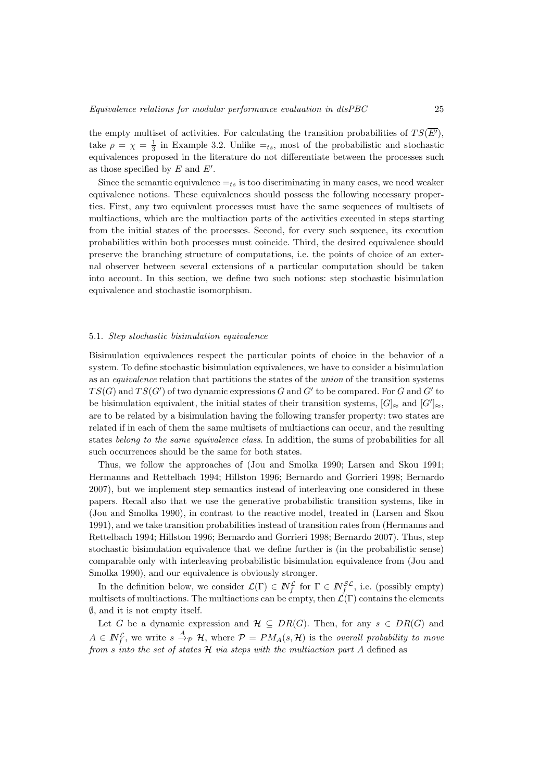the empty multiset of activities. For calculating the transition probabilities of  $TS(\overline{E'})$ , take  $\rho = \chi = \frac{1}{3}$  in Example 3.2. Unlike  $=_{ts}$ , most of the probabilistic and stochastic equivalences proposed in the literature do not differentiate between the processes such as those specified by  $E$  and  $E'$ .

Since the semantic equivalence  $=t_s$  is too discriminating in many cases, we need weaker equivalence notions. These equivalences should possess the following necessary properties. First, any two equivalent processes must have the same sequences of multisets of multiactions, which are the multiaction parts of the activities executed in steps starting from the initial states of the processes. Second, for every such sequence, its execution probabilities within both processes must coincide. Third, the desired equivalence should preserve the branching structure of computations, i.e. the points of choice of an external observer between several extensions of a particular computation should be taken into account. In this section, we define two such notions: step stochastic bisimulation equivalence and stochastic isomorphism.

# 5.1. Step stochastic bisimulation equivalence

Bisimulation equivalences respect the particular points of choice in the behavior of a system. To define stochastic bisimulation equivalences, we have to consider a bisimulation as an equivalence relation that partitions the states of the union of the transition systems  $TS(G)$  and  $TS(G')$  of two dynamic expressions G and G' to be compared. For G and G' to be bisimulation equivalent, the initial states of their transition systems,  $[G]_{\approx}$  and  $[G']_{\approx}$ , are to be related by a bisimulation having the following transfer property: two states are related if in each of them the same multisets of multiactions can occur, and the resulting states belong to the same equivalence class. In addition, the sums of probabilities for all such occurrences should be the same for both states.

Thus, we follow the approaches of (Jou and Smolka 1990; Larsen and Skou 1991; Hermanns and Rettelbach 1994; Hillston 1996; Bernardo and Gorrieri 1998; Bernardo 2007), but we implement step semantics instead of interleaving one considered in these papers. Recall also that we use the generative probabilistic transition systems, like in (Jou and Smolka 1990), in contrast to the reactive model, treated in (Larsen and Skou 1991), and we take transition probabilities instead of transition rates from (Hermanns and Rettelbach 1994; Hillston 1996; Bernardo and Gorrieri 1998; Bernardo 2007). Thus, step stochastic bisimulation equivalence that we define further is (in the probabilistic sense) comparable only with interleaving probabilistic bisimulation equivalence from (Jou and Smolka 1990), and our equivalence is obviously stronger.

In the definition below, we consider  $\mathcal{L}(\Gamma) \in \mathbb{N}_f^{\mathcal{L}}$  for  $\Gamma \in \mathbb{N}_f^{S\mathcal{L}}$ , i.e. (possibly empty) multisets of multiactions. The multiactions can be empty, then  $\mathcal{L}(\Gamma)$  contains the elements  $\emptyset$ , and it is not empty itself.

Let G be a dynamic expression and  $\mathcal{H} \subseteq DR(G)$ . Then, for any  $s \in DR(G)$  and  $A \in \mathbb{N}_f^{\mathcal{L}}$ , we write  $s \stackrel{A}{\rightarrow}_{\mathcal{P}} \mathcal{H}$ , where  $\mathcal{P} = PM_A(s, \mathcal{H})$  is the *overall probability to move* from  $s$  into the set of states  $H$  via steps with the multiaction part  $A$  defined as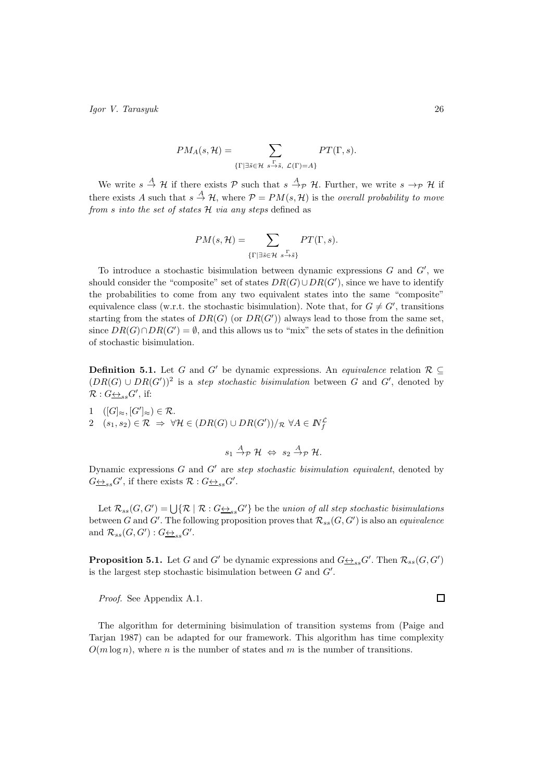$$
PM_A(s, \mathcal{H}) = \sum_{\{\Gamma \mid \exists \tilde{s} \in \mathcal{H} \ s \stackrel{\Gamma}{\rightarrow} \tilde{s}, \ \mathcal{L}(\Gamma) = A\}} PT(\Gamma, s).
$$

We write  $s \stackrel{A}{\to} H$  if there exists  $P$  such that  $s \stackrel{A}{\to} P$  H. Further, we write  $s \to_P H$  if there exists A such that  $s \stackrel{A}{\rightarrow} H$ , where  $P = PM(s, H)$  is the *overall probability to move* from s into the set of states  $H$  via any steps defined as

$$
PM(s, \mathcal{H}) = \sum_{\{\Gamma \mid \exists \tilde{s} \in \mathcal{H} \ s \stackrel{\Gamma}{\rightarrow} \tilde{s}\}} PT(\Gamma, s).
$$

To introduce a stochastic bisimulation between dynamic expressions  $G$  and  $G'$ , we should consider the "composite" set of states  $DR(G) \cup DR(G')$ , since we have to identify the probabilities to come from any two equivalent states into the same "composite" equivalence class (w.r.t. the stochastic bisimulation). Note that, for  $G \neq G'$ , transitions starting from the states of  $DR(G)$  (or  $DR(G')$ ) always lead to those from the same set, since  $DR(G) \cap DR(G') = \emptyset$ , and this allows us to "mix" the sets of states in the definition of stochastic bisimulation.

**Definition 5.1.** Let G and G' be dynamic expressions. An *equivalence* relation  $\mathcal{R} \subseteq$  $(DR(G) \cup DR(G'))^2$  is a step stochastic bisimulation between G and G', denoted by  $\mathcal{R}: G_{\underbrace{\leftrightarrow}_{ss} G'}$ , if:

1 
$$
([G]_{\approx}, [G']_{\approx}) \in \mathcal{R}.
$$
  
2 
$$
(s_1, s_2) \in \mathcal{R} \Rightarrow \forall \mathcal{H} \in (DR(G) \cup DR(G'))/\mathcal{R} \ \forall A \in \mathbb{N}_f^{\mathcal{L}}
$$

$$
s_1 \stackrel{A}{\rightarrow} p \mathcal{H} \Leftrightarrow s_2 \stackrel{A}{\rightarrow} p \mathcal{H}.
$$

Dynamic expressions  $G$  and  $G'$  are step stochastic bisimulation equivalent, denoted by  $G_{\underbrace{\leftrightarrow}_{ss}G'}$ , if there exists  $\mathcal{R}: G_{\underbrace{\leftrightarrow}_{ss}G'}$ .

Let  $\mathcal{R}_{ss}(G,G') = \bigcup \{ \mathcal{R} \mid \mathcal{R} : G \rightarrow_{ss} G' \}$  be the union of all step stochastic bisimulations between G and G'. The following proposition proves that  $\mathcal{R}_{ss}(G, G')$  is also an *equivalence* and  $\mathcal{R}_{ss}(G, G') : G \underline{\leftrightarrow}_{ss} G'$ .

**Proposition 5.1.** Let G and G' be dynamic expressions and  $G \rightarrow S_{ss}G'$ . Then  $\mathcal{R}_{ss}(G, G')$ is the largest step stochastic bisimulation between  $G$  and  $G'$ .

Proof. See Appendix A.1.

The algorithm for determining bisimulation of transition systems from (Paige and Tarjan 1987) can be adapted for our framework. This algorithm has time complexity  $O(m \log n)$ , where n is the number of states and m is the number of transitions.

 $\Box$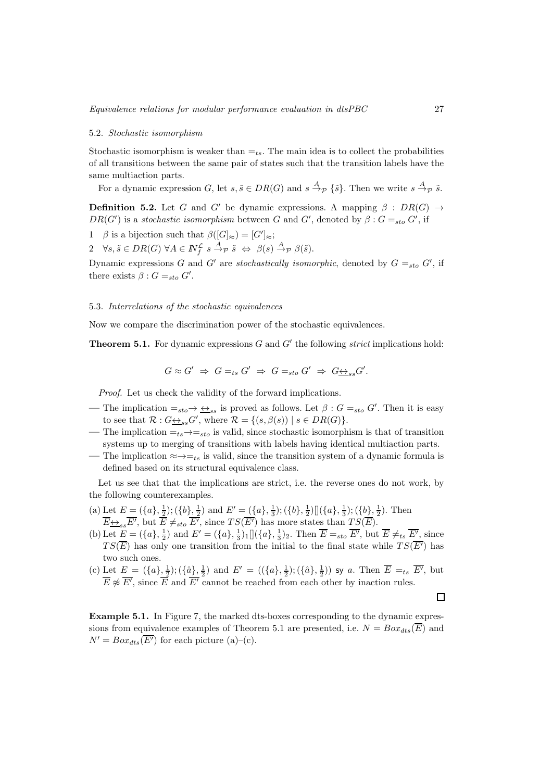# 5.2. Stochastic isomorphism

Stochastic isomorphism is weaker than  $=_{ts}$ . The main idea is to collect the probabilities of all transitions between the same pair of states such that the transition labels have the same multiaction parts.

For a dynamic expression G, let  $s, \tilde{s} \in DR(G)$  and  $s \stackrel{A}{\rightarrow}_{\mathcal{P}} \{\tilde{s}\}\)$ . Then we write  $s \stackrel{A}{\rightarrow}_{\mathcal{P}} \tilde{s}$ .

**Definition 5.2.** Let G and G' be dynamic expressions. A mapping  $\beta$  : DR(G)  $\rightarrow$  $DR(G')$  is a stochastic isomorphism between G and G', denoted by  $\beta: G =_{sto} G'$ , if

1 β is a bijection such that  $\beta([G]_{\approx}) = [G']_{\approx};$ 

 $2 \quad \forall s, \tilde{s} \in DR(G) \ \forall A \in \mathbb{N}_{f}^{\mathcal{L}} \ s \stackrel{A}{\rightarrow}_{\mathcal{P}} \tilde{s} \ \Leftrightarrow \ \beta(s) \stackrel{A}{\rightarrow}_{\mathcal{P}} \beta(\tilde{s}).$ 

Dynamic expressions G and G' are stochastically isomorphic, denoted by  $G =_{sto} G'$ , if there exists  $\beta$  :  $G =_{sto} G'$ .

# 5.3. Interrelations of the stochastic equivalences

Now we compare the discrimination power of the stochastic equivalences.

**Theorem 5.1.** For dynamic expressions  $G$  and  $G'$  the following *strict* implications hold:

$$
G \approx G' \Rightarrow G =_{ts} G' \Rightarrow G =_{sto} G' \Rightarrow G \underline{\leftrightarrow}_{ss} G'.
$$

Proof. Let us check the validity of the forward implications.

- The implication  $=_{sto} \rightarrow \underline{\leftrightarrow}_{ss}$  is proved as follows. Let  $\beta : G =_{sto} G'$ . Then it is easy to see that  $\mathcal{R}: G \rightarrow_{ss} G'$ , where  $\mathcal{R} = \{(s, \beta(s)) \mid s \in DR(G)\}.$
- The implication  $=_{ts} \rightarrow =_{sto}$  is valid, since stochastic isomorphism is that of transition systems up to merging of transitions with labels having identical multiaction parts. — The implication  $\approx \rightarrow =_{ts}$  is valid, since the transition system of a dynamic formula is

defined based on its structural equivalence class.

Let us see that that the implications are strict, i.e. the reverse ones do not work, by the following counterexamples.

- (a) Let  $E = (\{a\}, \frac{1}{2}); (\{b\}, \frac{1}{2})$  and  $E' = (\{a\}, \frac{1}{3}); (\{b\}, \frac{1}{2}) \[(a\}, \frac{1}{3}); (\{b\}, \frac{1}{2})$ . Then  $\overline{E} \underline{\leftrightarrow}_{ss} \overline{E'}$ , but  $\overline{E} \neq_{sto} \overline{E'}$ , since  $TS(\overline{E'})$  has more states than  $TS(\overline{E})$ .
- (b) Let  $\underline{E} = (\{a\}, \frac{1}{2})$  and  $E' = (\{a\}, \frac{1}{3})_1 [(\{a\}, \frac{1}{3})_2]$ . Then  $\overline{E} =_{sto} \overline{E'}$ , but  $\overline{E} \neq_{ts} \overline{E'}$ , since  $TS(\overline{E})$  has only one transition from the initial to the final state while  $TS(\overline{E'})$  has two such ones.
- (c) Let  $E = (\{a\}, \frac{1}{2}); (\{\hat{a}\}, \frac{1}{2})$  and  $E' = ((\{a\}, \frac{1}{2}); (\{\hat{a}\}, \frac{1}{2}))$  sy a. Then  $\overline{E} =_{ts} \overline{E'}$ , but  $\overline{E} \not\approx \overline{E'}$ , since  $\overline{E}$  and  $\overline{E'}$  cannot be reached from each other by inaction rules.

Example 5.1. In Figure 7, the marked dts-boxes corresponding to the dynamic expressions from equivalence examples of Theorem 5.1 are presented, i.e.  $N = Box_{ds}(\overline{E})$  and  $N' = Box_{dts}(\overline{E'})$  for each picture (a)–(c).

 $\Box$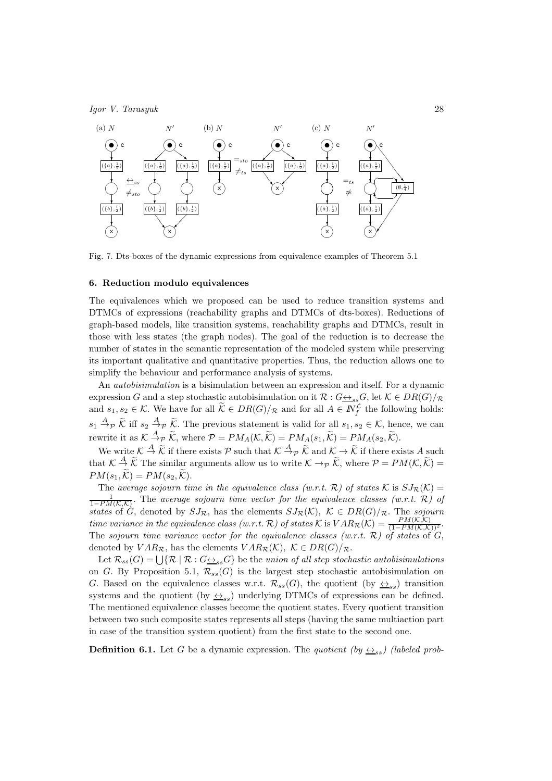

Fig. 7. Dts-boxes of the dynamic expressions from equivalence examples of Theorem 5.1

# 6. Reduction modulo equivalences

The equivalences which we proposed can be used to reduce transition systems and DTMCs of expressions (reachability graphs and DTMCs of dts-boxes). Reductions of graph-based models, like transition systems, reachability graphs and DTMCs, result in those with less states (the graph nodes). The goal of the reduction is to decrease the number of states in the semantic representation of the modeled system while preserving its important qualitative and quantitative properties. Thus, the reduction allows one to simplify the behaviour and performance analysis of systems.

An autobisimulation is a bisimulation between an expression and itself. For a dynamic expression G and a step stochastic autobisimulation on it  $\mathcal{R}: G \leftrightarrow_{ss} G$ , let  $\mathcal{K} \in DR(G)/\mathcal{R}$ and  $s_1, s_2 \in \mathcal{K}$ . We have for all  $\hat{\mathcal{K}} \in DR(G)/_{\mathcal{R}}$  and for all  $A \in \mathbb{N}_{f}^{\mathcal{L}}$  the following holds:  $s_1 \stackrel{A}{\rightarrow} p \widetilde{K}$  iff  $s_2 \stackrel{A}{\rightarrow} p \widetilde{K}$ . The previous statement is valid for all  $s_1, s_2 \in \mathcal{K}$ , hence, we can rewrite it as  $K \stackrel{A}{\to} p \widetilde{K}$ , where  $P = PM_A(\mathcal{K}, \widetilde{\mathcal{K}}) = PM_A(s_1, \widetilde{\mathcal{K}}) = PM_A(s_2, \widetilde{\mathcal{K}})$ .

We write  $\mathcal{K} \stackrel{A}{\to} \widetilde{\mathcal{K}}$  if there exists  $\mathcal{P}$  such that  $\mathcal{K} \stackrel{A}{\to} \widetilde{\mathcal{F}}$  and  $\mathcal{K} \to \widetilde{\mathcal{K}}$  if there exists A such that  $\mathcal{K} \stackrel{A}{\rightarrow} \widetilde{\mathcal{K}}$  The similar arguments allow us to write  $\mathcal{K} \rightarrow_{\mathcal{P}} \widetilde{\mathcal{K}}$ , where  $\mathcal{P} = PM(\mathcal{K}, \widetilde{\mathcal{K}}) =$  $PM(s_1, \widetilde{\mathcal{K}}) = PM(s_2, \widetilde{\mathcal{K}}).$ 

The average sojourn time in the equivalence class (w.r.t. R) of states K is  $SJ_{\mathcal{R}}(\mathcal{K}) =$  $\frac{1}{1-PM(\mathcal{K},\mathcal{K})}$ . The average sojourn time vector for the equivalence classes (w.r.t. R) of states of G, denoted by  $SJ_{\mathcal{R}}$ , has the elements  $SJ_{\mathcal{R}}(\mathcal{K})$ ,  $\mathcal{K} \in DR(G)/_{\mathcal{R}}$ . The sojourn time variance in the equivalence class (w.r.t. R) of states K is  $VAR_{\mathcal{R}}(\mathcal{K}) = \frac{PM(\mathcal{K},\mathcal{K})}{(1-PM(\mathcal{K},\mathcal{K}))^2}$ . The sojourn time variance vector for the equivalence classes (w.r.t.  $\mathcal{R}$ ) of states of  $G$ , denoted by  $VAR_{\mathcal{R}}$ , has the elements  $VAR_{\mathcal{R}}(\mathcal{K})$ ,  $\mathcal{K} \in DR(G)/_{\mathcal{R}}$ .

Let  $\mathcal{R}_{ss}(G) = \bigcup \{ \mathcal{R} \mid \mathcal{R} : G \underline{\leftrightarrow}_{ss} G \}$  be the union of all step stochastic autobisimulations on G. By Proposition 5.1,  $\mathcal{R}_{ss}(G)$  is the largest step stochastic autobisimulation on G. Based on the equivalence classes w.r.t.  $\mathcal{R}_{ss}(G)$ , the quotient (by  $\leq_{ss}$ ) transition systems and the quotient (by  $\leftrightarrow_{ss}$ ) underlying DTMCs of expressions can be defined. The mentioned equivalence classes become the quotient states. Every quotient transition between two such composite states represents all steps (having the same multiaction part in case of the transition system quotient) from the first state to the second one.

**Definition 6.1.** Let G be a dynamic expression. The quotient (by  $\leftrightarrow_{ss}$ ) (labeled prob-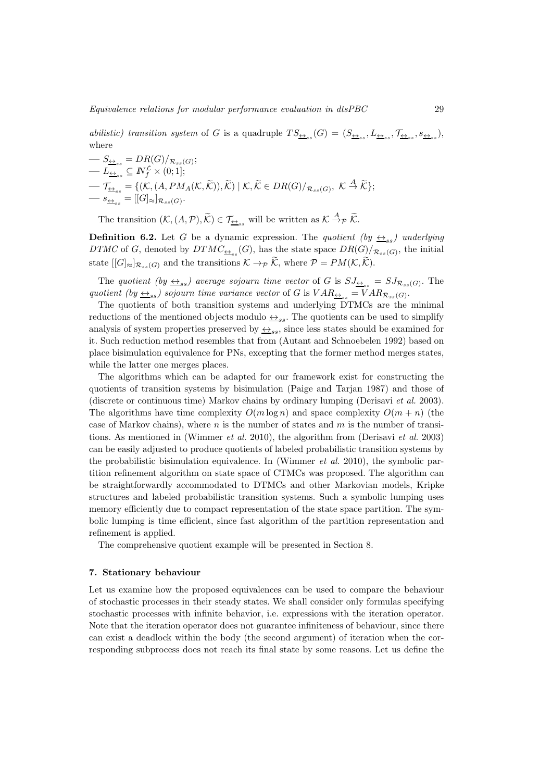*abilistic*) transition system of G is a quadruple  $TS_{\frac{\Delta}{\Delta s}}(G) = (S_{\frac{\Delta}{\Delta s}s}, L_{\frac{\Delta}{\Delta s}s}, \mathcal{T}_{\frac{\Delta}{\Delta s}s}, s_{\frac{\Delta s}{\Delta s}})$ , where

$$
- S_{\underline{\leftrightarrow}_{ss}} = DR(G)/_{\mathcal{R}_{ss}(G)};
$$
  
\n
$$
- L_{\underline{\leftrightarrow}_{ss}} \subseteq N_f^{\mathcal{L}} \times (0; 1];
$$
  
\n
$$
- \mathcal{T}_{\underline{\leftrightarrow}_{ss}} = \{ (\mathcal{K}, (A, PM_A(\mathcal{K}, \widetilde{\mathcal{K}})), \widetilde{\mathcal{K}}) \mid \mathcal{K}, \widetilde{\mathcal{K}} \in DR(G)/_{\mathcal{R}_{ss}(G)}, \mathcal{K} \stackrel{A}{\to} \widetilde{\mathcal{K}} \};
$$
  
\n
$$
- s_{\underline{\leftrightarrow}_{ss}} = [[G]_{\approx} ]_{\mathcal{R}_{ss}(G)}.
$$

The transition  $(\mathcal{K}, (A, \mathcal{P}), \widetilde{\mathcal{K}}) \in \mathcal{T}_{\underline{\leftrightarrow}_{ss}}$  will be written as  $\mathcal{K} \stackrel{A}{\rightarrow} \mathcal{P} \widetilde{\mathcal{K}}$ .

**Definition 6.2.** Let G be a dynamic expression. The quotient (by  $\leftrightarrow_{ss}$ ) underlying DTMC of G, denoted by  $DTMC_{\frac{\leftrightarrow}{2}}(G)$ , has the state space  $DR(G)/_{\mathcal{R}_{ss}(G)}$ , the initial state  $[[G]_{\approx}]_{\mathcal{R}_{ss}(G)}$  and the transitions  $\mathcal{K} \to_{\mathcal{P}} \widetilde{\mathcal{K}}$ , where  $\mathcal{P} = PM(\mathcal{K}, \widetilde{\mathcal{K}})$ .

The quotient (by  $\leftrightarrow_{ss}$ ) average sojourn time vector of G is  $SJ_{\leftrightarrow_{ss}} = SJ_{\mathcal{R}_{ss}(G)}$ . The quotient (by  $\leftrightarrow_{ss}$ ) sojourn time variance vector of G is  $VAR_{\leftrightarrow_{ss}} = VAR_{\mathcal{R}_{ss}(G)}$ .

The quotients of both transition systems and underlying DTMCs are the minimal reductions of the mentioned objects modulo  $\leftrightarrow_{ss}$ . The quotients can be used to simplify analysis of system properties preserved by  $\leftrightarrow_{ss}$ , since less states should be examined for it. Such reduction method resembles that from (Autant and Schnoebelen 1992) based on place bisimulation equivalence for PNs, excepting that the former method merges states, while the latter one merges places.

The algorithms which can be adapted for our framework exist for constructing the quotients of transition systems by bisimulation (Paige and Tarjan 1987) and those of (discrete or continuous time) Markov chains by ordinary lumping (Derisavi et al. 2003). The algorithms have time complexity  $O(m \log n)$  and space complexity  $O(m + n)$  (the case of Markov chains), where  $n$  is the number of states and  $m$  is the number of transitions. As mentioned in (Wimmer et al. 2010), the algorithm from (Derisavi et al. 2003) can be easily adjusted to produce quotients of labeled probabilistic transition systems by the probabilistic bisimulation equivalence. In (Wimmer et al. 2010), the symbolic partition refinement algorithm on state space of CTMCs was proposed. The algorithm can be straightforwardly accommodated to DTMCs and other Markovian models, Kripke structures and labeled probabilistic transition systems. Such a symbolic lumping uses memory efficiently due to compact representation of the state space partition. The symbolic lumping is time efficient, since fast algorithm of the partition representation and refinement is applied.

The comprehensive quotient example will be presented in Section 8.

# 7. Stationary behaviour

Let us examine how the proposed equivalences can be used to compare the behaviour of stochastic processes in their steady states. We shall consider only formulas specifying stochastic processes with infinite behavior, i.e. expressions with the iteration operator. Note that the iteration operator does not guarantee infiniteness of behaviour, since there can exist a deadlock within the body (the second argument) of iteration when the corresponding subprocess does not reach its final state by some reasons. Let us define the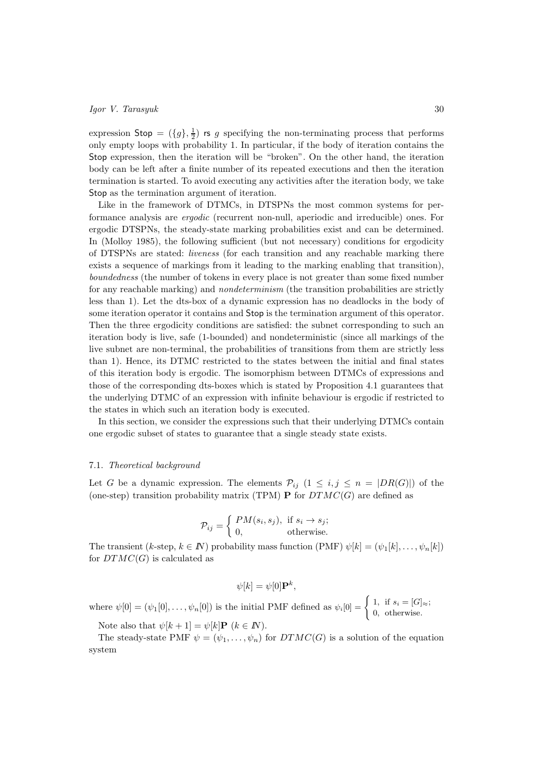expression  $\textsf{Stop} = (\{g\}, \frac{1}{2})$  is g specifying the non-terminating process that performs only empty loops with probability 1. In particular, if the body of iteration contains the Stop expression, then the iteration will be "broken". On the other hand, the iteration body can be left after a finite number of its repeated executions and then the iteration termination is started. To avoid executing any activities after the iteration body, we take Stop as the termination argument of iteration.

Like in the framework of DTMCs, in DTSPNs the most common systems for performance analysis are ergodic (recurrent non-null, aperiodic and irreducible) ones. For ergodic DTSPNs, the steady-state marking probabilities exist and can be determined. In (Molloy 1985), the following sufficient (but not necessary) conditions for ergodicity of DTSPNs are stated: liveness (for each transition and any reachable marking there exists a sequence of markings from it leading to the marking enabling that transition), boundedness (the number of tokens in every place is not greater than some fixed number for any reachable marking) and *nondeterminism* (the transition probabilities are strictly less than 1). Let the dts-box of a dynamic expression has no deadlocks in the body of some iteration operator it contains and Stop is the termination argument of this operator. Then the three ergodicity conditions are satisfied: the subnet corresponding to such an iteration body is live, safe (1-bounded) and nondeterministic (since all markings of the live subnet are non-terminal, the probabilities of transitions from them are strictly less than 1). Hence, its DTMC restricted to the states between the initial and final states of this iteration body is ergodic. The isomorphism between DTMCs of expressions and those of the corresponding dts-boxes which is stated by Proposition 4.1 guarantees that the underlying DTMC of an expression with infinite behaviour is ergodic if restricted to the states in which such an iteration body is executed.

In this section, we consider the expressions such that their underlying DTMCs contain one ergodic subset of states to guarantee that a single steady state exists.

# 7.1. Theoretical background

Let G be a dynamic expression. The elements  $\mathcal{P}_{ij}$   $(1 \leq i, j \leq n = |DR(G)|)$  of the (one-step) transition probability matrix (TPM) **P** for  $DTMC(G)$  are defined as

$$
\mathcal{P}_{ij} = \begin{cases} PM(s_i, s_j), & \text{if } s_i \to s_j; \\ 0, & \text{otherwise.} \end{cases}
$$

The transient (k-step,  $k \in \mathbb{N}$ ) probability mass function (PMF)  $\psi[k] = (\psi_1[k], \dots, \psi_n[k])$ for  $DTMC(G)$  is calculated as

$$
\psi[k] = \psi[0] \mathbf{P}^k,
$$

where  $\psi[0] = (\psi_1[0], \dots, \psi_n[0])$  is the initial PMF defined as  $\psi_i[0] = \begin{cases} 1, & \text{if } s_i = [G]_{\approx}; \\ 0, & \text{otherwise} \end{cases}$ 0, otherwise.

Note also that  $\psi[k+1] = \psi[k]\mathbf{P}$   $(k \in \mathbb{N})$ .

The steady-state PMF  $\psi = (\psi_1, \ldots, \psi_n)$  for  $DTMC(G)$  is a solution of the equation system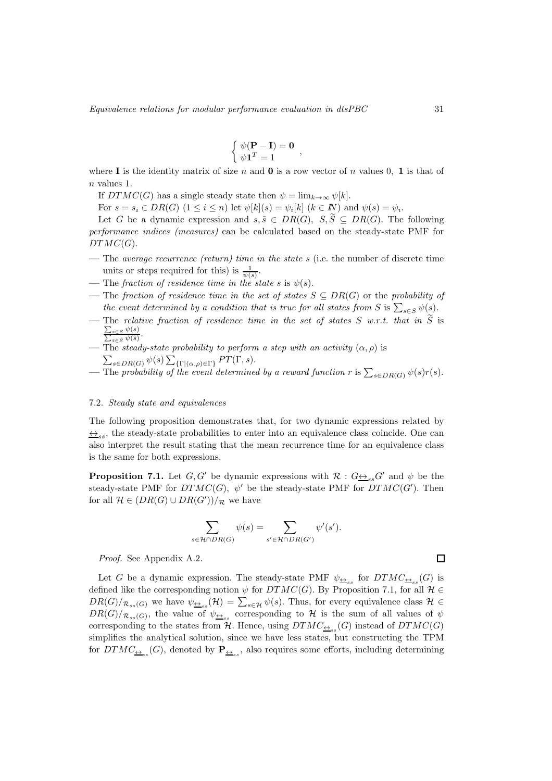$$
\begin{cases} \psi(\mathbf{P} - \mathbf{I}) = \mathbf{0} \\ \psi \mathbf{1}^T = 1 \end{cases}
$$

where I is the identity matrix of size n and 0 is a row vector of n values 0, 1 is that of n values 1.

If  $DTMC(G)$  has a single steady state then  $\psi = \lim_{k \to \infty} \psi[k]$ .

For  $s = s_i \in DR(G)$   $(1 \leq i \leq n)$  let  $\psi[k](s) = \psi_i[k]$   $(k \in \mathbb{N})$  and  $\psi(s) = \psi_i$ .

Let G be a dynamic expression and  $s, \tilde{s} \in DR(G), S, \tilde{S} \subset DR(G)$ . The following performance indices (measures) can be calculated based on the steady-state PMF for  $DTMC(G)$ .

- The average recurrence (return) time in the state s (i.e. the number of discrete time units or steps required for this) is  $\frac{1}{\psi(s)}$ .
- The fraction of residence time in the state s is  $\psi(s)$ .
- The fraction of residence time in the set of states  $S \subseteq DR(G)$  or the probability of the event determined by a condition that is true for all states from S is  $\sum_{s \in S} \psi(s)$ .
- The relative fraction of residence time in the set of states  $S$  w.r.t. that in  $S$  is  $\frac{\sum_{s\in S}\psi(s)}{\sum_{\tilde{s}\in \tilde{S}}\psi(\tilde{s})}.$
- The steady-state probability to perform a step with an activity  $(\alpha, \rho)$  is  $\sum_{s \in DR(G)} \psi(s) \sum_{\{\Gamma \mid (\alpha,\rho) \in \Gamma\}} PT(\Gamma, s).$
- The probability of the event determined by a reward function r is  $\sum_{s \in DR(G)} \psi(s) r(s)$ .

#### 7.2. Steady state and equivalences

The following proposition demonstrates that, for two dynamic expressions related by  $\leftrightarrow_{\varepsilon_{\varepsilon}}$ , the steady-state probabilities to enter into an equivalence class coincide. One can also interpret the result stating that the mean recurrence time for an equivalence class is the same for both expressions.

**Proposition 7.1.** Let  $G, G'$  be dynamic expressions with  $\mathcal{R}: G \leftrightarrow S$  and  $\psi$  be the steady-state PMF for  $DTMC(G)$ ,  $\psi'$  be the steady-state PMF for  $DTMC(G')$ . Then for all  $\mathcal{H} \in (DR(G) \cup DR(G'))/R$  we have

$$
\sum_{s \in \mathcal{H} \cap DR(G)} \psi(s) = \sum_{s' \in \mathcal{H} \cap DR(G')} \psi'(s').
$$

Proof. See Appendix A.2.

Let G be a dynamic expression. The steady-state PMF  $\psi_{\underline{\leftrightarrow}_{ss}}$  for  $DTMC_{\underline{\leftrightarrow}_{ss}}(G)$  is defined like the corresponding notion  $\psi$  for  $DTMC(G)$ . By Proposition 7.1, for all  $\mathcal{H} \in$  $DR(G)/_{\mathcal{R}_{ss}(G)}$  we have  $\psi_{\underline{\leftrightarrow}_{ss}}(\mathcal{H}) = \sum_{s\in\mathcal{H}} \psi(s)$ . Thus, for every equivalence class  $\mathcal{H} \in$  $DR(G)/_{\mathcal{R}_{ss}(G)}$ , the value of  $\psi_{\underline{\leftrightarrow}_{ss}}$  corresponding to H is the sum of all values of  $\psi$ corresponding to the states from  $H$ . Hence, using  $DTMC_{\frac{\leftrightarrow}{\pm s}}(G)$  instead of  $DTMC(G)$ simplifies the analytical solution, since we have less states, but constructing the TPM for  $DTMC_{\underline{\leftrightarrow}_{ss}}(G)$ , denoted by  $\mathbf{P}_{\underline{\leftrightarrow}_{ss}}$ , also requires some efforts, including determining

$$
\qquad \qquad \Box
$$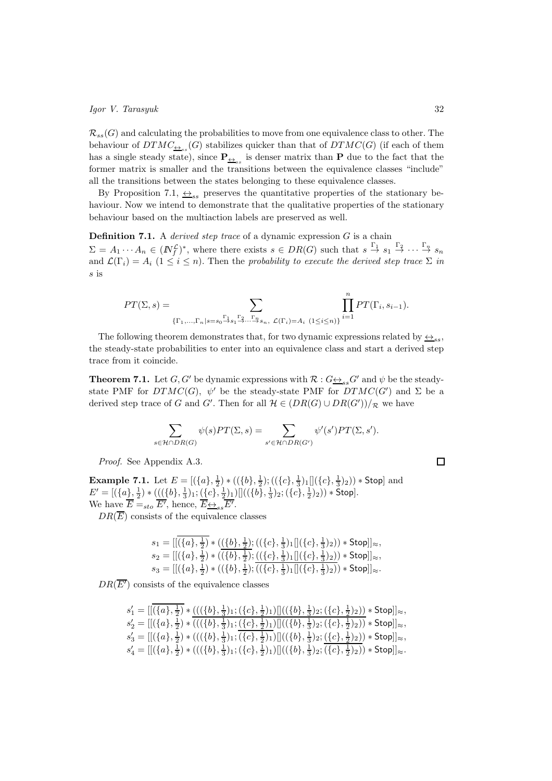$\mathcal{R}_{ss}(G)$  and calculating the probabilities to move from one equivalence class to other. The behaviour of  $DTMC_{\underbrace{\leftrightarrow}_{ss}}(G)$  stabilizes quicker than that of  $DTMC(G)$  (if each of them has a single steady state), since  $P_{\underbrace{\leftrightarrow}_{ss}}$  is denser matrix than P due to the fact that the former matrix is smaller and the transitions between the equivalence classes "include" all the transitions between the states belonging to these equivalence classes.

By Proposition 7.1,  $\leftrightarrow_{ss}$  preserves the quantitative properties of the stationary behaviour. Now we intend to demonstrate that the qualitative properties of the stationary behaviour based on the multiaction labels are preserved as well.

**Definition 7.1.** A *derived step trace* of a dynamic expression  $G$  is a chain  $\Sigma = A_1 \cdots A_n \in (N_f^{\mathcal{L}})^*$ , where there exists  $s \in DR(G)$  such that  $s \stackrel{\Gamma_1}{\rightarrow} s_1 \stackrel{\Gamma_2}{\rightarrow} \cdots \stackrel{\Gamma_n}{\rightarrow} s_n$ and  $\mathcal{L}(\Gamma_i) = A_i$  (1  $\leq i \leq n$ ). Then the probability to execute the derived step trace  $\Sigma$  in s is

$$
PT(\Sigma, s) = \sum_{\{\Gamma_1, \dots, \Gamma_n | s = s_0 \stackrel{\Gamma_1}{\rightarrow} s_1 \stackrel{\Gamma_2}{\rightarrow} \dots \stackrel{\Gamma_n}{\rightarrow} s_n, \ \mathcal{L}(\Gamma_i) = A_i \ (1 \le i \le n)\}} \prod_{i=1}^n PT(\Gamma_i, s_{i-1}).
$$

The following theorem demonstrates that, for two dynamic expressions related by  $\leftrightarrow_{ss}$ , the steady-state probabilities to enter into an equivalence class and start a derived step trace from it coincide.

**Theorem 7.1.** Let  $G, G'$  be dynamic expressions with  $\mathcal{R}: G \leftrightarrow_{ss} G'$  and  $\psi$  be the steadystate PMF for  $DTMC(G)$ ,  $\psi'$  be the steady-state PMF for  $DTMC(G')$  and  $\Sigma$  be a derived step trace of G and G'. Then for all  $\mathcal{H} \in (DR(G) \cup DR(G'))/R$  we have

$$
\sum_{s \in \mathcal{H} \cap DR(G)} \psi(s)PT(\Sigma,s) = \sum_{s' \in \mathcal{H} \cap DR(G')} \psi'(s')PT(\Sigma,s').
$$

Proof. See Appendix A.3.

**Example 7.1.** Let  $E = [(\{a\}, \frac{1}{2}) * ((\{b\}, \frac{1}{2}) ; ((\{c\}, \frac{1}{3}) _{1}]](\{c\}, \frac{1}{3}) _{2})) *$  Stop] and  $E' = [(\{a\}, \frac{1}{2}) * (((\{b\}, \frac{1}{3})_1; (\{c\}, \frac{1}{2})_1) || ((\{b\}, \frac{1}{3})_2; (\{c\}, \frac{1}{2})_2)) * \textsf{Stop}].$ We have  $\overline{E} =_{sto} \overline{E'}, \text{ hence}, \overline{E} \rightarrow_{ss} \overline{E'}.$ 

 $DR(\overline{E})$  consists of the equivalence classes

$$
\begin{array}{l} s_1 = [[\overline{\{a\},\frac{1}{2}\} \ast ((\overline{\{b\},\frac{1}{2}\}};((\{c\},\frac{1}{3})_1 [[\{c\},\frac{1}{3})_2)) \ast \mathsf{Stop}]]_{\approx},\\ s_2 = [[\overline{\{a\},\frac{1}{2}\} \ast ((\overline{\{b\},\frac{1}{2}\}};((\{c\},\frac{1}{3})_1 [[\{c\},\frac{1}{3})_2)) \ast \mathsf{Stop}]]_{\approx},\\ s_3 = [[\overline{\{a\},\frac{1}{2}\} \ast ((\{b\},\frac{1}{2});((\{c\},\frac{1}{3})_1 [[\{c\},\frac{1}{3})_2)) \ast \mathsf{Stop}]]_{\approx}. \end{array}
$$

 $DR(\overline{E'})$  consists of the equivalence classes

|  |  |  |  | $s'_1 = [[(\{a\}, \frac{1}{2}) * (((\{b\}, \frac{1}{3})_1; (\{c\}, \frac{1}{2})_1)]]((\{b\}, \frac{1}{3})_2; (\{c\}, \frac{1}{2})_2)) * Stop]]_{\approx},$                                               |  |
|--|--|--|--|----------------------------------------------------------------------------------------------------------------------------------------------------------------------------------------------------------|--|
|  |  |  |  | $s'_2 = \left[ \left[ (\{a\}, \frac{1}{2}) * (( (\{b\}, \frac{1}{3})_1; (\{c\}, \frac{1}{2})_1) \right] \left( (\{b\}, \frac{1}{3})_2; (\{c\}, \frac{1}{2})_2) \right) * \text{Stop} \right]_{\approx},$ |  |
|  |  |  |  | $s'_3 = [[(\{a\},\frac{1}{2}) * (((\{b\},\frac{1}{3})_1;(\{c\},\frac{1}{2})_1)]]((\{b\},\frac{1}{3})_2;(\{c\},\frac{1}{2})_2)) * Stop]]_{\approx},$                                                      |  |
|  |  |  |  | $s'_4 = \left[ \left[ (\{a\}, \frac{1}{2}) * (( (\{b\}, \frac{1}{3})_1; (\{c\}, \frac{1}{2})_1) \right] \left( (\{b\}, \frac{1}{3})_2; (\{c\}, \frac{1}{2})_2) \right) * \text{Stop} \right]_{\approx}.$ |  |

 $\Box$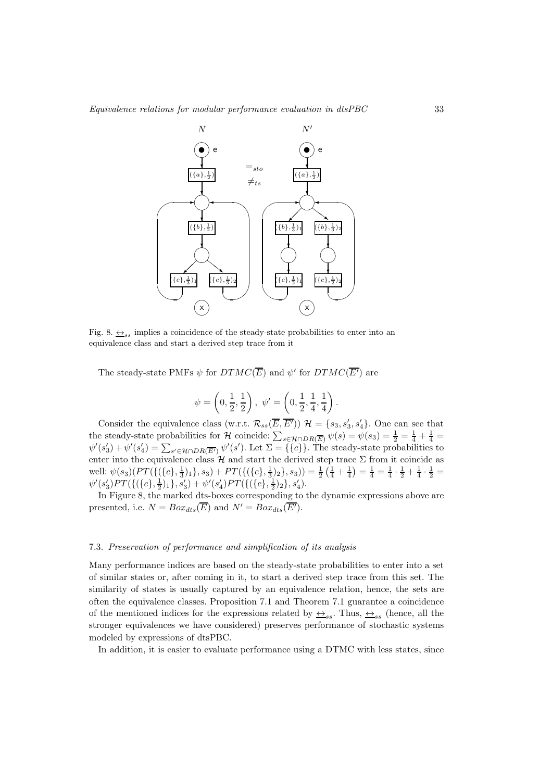

Fig. 8.  $\leftrightarrow$ <sub>ss</sub> implies a coincidence of the steady-state probabilities to enter into an equivalence class and start a derived step trace from it

The steady-state PMFs  $\psi$  for  $DTMC(\overline{E})$  and  $\psi'$  for  $DTMC(\overline{E'})$  are

$$
\psi = \left(0, \frac{1}{2}, \frac{1}{2}\right), \ \psi' = \left(0, \frac{1}{2}, \frac{1}{4}, \frac{1}{4}\right).
$$

Consider the equivalence class (w.r.t.  $\mathcal{R}_{ss}(\overline{E}, \overline{E'})$ )  $\mathcal{H} = \{s_3, s'_3, s'_4\}$ . One can see that the steady-state probabilities for H coincide:  $\sum_{s \in \mathcal{H} \cap DR(\overline{E})} \psi(s) = \psi(s_3) = \frac{1}{2} = \frac{1}{4} + \frac{1}{4} =$  $\psi'(s_3') + \psi'(s_4') = \sum_{s' \in \mathcal{H} \cap DR(\overline{E'})} \psi'(s')$ . Let  $\Sigma = \{\{c\}\}\$ . The steady-state probabilities to enter into the equivalence class  $\mathcal H$  and start the derived step trace  $\Sigma$  from it coincide as well:  $\psi(s_3)(PT(\{(c), \frac{1}{3})_1\}, s_3) + PT(\{(\{c\}, \frac{1}{3})_2\}, s_3)) = \frac{1}{2}(\frac{1}{4} + \frac{1}{4}) = \frac{1}{4} = \frac{1}{4} \cdot \frac{1}{2} + \frac{1}{4} \cdot \frac{1}{2} =$  $\psi'(s'_3)PT(\{(\{c\},\frac{1}{2})_1\},s'_3)+\psi'(s'_4)PT(\{(\{c\},\frac{1}{2})_2\},s'_4).$ 

In Figure 8, the marked dts-boxes corresponding to the dynamic expressions above are presented, i.e.  $N = Box_{dts}(\overline{E})$  and  $N' = Box_{dts}(\overline{E'}).$ 

## 7.3. Preservation of performance and simplification of its analysis

Many performance indices are based on the steady-state probabilities to enter into a set of similar states or, after coming in it, to start a derived step trace from this set. The similarity of states is usually captured by an equivalence relation, hence, the sets are often the equivalence classes. Proposition 7.1 and Theorem 7.1 guarantee a coincidence of the mentioned indices for the expressions related by  $\leftrightarrow_{ss}$ . Thus,  $\leftrightarrow_{ss}$  (hence, all the stronger equivalences we have considered) preserves performance of stochastic systems modeled by expressions of dtsPBC.

In addition, it is easier to evaluate performance using a DTMC with less states, since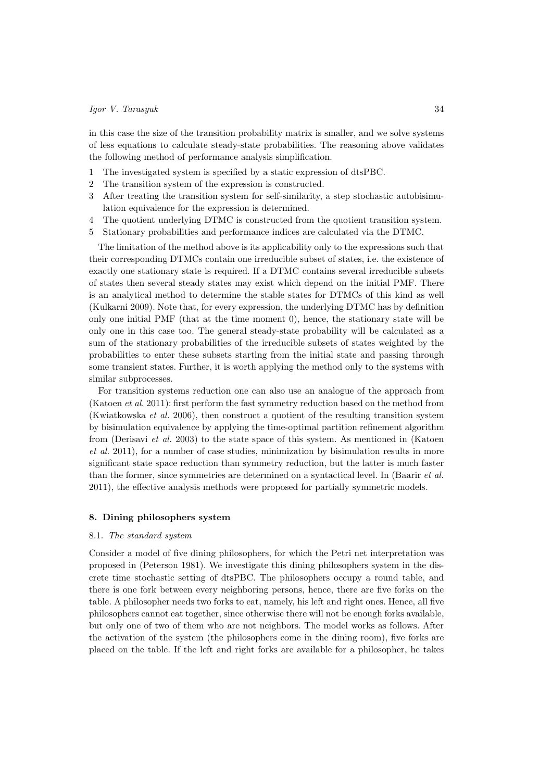in this case the size of the transition probability matrix is smaller, and we solve systems of less equations to calculate steady-state probabilities. The reasoning above validates the following method of performance analysis simplification.

- 1 The investigated system is specified by a static expression of dtsPBC.
- 2 The transition system of the expression is constructed.
- 3 After treating the transition system for self-similarity, a step stochastic autobisimulation equivalence for the expression is determined.
- 4 The quotient underlying DTMC is constructed from the quotient transition system.
- 5 Stationary probabilities and performance indices are calculated via the DTMC.

The limitation of the method above is its applicability only to the expressions such that their corresponding DTMCs contain one irreducible subset of states, i.e. the existence of exactly one stationary state is required. If a DTMC contains several irreducible subsets of states then several steady states may exist which depend on the initial PMF. There is an analytical method to determine the stable states for DTMCs of this kind as well (Kulkarni 2009). Note that, for every expression, the underlying DTMC has by definition only one initial PMF (that at the time moment 0), hence, the stationary state will be only one in this case too. The general steady-state probability will be calculated as a sum of the stationary probabilities of the irreducible subsets of states weighted by the probabilities to enter these subsets starting from the initial state and passing through some transient states. Further, it is worth applying the method only to the systems with similar subprocesses.

For transition systems reduction one can also use an analogue of the approach from (Katoen et al. 2011): first perform the fast symmetry reduction based on the method from (Kwiatkowska et al. 2006), then construct a quotient of the resulting transition system by bisimulation equivalence by applying the time-optimal partition refinement algorithm from (Derisavi et al. 2003) to the state space of this system. As mentioned in (Katoen et al. 2011), for a number of case studies, minimization by bisimulation results in more significant state space reduction than symmetry reduction, but the latter is much faster than the former, since symmetries are determined on a syntactical level. In (Baarir et al. 2011), the effective analysis methods were proposed for partially symmetric models.

# 8. Dining philosophers system

# 8.1. The standard system

Consider a model of five dining philosophers, for which the Petri net interpretation was proposed in (Peterson 1981). We investigate this dining philosophers system in the discrete time stochastic setting of dtsPBC. The philosophers occupy a round table, and there is one fork between every neighboring persons, hence, there are five forks on the table. A philosopher needs two forks to eat, namely, his left and right ones. Hence, all five philosophers cannot eat together, since otherwise there will not be enough forks available, but only one of two of them who are not neighbors. The model works as follows. After the activation of the system (the philosophers come in the dining room), five forks are placed on the table. If the left and right forks are available for a philosopher, he takes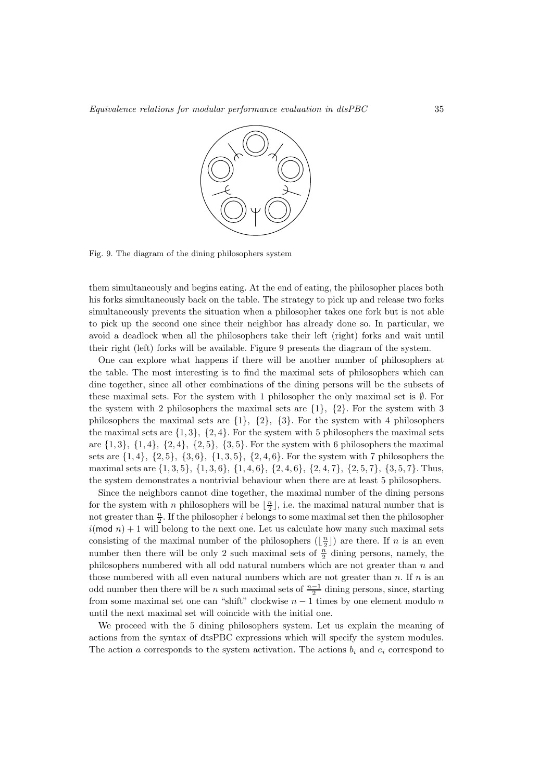

Fig. 9. The diagram of the dining philosophers system

them simultaneously and begins eating. At the end of eating, the philosopher places both his forks simultaneously back on the table. The strategy to pick up and release two forks simultaneously prevents the situation when a philosopher takes one fork but is not able to pick up the second one since their neighbor has already done so. In particular, we avoid a deadlock when all the philosophers take their left (right) forks and wait until their right (left) forks will be available. Figure 9 presents the diagram of the system.

One can explore what happens if there will be another number of philosophers at the table. The most interesting is to find the maximal sets of philosophers which can dine together, since all other combinations of the dining persons will be the subsets of these maximal sets. For the system with 1 philosopher the only maximal set is  $\emptyset$ . For the system with 2 philosophers the maximal sets are  $\{1\}$ ,  $\{2\}$ . For the system with 3 philosophers the maximal sets are {1}, {2}, {3}. For the system with 4 philosophers the maximal sets are  $\{1,3\}, \{2,4\}$ . For the system with 5 philosophers the maximal sets are  $\{1, 3\}, \{1, 4\}, \{2, 4\}, \{2, 5\}, \{3, 5\}.$  For the system with 6 philosophers the maximal sets are  $\{1, 4\}$ ,  $\{2, 5\}$ ,  $\{3, 6\}$ ,  $\{1, 3, 5\}$ ,  $\{2, 4, 6\}$ . For the system with 7 philosophers the maximal sets are {1, 3, 5}, {1, 3, 6}, {1, 4, 6}, {2, 4, 6}, {2, 4, 7}, {2, 5, 7}, {3, 5, 7}. Thus, the system demonstrates a nontrivial behaviour when there are at least 5 philosophers.

Since the neighbors cannot dine together, the maximal number of the dining persons for the system with n philosophers will be  $\lfloor \frac{n}{2} \rfloor$ , i.e. the maximal natural number that is not greater than  $\frac{n}{2}$ . If the philosopher *i* belongs to some maximal set then the philosopher  $i(\text{mod } n) + 1$  will belong to the next one. Let us calculate how many such maximal sets consisting of the maximal number of the philosophers  $(\lfloor \frac{n}{2} \rfloor)$  are there. If n is an even number then there will be only 2 such maximal sets of  $\frac{n}{2}$  dining persons, namely, the philosophers numbered with all odd natural numbers which are not greater than n and those numbered with all even natural numbers which are not greater than  $n$ . If  $n$  is an odd number then there will be n such maximal sets of  $\frac{n-1}{2}$  dining persons, since, starting from some maximal set one can "shift" clockwise  $n - 1$  times by one element modulo n until the next maximal set will coincide with the initial one.

We proceed with the 5 dining philosophers system. Let us explain the meaning of actions from the syntax of dtsPBC expressions which will specify the system modules. The action a corresponds to the system activation. The actions  $b_i$  and  $e_i$  correspond to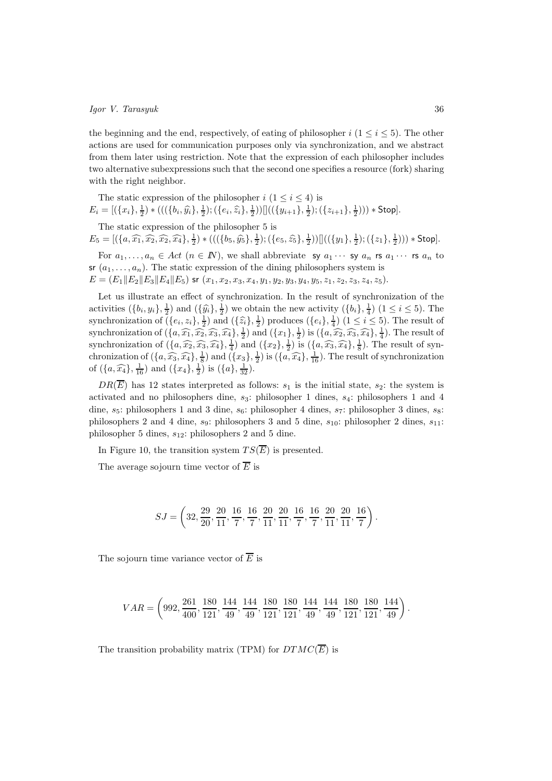the beginning and the end, respectively, of eating of philosopher  $i$  ( $1 \le i \le 5$ ). The other actions are used for communication purposes only via synchronization, and we abstract from them later using restriction. Note that the expression of each philosopher includes two alternative subexpressions such that the second one specifies a resource (fork) sharing with the right neighbor.

The static expression of the philosopher  $i$   $(1 \leq i \leq 4)$  is  $E_i = [(\{x_i\}, \frac{1}{2}) * (((\{b_i, \hat{y_i}\}, \frac{1}{2}); (\{e_i, \hat{z_i}\}, \frac{1}{2}))]]((\{y_{i+1}\}, \frac{1}{2}); (\{z_{i+1}\}, \frac{1}{2}))) * Stop].$ The static expression of the philosopher 5 is

 $E_5 = [(\{a,\widehat{x_1},\widehat{x_2},\widehat{x_2},\widehat{x_4}\},\frac{1}{2}) * (((\{b_5,\widehat{y_5}\},\frac{1}{2});(\{e_5,\widehat{z_5}\},\frac{1}{2}))]]((\{y_1\},\frac{1}{2});(\{z_1\},\frac{1}{2}))) * Stop].$ 

For  $a_1, \ldots, a_n \in Act$   $(n \in \mathbb{N})$ , we shall abbreviate sy  $a_1 \cdots$  sy  $a_n$  rs  $a_1 \cdots$  rs  $a_n$  to sr  $(a_1, \ldots, a_n)$ . The static expression of the dining philosophers system is  $E = (E_1||E_2||E_3||E_4||E_5)$  sr  $(x_1, x_2, x_3, x_4, y_1, y_2, y_3, y_4, y_5, z_1, z_2, z_3, z_4, z_5).$ 

Let us illustrate an effect of synchronization. In the result of synchronization of the activities  $(\{b_i, y_i\}, \frac{1}{2})$  and  $(\{\hat{y}_i\}, \frac{1}{2})$  we obtain the new activity  $(\{b_i\}, \frac{1}{4})$   $(1 \leq i \leq 5)$ . The synchronization of  $(\{e_i, z_i\}, \frac{1}{2})$  and  $(\{\hat{z}_i\}, \frac{1}{2})$  produces  $(\{e_i\}, \frac{1}{4})$   $(1 \leq i \leq 5)$ . The result of synchronization of  $(\{a, \widehat{x_1}, \widehat{x_2}, \widehat{x_3}, \widehat{x_4}\}, \frac{1}{2})$  and  $(\{x_1\}, \frac{1}{2})$  is  $(\{a, \widehat{x_2}, \widehat{x_3}, \widehat{x_4}\}, \frac{1}{4})$ . The result of synchronization of  $(\lbrace a, \widehat{x_2}, \widehat{x_3}, \widehat{x_4} \rbrace, \frac{1}{4})$  and  $(\lbrace x_2 \rbrace, \frac{1}{2})$  is  $(\lbrace a, \widehat{x_3}, \widehat{x_4} \rbrace, \frac{1}{8})$ . The result of synchronization of  $(\{a, \widehat{x_3}, \widehat{x_4}\}, \frac{1}{5})$  and  $(\{x_3\}, \frac{1}{2})$  is  $(\{a, \widehat{x_4}\}, \frac{1}{16})$ . The result of synchronization of  $(\{a, \widehat{x_4}\}, \frac{1}{16})$  and  $(\{x_4\}, \frac{1}{2})$  is  $(\{a\}, \frac{1}{32})$ .

 $DR(\overline{E})$  has 12 states interpreted as follows:  $s_1$  is the initial state,  $s_2$ : the system is activated and no philosophers dine,  $s_3$ : philosopher 1 dines,  $s_4$ : philosophers 1 and 4 dine,  $s_5$ : philosophers 1 and 3 dine,  $s_6$ : philosopher 4 dines,  $s_7$ : philosopher 3 dines,  $s_8$ : philosophers 2 and 4 dine,  $s_9$ : philosophers 3 and 5 dine,  $s_{10}$ : philosopher 2 dines,  $s_{11}$ : philosopher 5 dines,  $s_{12}$ : philosophers 2 and 5 dine.

In Figure 10, the transition system  $TS(\overline{E})$  is presented.

The average sojourn time vector of  $\overline{E}$  is

$$
SJ = \left(32, \frac{29}{20}, \frac{20}{11}, \frac{16}{7}, \frac{16}{7}, \frac{20}{11}, \frac{20}{11}, \frac{16}{7}, \frac{16}{7}, \frac{20}{11}, \frac{20}{11}, \frac{16}{7}\right).
$$

The sojourn time variance vector of  $\overline{E}$  is

$$
VAR=\left(992,\frac{261}{400},\frac{180}{121},\frac{144}{49},\frac{144}{49},\frac{180}{121},\frac{180}{121},\frac{144}{49},\frac{144}{49},\frac{180}{121},\frac{180}{121},\frac{144}{19}\right).
$$

The transition probability matrix (TPM) for  $DTMC(\overline{E})$  is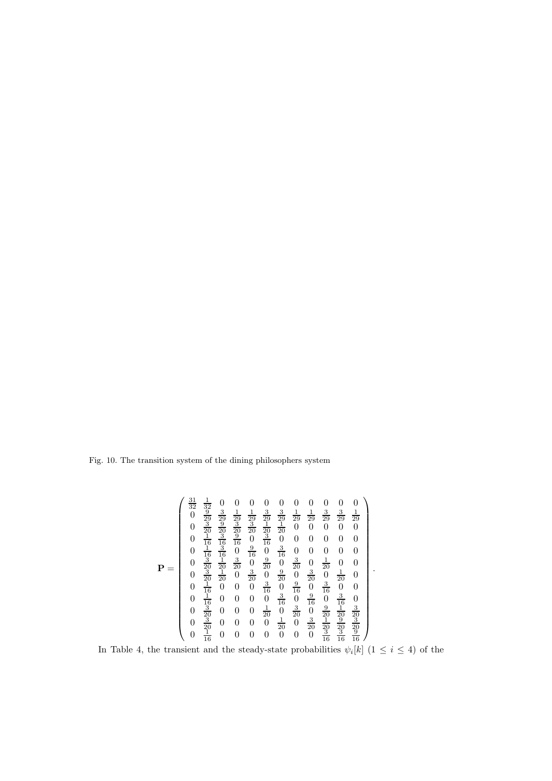ansition  $\frac{1}{\sqrt{2}}$ on system of the dining ph: ✘✘✘✘✘✘✘✘✘✿ Fig. 10. The transition system of the dining philosophers system

$$
\mathbf{P} = \begin{pmatrix}\n\frac{31}{32} & \frac{1}{32} & 0 & 0 & 0 & 0 & 0 & 0 & 0 & 0 & 0 & 0 \\
0 & \frac{9}{29} & \frac{3}{29} & \frac{1}{29} & \frac{3}{29} & \frac{3}{29} & \frac{1}{29} & \frac{3}{29} & \frac{3}{29} & \frac{1}{29} \\
0 & \frac{3}{20} & \frac{9}{20} & \frac{3}{20} & \frac{3}{20} & \frac{1}{20} & 0 & 0 & 0 & 0 \\
0 & \frac{1}{16} & \frac{3}{16} & 0 & \frac{3}{16} & 0 & 0 & 0 & 0 & 0 & 0 \\
0 & \frac{1}{16} & \frac{3}{16} & 0 & \frac{9}{16} & 0 & \frac{3}{16} & 0 & 0 & 0 & 0 & 0 \\
0 & \frac{3}{20} & \frac{1}{20} & \frac{3}{20} & 0 & \frac{3}{20} & 0 & \frac{3}{20} & 0 & \frac{1}{20} & 0 & 0 \\
0 & \frac{3}{20} & \frac{1}{20} & 0 & \frac{3}{20} & 0 & \frac{9}{20} & 0 & \frac{3}{20} & 0 & \frac{1}{20} & 0 \\
0 & \frac{3}{16} & 0 & 0 & 0 & \frac{3}{16} & 0 & \frac{9}{16} & 0 & \frac{3}{16} & 0 & 0 \\
0 & \frac{1}{16} & 0 & 0 & 0 & \frac{3}{16} & 0 & \frac{9}{16} & 0 & \frac{3}{16} & 0 & 0 \\
0 & \frac{3}{20} & 0 & 0 & 0 & \frac{1}{20} & 0 & \frac{3}{20} & 0 & \frac{1}{20} & \frac{3}{20} \\
0 & \frac{3}{20} & 0 & 0 & 0 & 0 & \frac{1}{20} & 0 & \frac{3}{20} & \frac{1}{20} & \frac{3}{20} \\
0 & \frac{1}{16} & 0 & 0 & 0 & 0 & 0 & 0 & 0 & 0 & \frac{3}{16} & \frac{3}{16} \\
0 & \frac{1}{16
$$

In Table 4, the transient and the steady-state probabilities  $\psi_i[k]$  ( $1 \leq i \leq 4$ ) of the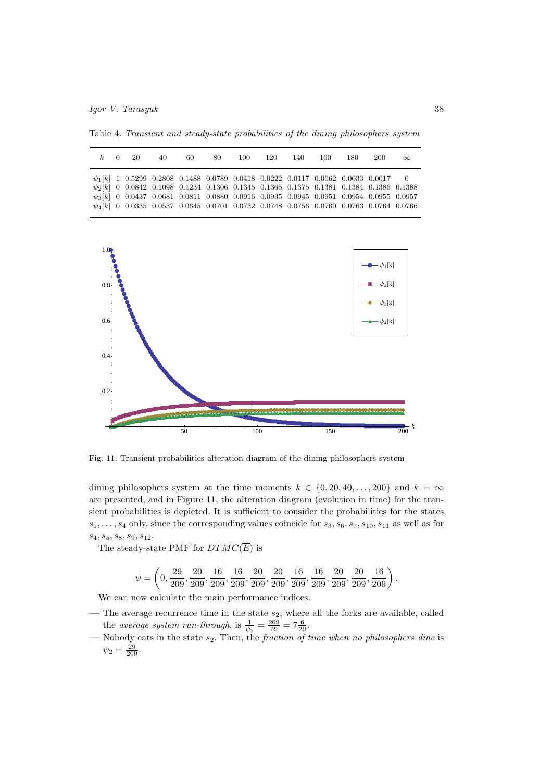Table 4. Transient and steady-state probabilities of the dining philosophers system

| $k=0=20$ |  | 40.                                                                                                                                                                                                    | -60 | -80 - | 100 | -120-                                                                                      | 140 | 160. | -180 | 200 | $\infty$                                                                                   |
|----------|--|--------------------------------------------------------------------------------------------------------------------------------------------------------------------------------------------------------|-----|-------|-----|--------------------------------------------------------------------------------------------|-----|------|------|-----|--------------------------------------------------------------------------------------------|
|          |  | $\psi_1[k]$ 1 0.5299 0.2808 0.1488 0.0789 0.0418 0.0222 0.0117 0.0062 0.0033 0.0017 0                                                                                                                  |     |       |     |                                                                                            |     |      |      |     |                                                                                            |
|          |  | $\psi_2[k] \  \  \, 0 \  \  \, 0.0842 \  \  \, 0.1098 \  \  \, 0.1234 \  \  \, 0.1306 \  \  \, 0.1345 \  \  \, 0.1365 \  \  \, 0.1375 \  \  \, 0.1381 \  \  \, 0.1384 \  \  \, 0.1386 \  \  \, 0.1388$ |     |       |     |                                                                                            |     |      |      |     |                                                                                            |
|          |  |                                                                                                                                                                                                        |     |       |     | $\psi_4[k]$ 0 0.0335 0.0537 0.0645 0.0701 0.0732 0.0748 0.0756 0.0760 0.0763 0.0764 0.0766 |     |      |      |     | $\psi_3[k]$ 0 0.0437 0.0681 0.0811 0.0880 0.0916 0.0935 0.0945 0.0951 0.0954 0.0955 0.0957 |



Fig. 11. Transient probabilities alteration diagram of the dining philosophers system

dining philosophers system at the time moments  $k \in \{0, 20, 40, \ldots, 200\}$  and  $k = \infty$ are presented, and in Figure 11, the alteration diagram (evolution in time) for the transient probabilities is depicted. It is sufficient to consider the probabilities for the states  $s_1, \ldots, s_4$  only, since the corresponding values coincide for  $s_3, s_6, s_7, s_{10}, s_{11}$  as well as for  $s_4, s_5, s_8, s_9, s_{12}.$ 

The steady-state PMF for  $DTMC(\overline{E})$  is

$$
\psi=\left(0, \frac{29}{209}, \frac{20}{209}, \frac{16}{209}, \frac{16}{209}, \frac{20}{209}, \frac{20}{209}, \frac{16}{209}, \frac{16}{209}, \frac{20}{209}, \frac{20}{209}, \frac{16}{209}\right).
$$

We can now calculate the main performance indices.

- The average recurrence time in the state  $s_2$ , where all the forks are available, called the average system run-through, is  $\frac{1}{\psi_2} = \frac{209}{29} = 7\frac{6}{29}$ .
- Nobody eats in the state  $s_2$ . Then, the *fraction of time when no philosophers dine* is  $\psi_2 = \frac{29}{209}.$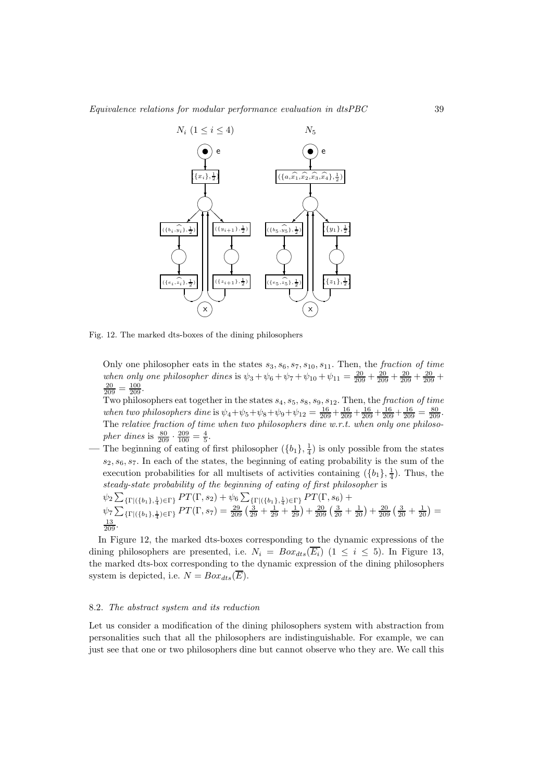

Fig. 12. The marked dts-boxes of the dining philosophers

Only one philosopher eats in the states  $s_3, s_6, s_7, s_{10}, s_{11}$ . Then, the fraction of time when only one philosopher dines is  $\psi_3 + \psi_6 + \psi_7 + \psi_{10} + \psi_{11} = \frac{20}{209} + \frac{20}{209} + \frac{20}{209} + \frac{20}{209} + \frac{20}{209} + \frac{20}{209} + \frac{20}{209} + \frac{20}{209} + \frac{20}{209} + \frac{20}{209} + \frac{20}{209} + \frac{20}{209} + \frac{20}{209} + \frac{20}{209} + \frac$  $\frac{20}{209} = \frac{100}{209}.$ 

Two philosophers eat together in the states  $s_4, s_5, s_8, s_9, s_{12}$ . Then, the *fraction of time* when two philosophers dine is  $\psi_4 + \psi_5 + \psi_8 + \psi_9 + \psi_{12} = \frac{16}{209} + \frac{16}{209} + \frac{16}{209} + \frac{16}{209} + \frac{16}{209} = \frac{80}{209}$ . The relative fraction of time when two philosophers dine  $w.r.t.$  when only one philosopher dines is  $\frac{80}{209} \cdot \frac{209}{100} = \frac{4}{5}$ .

— The beginning of eating of first philosopher  $(\{b_1\}, \frac{1}{4})$  is only possible from the states  $s_2, s_6, s_7$ . In each of the states, the beginning of eating probability is the sum of the execution probabilities for all multisets of activities containing  $({b_1}, \frac{1}{4})$ . Thus, the steady-state probability of the beginning of eating of first philosopher is

$$
\psi_2 \sum_{\{\Gamma \mid (\{b_1\},\frac{1}{4}) \in \Gamma\}} PT(\Gamma, s_2) + \psi_6 \sum_{\{\Gamma \mid (\{b_1\},\frac{1}{4}) \in \Gamma\}} PT(\Gamma, s_6) + \n\psi_7 \sum_{\{\Gamma \mid (\{b_1\},\frac{1}{4}) \in \Gamma\}} PT(\Gamma, s_7) = \frac{29}{209} \left(\frac{3}{29} + \frac{1}{29} + \frac{1}{29}\right) + \frac{20}{209} \left(\frac{3}{20} + \frac{1}{20}\right) + \frac{20}{209} \left(\frac{3}{20} + \frac{1}{20}\right) = \n\frac{13}{209}.
$$

In Figure 12, the marked dts-boxes corresponding to the dynamic expressions of the dining philosophers are presented, i.e.  $N_i = Box_{dts}(\overline{E_i})$  (1  $\leq i \leq 5$ ). In Figure 13, the marked dts-box corresponding to the dynamic expression of the dining philosophers system is depicted, i.e.  $N = Box_{dts}(\overline{E}).$ 

# 8.2. The abstract system and its reduction

Let us consider a modification of the dining philosophers system with abstraction from personalities such that all the philosophers are indistinguishable. For example, we can just see that one or two philosophers dine but cannot observe who they are. We call this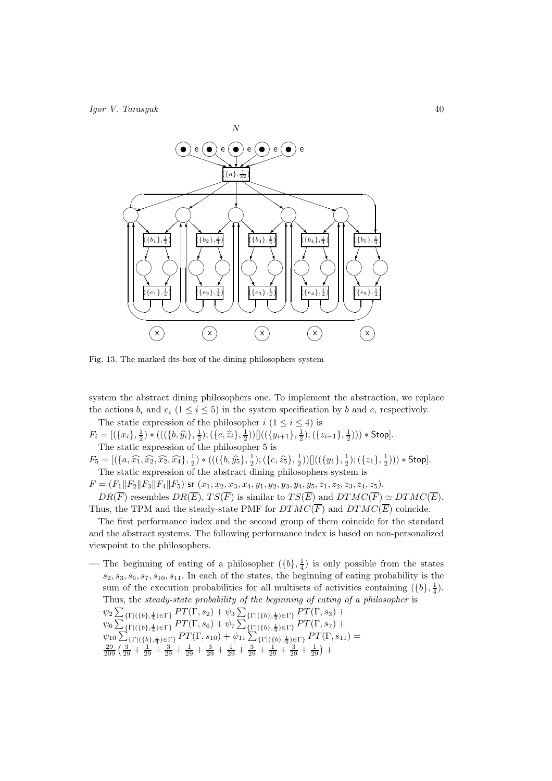

Fig. 13. The marked dts-box of the dining philosophers system

system the abstract dining philosophers one. To implement the abstraction, we replace the actions  $b_i$  and  $e_i$  ( $1 \le i \le 5$ ) in the system specification by b and e, respectively.

The static expression of the philosopher  $i$   $(1 \leq i \leq 4)$  is  $F_i = [(\{x_i\}, \frac{1}{2}) * (((\{b, \hat{y_i}\}, \frac{1}{2}); (\{e, \hat{z_i}\}, \frac{1}{2}))]]((\{y_{i+1}\}, \frac{1}{2}); (\{z_{i+1}\}, \frac{1}{2}))) * Stop].$ The static expression of the philosopher 5 is

 $F_5 = [(\{a, \widehat{x_1}, \widehat{x_2}, \widehat{x_2}, \widehat{x_4}\}, \frac{1}{2}) * (((\{b, \widehat{y_5}\}, \frac{1}{2}); (\{e, \widehat{z_5}\}, \frac{1}{2}))]]((\{y_1\}, \frac{1}{2}); (\{z_1\}, \frac{1}{2}))) * Stop].$ The static expression of the abstract dining philosophers system is

 $F = (F_1||F_2||F_3||F_4||F_5)$  sr  $(x_1, x_2, x_3, x_4, y_1, y_2, y_3, y_4, y_5, z_1, z_2, z_3, z_4, z_5).$  $DR(\overline{F})$  resembles  $DR(\overline{E}), TS(\overline{F})$  is similar to  $TS(\overline{E})$  and  $DTMC(\overline{F}) \simeq DTMC(\overline{E}).$ Thus, the TPM and the steady-state PMF for  $DTMC(\overline{F})$  and  $DTMC(\overline{E})$  coincide.

The first performance index and the second group of them coincide for the standard and the abstract systems. The following performance index is based on non-personalized viewpoint to the philosophers.

— The beginning of eating of a philosopher  $({b}, \frac{1}{4})$  is only possible from the states  $s_2, s_3, s_6, s_7, s_{10}, s_{11}$ . In each of the states, the beginning of eating probability is the sum of the execution probabilities for all multisets of activities containing  $({b}, \frac{1}{4})$ . Thus, the steady-state probability of the beginning of eating of a philosopher is  $\psi_2 \sum_{\{\Gamma \mid (\{b\},\frac{1}{4}) \in \Gamma\}} PT(\Gamma,s_2) + \psi_3 \sum_{\{\Gamma \mid (\{b\},\frac{1}{4}) \in \Gamma\}} PT(\Gamma,s_3) +$  $\psi_6 \sum_{\{\Gamma | (\{b\},\frac{1}{4}) \in \Gamma\}} P T(\Gamma,s_6) + \psi_7 \sum_{\{\Gamma | (\{b\},\frac{1}{4}) \in \Gamma\}} P T(\Gamma,s_7) +$  $\psi_{10} \sum_{\text{f} \to \text{f}} \sum_{\text{f} \to \text{f}} \sum_{\text{f} \to \text{f}}^{\text{f} \to \text{f}} P T(\Gamma, s_{10}) + \psi_{11} \sum_{\text{f} \to \text{f}}^{\text{f} \to \text{f}} \sum_{\text{f} \to \text{f}}^{\text{f} \to \text{f}} P T(\Gamma, s_{11}) = \frac{29}{209} \left( \frac{3}{29} + \frac{1}{29} + \frac{3}{29} + \frac{1}{29} + \frac{3}{29} + \frac{1}{29} + \frac{3}{$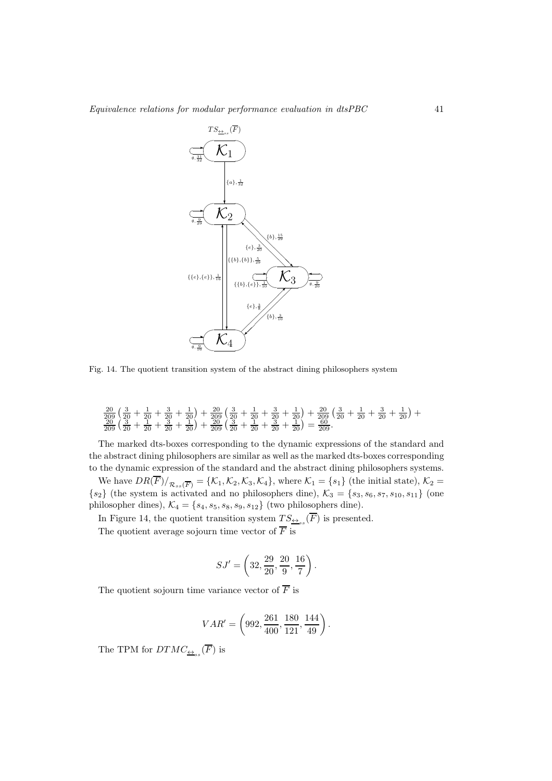

Fig. 14. The quotient transition system of the abstract dining philosophers system

$$
\frac{20}{209} \left( \frac{3}{20} + \frac{1}{20} + \frac{3}{20} + \frac{1}{20} \right) + \frac{20}{209} \left( \frac{3}{20} + \frac{1}{20} + \frac{3}{20} + \frac{1}{20} \right) + \frac{20}{209} \left( \frac{3}{20} + \frac{1}{20} + \frac{3}{20} + \frac{1}{20} \right) + \\ \frac{20}{209} \left( \frac{3}{20} + \frac{1}{20} + \frac{3}{20} + \frac{1}{20} \right) + \frac{20}{209} \left( \frac{3}{20} + \frac{1}{20} + \frac{3}{20} + \frac{1}{20} \right) = \frac{60}{209}.
$$

The marked dts-boxes corresponding to the dynamic expressions of the standard and the abstract dining philosophers are similar as well as the marked dts-boxes corresponding to the dynamic expression of the standard and the abstract dining philosophers systems.

We have  $DR(F)/_{\mathcal{R}_{ss}(\overline{F})} = \{\mathcal{K}_1, \mathcal{K}_2, \mathcal{K}_3, \mathcal{K}_4\}$ , where  $\mathcal{K}_1 = \{s_1\}$  (the initial state),  $\mathcal{K}_2 =$  ${s_2}$  (the system is activated and no philosophers dine),  $\mathcal{K}_3 = {s_3, s_6, s_7, s_{10}, s_{11}}$  (one philosopher dines),  $\mathcal{K}_4 = \{s_4, s_5, s_8, s_9, s_{12}\}$  (two philosophers dine).

In Figure 14, the quotient transition system  $TS_{\underline{\leftrightarrow}_{ss}}(F)$  is presented.

The quotient average sojourn time vector of  $\overline{F}$  is

$$
SJ' = \left(32, \frac{29}{20}, \frac{20}{9}, \frac{16}{7}\right).
$$

The quotient sojourn time variance vector of  $\overline{F}$  is

$$
VAR' = \left(992, \frac{261}{400}, \frac{180}{121}, \frac{144}{49}\right).
$$

The TPM for  $DTMC_{\underline{\leftrightarrow}_{ss}}(F)$  is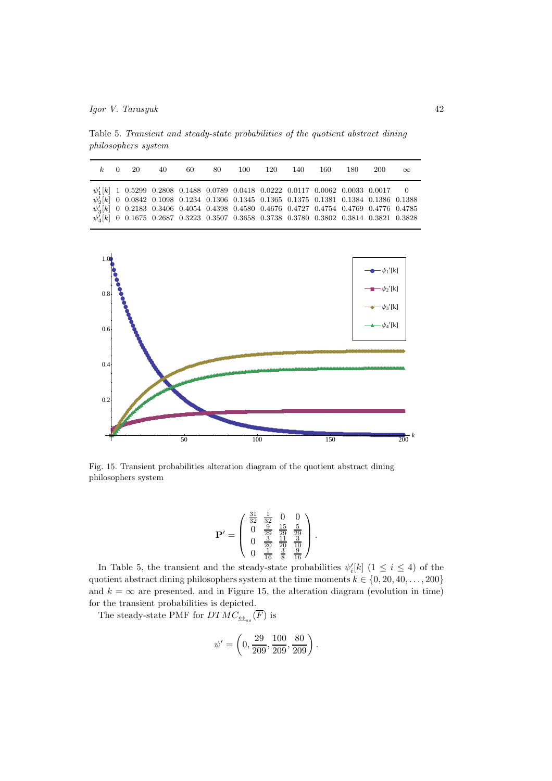Table 5. Transient and steady-state probabilities of the quotient abstract dining philosophers system

|  | $k=0=20$ | 40.                                                                                                                                                                                                                                                                                                                                                                                                                                                          | -60 |  | 100 120 140 | 160. | 180. | -200 | $\infty$ |
|--|----------|--------------------------------------------------------------------------------------------------------------------------------------------------------------------------------------------------------------------------------------------------------------------------------------------------------------------------------------------------------------------------------------------------------------------------------------------------------------|-----|--|-------------|------|------|------|----------|
|  |          | $\psi_1'[k] \quad 1 \quad 0.5299 \quad 0.2808 \quad 0.1488 \quad 0.0789 \quad 0.0418 \quad 0.0222 \quad 0.0117 \quad 0.0062 \quad 0.0033 \quad 0.0017 \qquad 0$<br>$\psi_2'[k]$ 0 0.0842 0.1098 0.1234 0.1306 0.1345 0.1365 0.1375 0.1381 0.1384 0.1386 0.1388<br>$\psi_3'[k]$ 0 0.2183 0.3406 0.4054 0.4398 0.4580 0.4676 0.4727 0.4754 0.4769 0.4776 0.4785<br>$\psi_4'[k]$ 0 0.1675 0.2687 0.3223 0.3507 0.3658 0.3738 0.3780 0.3802 0.3814 0.3821 0.3828 |     |  |             |      |      |      |          |



Fig. 15. Transient probabilities alteration diagram of the quotient abstract dining philosophers system

$$
\mathbf{P}' = \left(\begin{array}{cccc} \frac{31}{32} & \frac{1}{32} & 0 & 0\\ 0 & \frac{9}{29} & \frac{15}{29} & \frac{5}{29} \\ 0 & \frac{3}{20} & \frac{11}{20} & \frac{3}{10} \\ 0 & \frac{1}{16} & \frac{3}{8} & \frac{9}{16} \end{array}\right).
$$

In Table 5, the transient and the steady-state probabilities  $\psi'_{i}[k]$  (1  $\leq i \leq 4$ ) of the quotient abstract dining philosophers system at the time moments  $k \in \{0, 20, 40, \ldots, 200\}$ and  $k = \infty$  are presented, and in Figure 15, the alteration diagram (evolution in time) for the transient probabilities is depicted.

The steady-state PMF for  $DTMC_{\underline{\leftrightarrow}_{ss}}(F)$  is

$$
\psi' = \left(0, \frac{29}{209}, \frac{100}{209}, \frac{80}{209}\right).
$$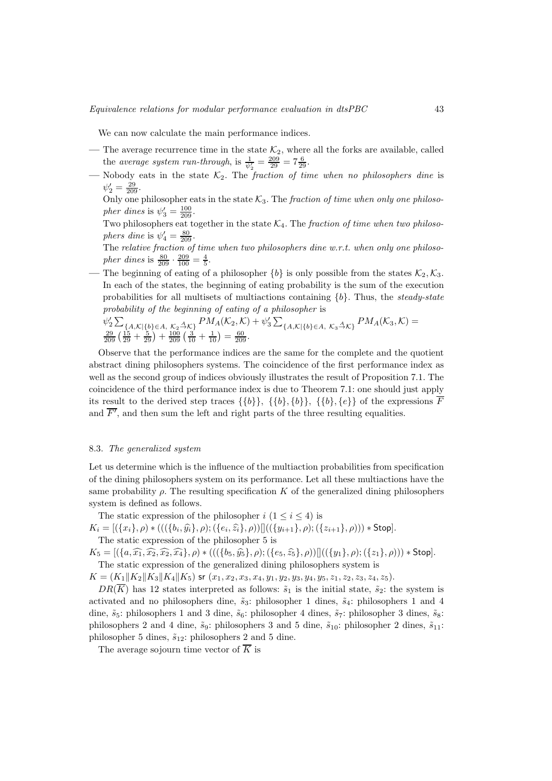We can now calculate the main performance indices.

- The average recurrence time in the state  $\mathcal{K}_2$ , where all the forks are available, called the average system run-through, is  $\frac{1}{\psi_2'} = \frac{209}{29} = 7\frac{6}{29}$ .
- Nobody eats in the state  $K_2$ . The fraction of time when no philosophers dine is  $\psi'_2 = \frac{29}{209}.$ 
	- Only one philosopher eats in the state  $\mathcal{K}_3$ . The fraction of time when only one philoso*pher dines* is  $\psi'_3 = \frac{100}{209}$ .
	- Two philosophers eat together in the state  $\mathcal{K}_4$ . The *fraction of time when two philoso*phers dine is  $\psi_4' = \frac{80}{209}$ .
	- The relative fraction of time when two philosophers dine w.r.t. when only one philosopher dines is  $\frac{80}{209} \cdot \frac{209}{100} = \frac{4}{5}$ .
- The beginning of eating of a philosopher  ${b}$  is only possible from the states  $\mathcal{K}_2, \mathcal{K}_3$ . In each of the states, the beginning of eating probability is the sum of the execution probabilities for all multisets of multiactions containing  ${b}$ . Thus, the *steady-state* probability of the beginning of eating of a philosopher is
	- $\psi_2' \sum_{\{A,\mathcal{K} \mid \{b\} \in A, \ K_2 \stackrel{A}{\to} \mathcal{K} \}} PM_A(\mathcal{K}_2, \mathcal{K}) + \psi_3' \sum_{\{A,\mathcal{K} \mid \{b\} \in A, \ K_3 \stackrel{A}{\to} \mathcal{K} \}} PM_A(\mathcal{K}_3, \mathcal{K}) = \frac{29}{209} \left( \frac{15}{29} + \frac{5}{29} \right) + \frac{100}{209} \left( \frac{3}{10} + \frac{1}{10} \right) = \frac{60}{209}.$

Observe that the performance indices are the same for the complete and the quotient abstract dining philosophers systems. The coincidence of the first performance index as well as the second group of indices obviously illustrates the result of Proposition 7.1. The coincidence of the third performance index is due to Theorem 7.1: one should just apply its result to the derived step traces  $\{\{b\}, \{\{b\}, \{b\}\}, \{\{b\}, \{e\}\}\$  of the expressions  $\overline{F}$ and  $\overline{F'}$ , and then sum the left and right parts of the three resulting equalities.

# 8.3. The generalized system

Let us determine which is the influence of the multiaction probabilities from specification of the dining philosophers system on its performance. Let all these multiactions have the same probability  $\rho$ . The resulting specification K of the generalized dining philosophers system is defined as follows.

The static expression of the philosopher  $i$   $(1 \leq i \leq 4)$  is

 $K_i = [(\{x_i\}, \rho) * (((\{b_i, \widehat{y_i}\}, \rho); (\{e_i, \widehat{z_i}\}, \rho))]]((\{y_{i+1}\}, \rho); (\{z_{i+1}\}, \rho))) * \text{Stop}].$ 

The static expression of the philosopher 5 is

 $K_5 = [(\{a,\widehat{x_1},\widehat{x_2},\widehat{x_2},\widehat{x_4}\},\rho) * (((\{b_5,\widehat{y_5}\},\rho);(\{e_5,\widehat{z_5}\},\rho))]]((\{y_1\},\rho);(\{z_1\},\rho))) * Stop].$ The static expression of the generalized dining philosophers system is

 $K = (K_1||K_2||K_3||K_4||K_5)$  sr  $(x_1, x_2, x_3, x_4, y_1, y_2, y_3, y_4, y_5, z_1, z_2, z_3, z_4, z_5).$ 

 $DR(\overline{K})$  has 12 states interpreted as follows:  $\tilde{s}_1$  is the initial state,  $\tilde{s}_2$ : the system is activated and no philosophers dine,  $\tilde{s}_3$ : philosopher 1 dines,  $\tilde{s}_4$ : philosophers 1 and 4 dine,  $\tilde{s}_5$ : philosophers 1 and 3 dine,  $\tilde{s}_6$ : philosopher 4 dines,  $\tilde{s}_7$ : philosopher 3 dines,  $\tilde{s}_8$ : philosophers 2 and 4 dine,  $\tilde{s}_9$ : philosophers 3 and 5 dine,  $\tilde{s}_{10}$ : philosopher 2 dines,  $\tilde{s}_{11}$ : philosopher 5 dines,  $\tilde{s}_{12}$ : philosophers 2 and 5 dine.

The average sojourn time vector of  $\overline{K}$  is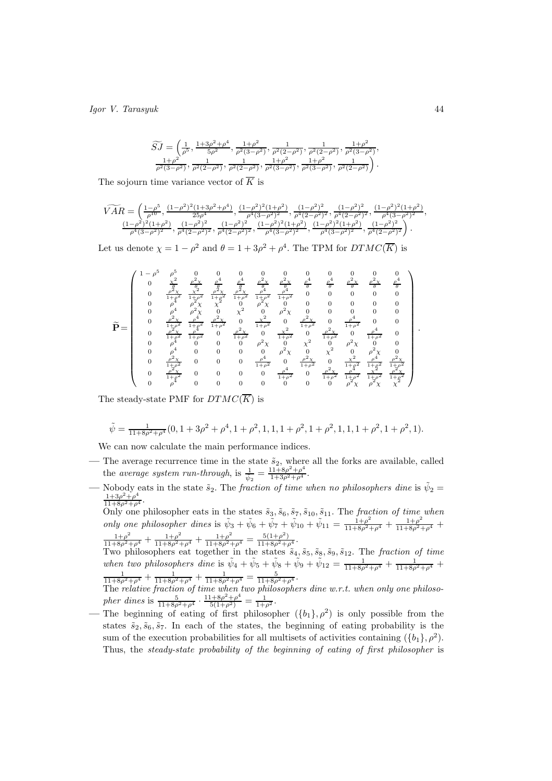$$
\widetilde{SJ}=\left(\frac{1}{\rho^5},\frac{1+3\rho^2+\rho^4}{5\rho^2},\frac{1+\rho^2}{\rho^2(3-\rho^2)},\frac{1}{\rho^2(2-\rho^2)},\frac{1}{\rho^2(2-\rho^2)},\frac{1+\rho^2}{\rho^2(3-\rho^2)},\\\frac{1+\rho^2}{\rho^2(3-\rho^2)},\frac{1}{\rho^2(2-\rho^2)},\frac{1}{\rho^2(2-\rho^2)},\frac{1+\rho^2}{\rho^2(3-\rho^2)},\frac{1+\rho^2}{\rho^2(3-\rho^2)},\frac{1}{\rho^2(2-\rho^2)}\right).
$$

The sojourn time variance vector of  $\overline{K}$  is

$$
\begin{array}{l} \widetilde{VAR}=\left(\frac{1-\rho^5}{\rho^{10}},\frac{(1-\rho^2)^2(1+3\rho^2+\rho^4)}{25\rho^4},\frac{(1-\rho^2)^2(1+\rho^2)}{\rho^4(3-\rho^2)^2},\frac{(1-\rho^2)^2}{\rho^4(2-\rho^2)^2},\frac{(1-\rho^2)^2}{\rho^4(2-\rho^2)^2},\frac{(1-\rho^2)^2(1+\rho^2)}{\rho^4(3-\rho^2)^2},\frac{(1-\rho^2)^2(1+\rho^2)}{\rho^4(3-\rho^2)^2},\frac{(1-\rho^2)^2}{\rho^4(2-\rho^2)^2},\frac{(1-\rho^2)^2}{\rho^4(2-\rho^2)^2},\frac{(1-\rho^2)^2(1+\rho^2)}{\rho^4(3-\rho^2)^2},\frac{(1-\rho^2)^2(1+\rho^2)}{\rho^4(3-\rho^2)^2},\frac{(1-\rho^2)^2}{\rho^4(2-\rho^2)^2}\right). \end{array}
$$

Let us denote  $\chi = 1 - \rho^2$  and  $\theta = 1 + 3\rho^2 + \rho^4$ . The TPM for  $DTMC(\overline{K})$  is

$$
\widetilde{\mathbf{P}} = \left(\begin{array}{cccccccccccc} 1-\rho^5 & \rho^5 & 0 & 0 & 0 & 0 & 0 & 0 & 0 & 0 & 0 & 0 & 0 \\ 0 & \frac{\chi^2}{2} & \frac{\rho^2 \chi}{2} & \frac{\rho^4}{2} & \frac{\rho^2}{2} & \frac{\rho^2 \chi}{2} & \frac{\rho^2 \chi}{2} & \frac{\rho^4}{2} & \frac{\rho^2 \chi}{2} & \frac{\rho^2 \chi}{2} & \frac{\rho^2 \chi}{2} & \frac{\rho^2 \chi}{2} \\ 0 & \frac{\rho^2 \chi}{1+\rho^2} & \frac{\chi^2}{1+\rho^2} & \frac{\rho^2 \chi}{1+\rho^2} & \frac{\rho^2 \chi}{1+\rho^2} & \frac{\rho^4}{1+\rho^2} & 0 & 0 & 0 & 0 & 0 \\ 0 & \rho^4 & \rho^2 \chi & 0 & \chi^2 & 0 & \rho^2 \chi & 0 & 0 & 0 & 0 & 0 \\ 0 & \rho^4 & \rho^2 \chi & 0 & \chi^2 & 0 & \rho^2 \chi & 0 & 0 & 0 & 0 & 0 \\ 0 & \frac{\rho^2 \chi}{1+\rho^2} & \frac{\rho^4}{1+\rho^2} & \frac{\rho^2 \chi}{1+\rho^2} & 0 & \frac{\chi^2}{1+\rho^2} & 0 & \frac{\rho^2 \chi}{1+\rho^2} & 0 & \frac{\rho^4}{1+\rho^2} & 0 & 0 \\ 0 & \frac{\rho^2 \chi}{1+\rho^2} & \frac{\rho^4}{1+\rho^2} & 0 & \frac{\chi^2}{1+\rho^2} & 0 & \frac{\rho^2 \chi}{1+\rho^2} & 0 & \frac{\rho^4}{1+\rho^2} & 0 & \frac{\rho^4}{1+\rho^2} & 0 \\ 0 & \rho^4 & 0 & 0 & 0 & \rho^2 \chi & 0 & \chi^2 & 0 & \rho^2 \chi & 0 \\ 0 & \rho^4 & 0 & 0 & 0 & 0 & \rho^2 \chi & 0 & \chi^2 & 0 & \rho^2 \chi & 0 \\ 0 & \frac{\rho^2 \chi}{1+\rho^2} & 0 & 0 & 0 & \frac{\rho^4}{1+\rho^2} & 0 & \frac{\rho^2 \chi}{1+\rho^2} & \frac{\rho^2 \chi
$$

The steady-state PMF for  $DTMC(\overline{K})$  is

$$
\tilde{\psi} = \frac{1}{11 + 8\rho^2 + \rho^4} (0, 1 + 3\rho^2 + \rho^4, 1 + \rho^2, 1, 1, 1 + \rho^2, 1 + \rho^2, 1, 1, 1 + \rho^2, 1 + \rho^2, 1).
$$

We can now calculate the main performance indices.

- The average recurrence time in the state  $\tilde{s}_2$ , where all the forks are available, called the average system run-through, is  $\frac{1}{\psi_2} = \frac{11+8\rho^2+\rho^4}{1+3\rho^2+\rho^4}$ .
- Nobody eats in the state  $\tilde{s}_2$ . The *fraction of time when no philosophers dine* is  $\tilde{\psi}_2 = \frac{1+3\rho^2+\rho^4}{11+8\rho^2+\rho^4}$ .
	- Only one philosopher eats in the states  $\tilde{s}_3, \tilde{s}_6, \tilde{s}_7, \tilde{s}_{10}, \tilde{s}_{11}$ . The fraction of time when only one philosopher dines is  $\tilde{\psi}_3 + \tilde{\psi}_6 + \tilde{\psi}_7 + \tilde{\psi}_{10} + \tilde{\psi}_{11} = \frac{1+\rho^2}{11+8\rho^2+\rho^4} + \frac{1+\rho^2}{11+8\rho^2+\rho^4} + \frac{1+\rho^2}{11+8\rho^2+\rho^4}$  $\frac{1+\rho^2}{11+8\rho^2+\rho^4}+\frac{1+\rho^2}{11+8\rho^2+\rho^4}+\frac{1+\rho^2}{11+8\rho^2+\rho^4}=\frac{5(1+\rho^2)}{11+8\rho^2+\rho^4}.$

Two philosophers eat together in the states  $\tilde{s}_4, \tilde{s}_5, \tilde{s}_8, \tilde{s}_9, \tilde{s}_{12}$ . The fraction of time when two philosophers dine is  $\tilde{\psi}_4 + \tilde{\psi}_5 + \tilde{\psi}_8 + \tilde{\psi}_9 + \tilde{\psi}_{12} = \frac{1}{11+8\rho^2+\rho^4} + \frac{1}{11+8\rho^2+\rho^4} +$  $\frac{1}{11+8\rho^2+\rho^4}+\frac{1}{11+8\rho^2+\rho^4}+\frac{1}{11+8\rho^2+\rho^4}=\frac{5}{11+8\rho^2+\rho^4}.$ 

The relative fraction of time when two philosophers dine  $w.r.t.$  when only one philosopher dines is  $\frac{5}{11+8\rho^2+\rho^4} \cdot \frac{11+8\rho^2+\rho^4}{5(1+\rho^2)} = \frac{1}{1+\rho^2}$ .

— The beginning of eating of first philosopher  $({b_1}, \rho^2)$  is only possible from the states  $\tilde{s}_2, \tilde{s}_6, \tilde{s}_7$ . In each of the states, the beginning of eating probability is the sum of the execution probabilities for all multisets of activities containing  $({b_1}, \rho^2)$ . Thus, the steady-state probability of the beginning of eating of first philosopher is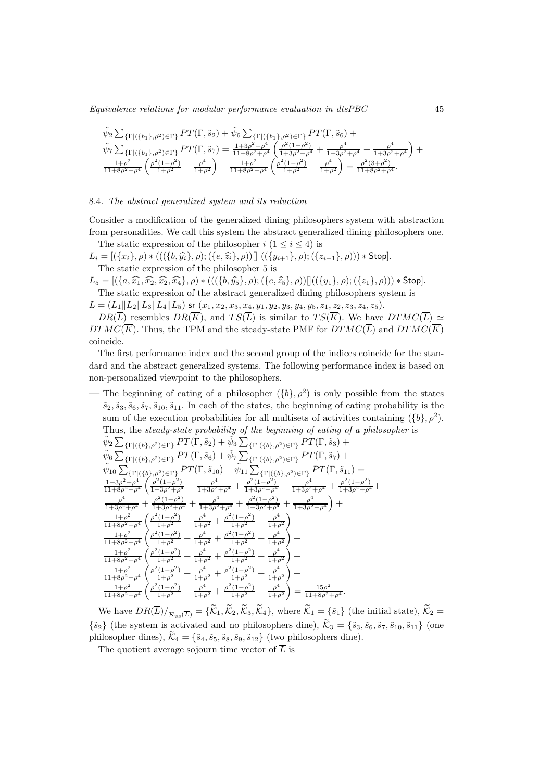Equivalence relations for modular performance evaluation in dtsPBC 45

$$
\tilde{\psi}_2 \sum_{\{\Gamma | (\{b_1\}, \rho^2) \in \Gamma\}} PT(\Gamma, \tilde{s}_2) + \tilde{\psi}_6 \sum_{\{\Gamma | (\{b_1\}, \rho^2) \in \Gamma\}} PT(\Gamma, \tilde{s}_6) + \n\tilde{\psi}_7 \sum_{\{\Gamma | (\{b_1\}, \rho^2) \in \Gamma\}} PT(\Gamma, \tilde{s}_7) = \frac{1+3\rho^2+\rho^4}{11+8\rho^2+\rho^4} \left( \frac{\rho^2(1-\rho^2)}{1+3\rho^2+\rho^4} + \frac{\rho^4}{1+3\rho^2+\rho^4} + \frac{\rho^4}{1+3\rho^2+\rho^4} \right) + \n\frac{1+\rho^2}{11+8\rho^2+\rho^4} \left( \frac{\rho^2(1-\rho^2)}{1+\rho^2} + \frac{\rho^4}{1+\rho^2} \right) + \frac{1+\rho^2}{11+8\rho^2+\rho^4} \left( \frac{\rho^2(1-\rho^2)}{1+\rho^2} + \frac{\rho^4}{1+\rho^2} \right) = \frac{\rho^2(3+\rho^2)}{11+8\rho^2+\rho^4}.
$$

#### 8.4. The abstract generalized system and its reduction

Consider a modification of the generalized dining philosophers system with abstraction from personalities. We call this system the abstract generalized dining philosophers one. The static expression of the philosopher  $i$   $(1 \leq i \leq 4)$  is

 $L_i = [(\{x_i\}, \rho) * (((\{b, \hat{y_i}\}, \rho); (\{e, \hat{z_i}\}, \rho))]] ((\{y_{i+1}\}, \rho); (\{z_{i+1}\}, \rho))) * Stop].$ The static expression of the philosopher 5 is

 $L_5 = [(\{a, \widehat{x_1}, \widehat{x_2}, \widehat{x_2}, \widehat{x_4}\}, \rho) * (((\{b, \widehat{y_5}\}, \rho); (\{e, \widehat{z_5}\}, \rho))]]((\{y_1\}, \rho); (\{z_1\}, \rho))) * Stop].$ The static expression of the abstract generalized dining philosophers system is

 $L = (L_1||L_2||L_3||L_4||L_5)$  sr  $(x_1, x_2, x_3, x_4, y_1, y_2, y_3, y_4, y_5, z_1, z_2, z_3, z_4, z_5).$ 

 $DR(\overline{L})$  resembles  $DR(\overline{K})$ , and  $TS(\overline{L})$  is similar to  $TS(\overline{K})$ . We have  $DTMC(\overline{L}) \simeq$  $DTMC(\overline{K})$ . Thus, the TPM and the steady-state PMF for  $DTMC(\overline{L})$  and  $DTMC(\overline{K})$ coincide.

The first performance index and the second group of the indices coincide for the standard and the abstract generalized systems. The following performance index is based on non-personalized viewpoint to the philosophers.

— The beginning of eating of a philosopher  $({b}, \rho^2)$  is only possible from the states  $\tilde{s}_2, \tilde{s}_3, \tilde{s}_6, \tilde{s}_7, \tilde{s}_{10}, \tilde{s}_{11}$ . In each of the states, the beginning of eating probability is the sum of the execution probabilities for all multisets of activities containing  $({b}, \rho^2)$ . Thus, the steady-state probability of the beginning of eating of a philosopher is

$$
\begin{array}{l} \tilde{\psi}_2 \sum_{\{\Gamma|(\{b\}, \rho^2) \in \Gamma\}} PT(\Gamma, \tilde{s}_2) + \tilde{\psi}_3 \sum_{\{\Gamma|(\{b\}, \rho^2) \in \Gamma\}} PT(\Gamma, \tilde{s}_3) + \\ \tilde{\psi}_6 \sum_{\{\Gamma|(\{b\}, \rho^2) \in \Gamma\}} PT(\Gamma, \tilde{s}_6) + \tilde{\psi}_7 \sum_{\{\Gamma|(\{b\}, \rho^2) \in \Gamma\}} PT(\Gamma, \tilde{s}_7) + \\ \tilde{\psi}_{10} \sum_{\{\Gamma|(\{b\}, \rho^2) \in \Gamma\}} PT(\Gamma, \tilde{s}_{10}) + \tilde{\psi}_{11} \sum_{\{\Gamma|(\{b\}, \rho^2) \in \Gamma\}} PT(\Gamma, \tilde{s}_{11}) = \\ \frac{1 + 3\rho^2 + \rho^4}{11 + 8\rho^2 + \rho^4} \left( \frac{\rho^2(1-\rho^2)}{1 + 3\rho^2 + \rho^4} + \frac{\rho^4}{1 + 3\rho^2 + \rho^4} + \frac{\rho^2(1-\rho^2)}{1 + 3\rho^2 + \rho^4} + \frac{\rho^4}{1 + 3\rho^2 + \rho^4} + \frac{\rho^2(1-\rho^2)}{1 + 3\rho^2 + \rho^4} + \frac{\rho^4}{1 + 3\rho^2 + \rho^4} + \frac{\rho^2(1-\rho^2)}{1 + 3\rho^2 + \rho^4} + \frac{\rho^4}{1 + 3\rho^2 + \rho^4} \right) + \\ \frac{1 + \rho^2}{11 + 8\rho^2 + \rho^4} \left( \frac{\rho^2(1-\rho^2)}{1 + \rho^2} + \frac{\rho^4}{1 + \rho^2} + \frac{\rho^2(1-\rho^2)}{1 + \rho^2} + \frac{\rho^4}{1 + \rho^2} \right) + \\ \frac{1 + \rho^2}{11 + 8\rho^2 + \rho^4} \left( \frac{\rho^2(1-\rho^2)}{1 + \rho^2} + \frac{\rho^4}{1 + \rho^2} + \frac{\rho^2(1-\rho^2)}{1 + \rho^2} + \frac{\rho^4}{1 + \rho^2} \right) + \\ \frac{1 + \rho^2}{11 + 8\rho^2 + \rho^4} \left( \frac{\rho^2(1-\
$$

We have  $DR(\overline{L})/_{\mathcal{R}_{ss}(\overline{L})} = {\{\widetilde{\mathcal{K}}_1,\widetilde{\mathcal{K}}_2,\widetilde{\mathcal{K}}_3,\widetilde{\mathcal{K}}_4\}},$  where  $\widetilde{\mathcal{K}}_1 = {\{\widetilde{s}_1\}}$  (the initial state),  $\widetilde{\mathcal{K}}_2 =$  $\{\tilde{s}_2\}$  (the system is activated and no philosophers dine),  $\tilde{\mathcal{K}}_3 = \{\tilde{s}_3, \tilde{s}_6, \tilde{s}_7, \tilde{s}_{10}, \tilde{s}_{11}\}$  (one philosopher dines),  $\tilde{\mathcal{K}}_4 = \{\tilde{s}_4, \tilde{s}_5, \tilde{s}_8, \tilde{s}_9, \tilde{s}_{12}\}\$  (two philosophers dine).

The quotient average sojourn time vector of  $\overline{L}$  is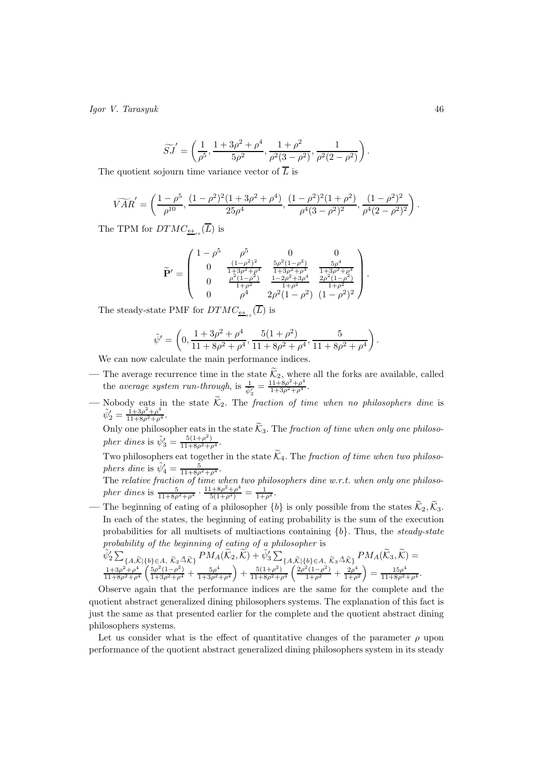$$
\widetilde{SJ}' = \left(\frac{1}{\rho^5}, \frac{1 + 3\rho^2 + \rho^4}{5\rho^2}, \frac{1 + \rho^2}{\rho^2(3 - \rho^2)}, \frac{1}{\rho^2(2 - \rho^2)}\right).
$$

The quotient sojourn time variance vector of  $\overline{L}$  is

$$
\widetilde{VAR}' = \left(\frac{1-\rho^5}{\rho^{10}}, \frac{(1-\rho^2)^2(1+3\rho^2+\rho^4)}{25\rho^4}, \frac{(1-\rho^2)^2(1+\rho^2)}{\rho^4(3-\rho^2)^2}, \frac{(1-\rho^2)^2}{\rho^4(2-\rho^2)^2}\right).
$$

The TPM for  $DTMC_{\underline{\leftrightarrow}_{ss}}(L)$  is

$$
\widetilde{\mathbf{P}}' = \begin{pmatrix}\n1 - \rho^5 & \rho^5 & 0 & 0 \\
0 & \frac{(1 - \rho^2)^2}{1 + 3\rho^2 + \rho^4} & \frac{5\rho^2 (1 - \rho^2)}{1 + 3\rho^2 + \rho^4} & \frac{5\rho^4}{1 + 3\rho^2 + \rho^4} \\
0 & \frac{\rho^2 (1 - \rho^2)}{1 + \rho^2} & \frac{1 - 2\rho^2 + 3\rho^4}{1 + \rho^2} & \frac{2\rho^2 (1 - \rho^2)}{1 + \rho^2} \\
0 & \rho^4 & 2\rho^2 (1 - \rho^2) & (1 - \rho^2)^2\n\end{pmatrix}
$$

.

.

The steady-state PMF for  $DTMC_{\underline{\leftrightarrow}_{ss}}(L)$  is

$$
\tilde{\psi}' = \left(0, \frac{1 + 3\rho^2 + \rho^4}{11 + 8\rho^2 + \rho^4}, \frac{5(1 + \rho^2)}{11 + 8\rho^2 + \rho^4}, \frac{5}{11 + 8\rho^2 + \rho^4}\right)
$$

We can now calculate the main performance indices.

- The average recurrence time in the state  $\mathcal{K}_2$ , where all the forks are available, called the average system run-through, is  $\frac{1}{\psi_2'} = \frac{11+8\rho^2+\rho^4}{1+3\rho^2+\rho^4}$ .
- Nobody eats in the state  $\mathcal{K}_2$ . The fraction of time when no philosophers dine is  $\tilde{\psi}'_2 = \frac{1+3\rho^2+\rho^4}{11+8\rho^2+\rho^4}.$

Only one philosopher eats in the state  $\mathcal{K}_3$ . The *fraction of time when only one philoso*pher dines is  $\tilde{\psi}'_3 = \frac{5(1+\rho^2)}{11+8\rho^2+\rho^4}$ .

Two philosophers eat together in the state  $\widetilde{K}_4$ . The *fraction of time when two philoso*phers dine is  $\tilde{\psi}'_4 = \frac{5}{11 + 8\rho^2 + \rho^4}$ .

The relative fraction of time when two philosophers dine  $w.r.t.$  when only one philosopher dines is  $\frac{5}{11+8\rho^2+\rho^4} \cdot \frac{11+8\rho^2+\rho^4}{5(1+\rho^2)} = \frac{1}{1+\rho^2}$ .

The beginning of eating of a philosopher  $\{b\}$  is only possible from the states  $\widetilde{\mathcal{K}}_2$ ,  $\widetilde{\mathcal{K}}_3$ . In each of the states, the beginning of eating probability is the sum of the execution probabilities for all multisets of multiactions containing  ${b}$ . Thus, the *steady-state* probability of the beginning of eating of a philosopher is

$$
\tilde{\psi}_{2}^{\prime} \sum_{\{A,\widetilde{K}\mid\{b\}\in A, \ \widetilde{K}_{2} \stackrel{\Delta}{\to} \widetilde{K}\}} P M_{A}(\widetilde{K}_{2}, \widetilde{K}) + \tilde{\psi}_{3}^{\prime} \sum_{\{A,\widetilde{K}\mid\{b\}\in A, \ \widetilde{K}_{3} \stackrel{\Delta}{\to} \widetilde{K}\}} P M_{A}(\widetilde{K}_{3}, \widetilde{K}) = \n\frac{1+3\rho^{2}+\rho^{4}}{11+8\rho^{2}+\rho^{4}} \left( \frac{5\rho^{2}(1-\rho^{2})}{1+3\rho^{2}+\rho^{4}} + \frac{5\rho^{4}}{1+3\rho^{2}+\rho^{4}} \right) + \frac{5(1+\rho^{2})}{11+8\rho^{2}+\rho^{4}} \left( \frac{2\rho^{2}(1-\rho^{2})}{1+\rho^{2}} + \frac{2\rho^{4}}{1+\rho^{2}} \right) = \frac{15\rho^{4}}{11+8\rho^{2}+\rho^{4}}.
$$

Observe again that the performance indices are the same for the complete and the quotient abstract generalized dining philosophers systems. The explanation of this fact is just the same as that presented earlier for the complete and the quotient abstract dining philosophers systems.

Let us consider what is the effect of quantitative changes of the parameter  $\rho$  upon performance of the quotient abstract generalized dining philosophers system in its steady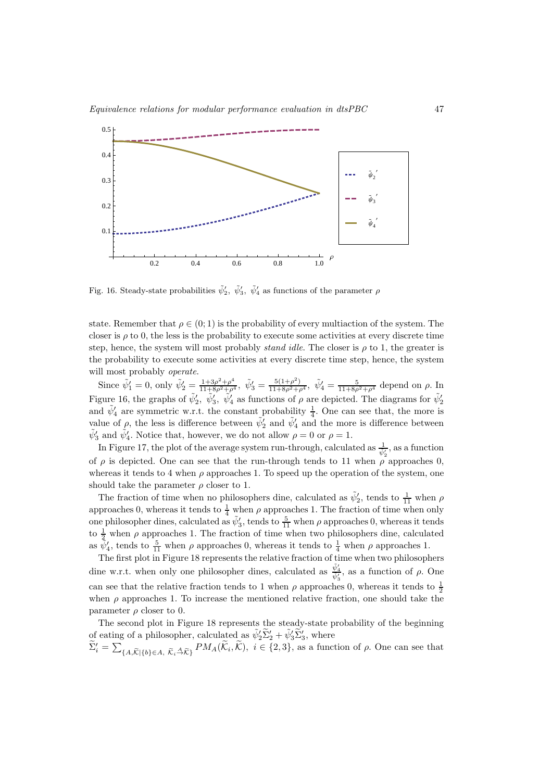

Fig. 16. Steady-state probabilities  $\tilde{\psi}'_2$ ,  $\tilde{\psi}'_3$ ,  $\tilde{\psi}'_4$  as functions of the parameter  $\rho$ 

state. Remember that  $\rho \in (0, 1)$  is the probability of every multiaction of the system. The closer is  $\rho$  to 0, the less is the probability to execute some activities at every discrete time step, hence, the system will most probably *stand idle*. The closer is  $\rho$  to 1, the greater is the probability to execute some activities at every discrete time step, hence, the system will most probably *operate*.

Since  $\tilde{\psi}'_1 = 0$ , only  $\tilde{\psi}'_2 = \frac{1+3\rho^2+\rho^4}{11+8\rho^2+\rho^4}$ ,  $\tilde{\psi}'_3 = \frac{5(1+\rho^2)}{11+8\rho^2+\rho^4}$ ,  $\tilde{\psi}'_4 = \frac{5}{11+8\rho^2+\rho^4}$  depend on  $\rho$ . In Figure 16, the graphs of  $\tilde{\psi}'_2$ ,  $\tilde{\psi}'_3$ ,  $\tilde{\psi}'_4$  as functions of  $\rho$  are depicted. The diagrams for  $\tilde{\psi}'_2$ and  $\tilde{\psi}'_4$  are symmetric w.r.t. the constant probability  $\frac{1}{4}$ . One can see that, the more is value of  $\rho$ , the less is difference between  $\tilde{\psi}'_2$  and  $\tilde{\psi}'_4$  and the more is difference between  $\tilde{\psi}'_3$  and  $\tilde{\psi}'_4$ . Notice that, however, we do not allow  $\rho = 0$  or  $\rho = 1$ .

In Figure 17, the plot of the average system run-through, calculated as  $\frac{1}{\psi_2'}$ , as a function of  $\rho$  is depicted. One can see that the run-through tends to 11 when  $\rho^{\nu_2}$  approaches 0, whereas it tends to 4 when  $\rho$  approaches 1. To speed up the operation of the system, one should take the parameter  $\rho$  closer to 1.

The fraction of time when no philosophers dine, calculated as  $\tilde{\psi}'_2$ , tends to  $\frac{1}{11}$  when  $\rho$ approaches 0, whereas it tends to  $\frac{1}{4}$  when  $\rho$  approaches 1. The fraction of time when only one philosopher dines, calculated as  $\tilde{\psi}'_3$ , tends to  $\frac{5}{11}$  when  $\rho$  approaches 0, whereas it tends to  $\frac{1}{2}$  when  $\rho$  approaches 1. The fraction of time when two philosophers dine, calculated as  $\tilde{\psi}'_4$ , tends to  $\frac{5}{11}$  when  $\rho$  approaches 0, whereas it tends to  $\frac{1}{4}$  when  $\rho$  approaches 1.

The first plot in Figure 18 represents the relative fraction of time when two philosophers dine w.r.t. when only one philosopher dines, calculated as  $\frac{\tilde{\psi}'_4}{\tilde{\psi}'_3}$ , as a function of  $\rho$ . One can see that the relative fraction tends to 1 when  $\rho$  approaches 0, whereas it tends to  $\frac{1}{2}$ when  $\rho$  approaches 1. To increase the mentioned relative fraction, one should take the parameter  $\rho$  closer to 0.

The second plot in Figure 18 represents the steady-state probability of the beginning of eating of a philosopher, calculated as  $\tilde{\psi}'_2 \tilde{\Sigma}'_2 + \tilde{\psi}'_3 \tilde{\Sigma}'_3$ , where

 $\widetilde{\Sigma}'_i = \sum_{\{A,\widetilde{\mathcal{K}}\mid \{b\} \in A, \ \widetilde{\mathcal{K}}_i \stackrel{\Delta}{\to} \widetilde{\mathcal{K}}\}} PM_A(\widetilde{\mathcal{K}}_i, \widetilde{\mathcal{K}}), i \in \{2,3\},$  as a function of  $\rho$ . One can see that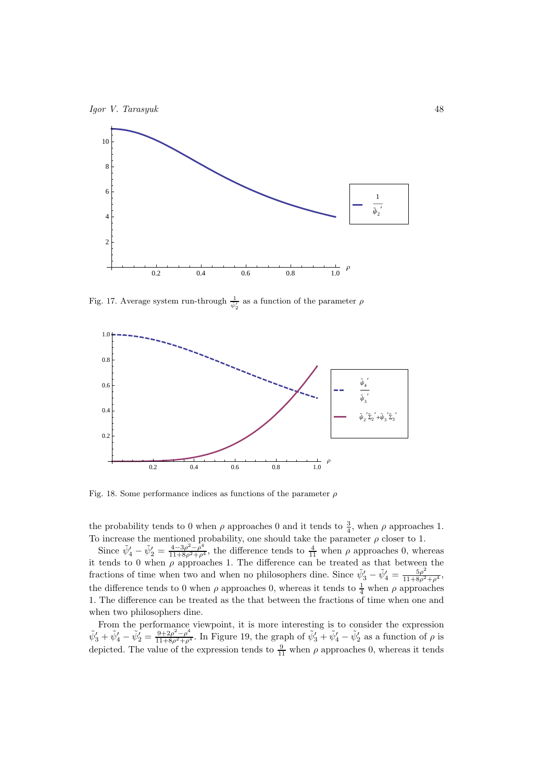



Fig. 17. Average system run-through  $\frac{1}{\psi'_2}$  as a function of the parameter  $\rho$ 



Fig. 18. Some performance indices as functions of the parameter  $\rho$ 

the probability tends to 0 when  $\rho$  approaches 0 and it tends to  $\frac{3}{4}$ , when  $\rho$  approaches 1. To increase the mentioned probability, one should take the parameter  $\rho$  closer to 1.

Since  $\tilde{\psi}'_4 - \tilde{\psi}'_2 = \frac{4-3\rho^2-\rho^4}{11+8\rho^2+\rho^4}$ , the difference tends to  $\frac{4}{11}$  when  $\rho$  approaches 0, whereas it tends to 0 when  $\rho$  approaches 1. The difference can be treated as that between the fractions of time when two and when no philosophers dine. Since  $\tilde{\psi}'_3 - \tilde{\psi}'_4 = \frac{5\rho^2}{11+8\rho^2+\rho^4}$ , the difference tends to 0 when  $\rho$  approaches 0, whereas it tends to  $\frac{1}{4}$  when  $\rho$  approaches 1. The difference can be treated as the that between the fractions of time when one and when two philosophers dine.

From the performance viewpoint, it is more interesting is to consider the expression  $\tilde{\psi}'_3 + \tilde{\psi}'_4 - \tilde{\psi}'_2 = \frac{9+2\rho^2-\rho^4}{11+8\rho^2+\rho^4}$ . In Figure 19, the graph of  $\tilde{\psi}'_3 + \tilde{\psi}'_4 - \tilde{\psi}'_2$  as a function of  $\rho$  is depicted. The value of the expression tends to  $\frac{9}{11}$  when  $\rho$  approaches 0, whereas it tends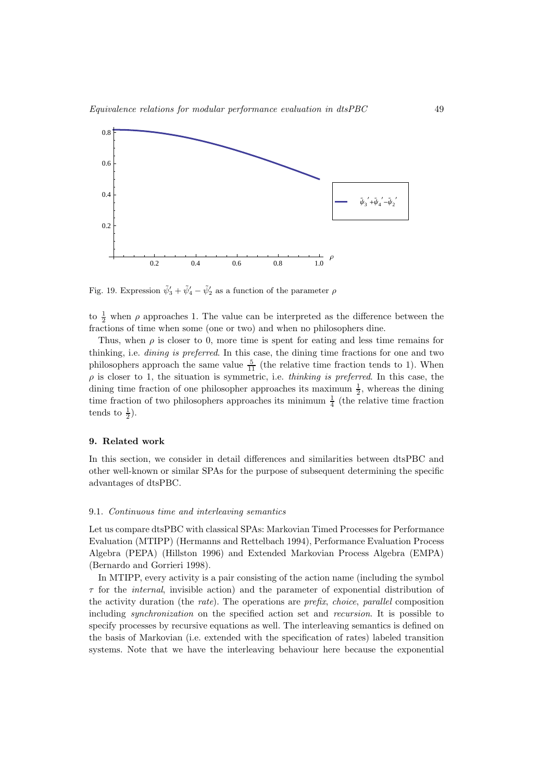

Fig. 19. Expression  $\tilde{\psi}'_3 + \tilde{\psi}'_4 - \tilde{\psi}'_2$  as a function of the parameter  $\rho$ 

to  $\frac{1}{2}$  when  $\rho$  approaches 1. The value can be interpreted as the difference between the fractions of time when some (one or two) and when no philosophers dine.

Thus, when  $\rho$  is closer to 0, more time is spent for eating and less time remains for thinking, i.e. dining is preferred. In this case, the dining time fractions for one and two philosophers approach the same value  $\frac{5}{11}$  (the relative time fraction tends to 1). When  $\rho$  is closer to 1, the situation is symmetric, i.e. *thinking is preferred*. In this case, the dining time fraction of one philosopher approaches its maximum  $\frac{1}{2}$ , whereas the dining time fraction of two philosophers approaches its minimum  $\frac{1}{4}$  (the relative time fraction tends to  $\frac{1}{2}$ ).

# 9. Related work

In this section, we consider in detail differences and similarities between dtsPBC and other well-known or similar SPAs for the purpose of subsequent determining the specific advantages of dtsPBC.

#### 9.1. Continuous time and interleaving semantics

Let us compare dtsPBC with classical SPAs: Markovian Timed Processes for Performance Evaluation (MTIPP) (Hermanns and Rettelbach 1994), Performance Evaluation Process Algebra (PEPA) (Hillston 1996) and Extended Markovian Process Algebra (EMPA) (Bernardo and Gorrieri 1998).

In MTIPP, every activity is a pair consisting of the action name (including the symbol  $\tau$  for the *internal*, invisible action) and the parameter of exponential distribution of the activity duration (the rate). The operations are prefix, choice, parallel composition including synchronization on the specified action set and recursion. It is possible to specify processes by recursive equations as well. The interleaving semantics is defined on the basis of Markovian (i.e. extended with the specification of rates) labeled transition systems. Note that we have the interleaving behaviour here because the exponential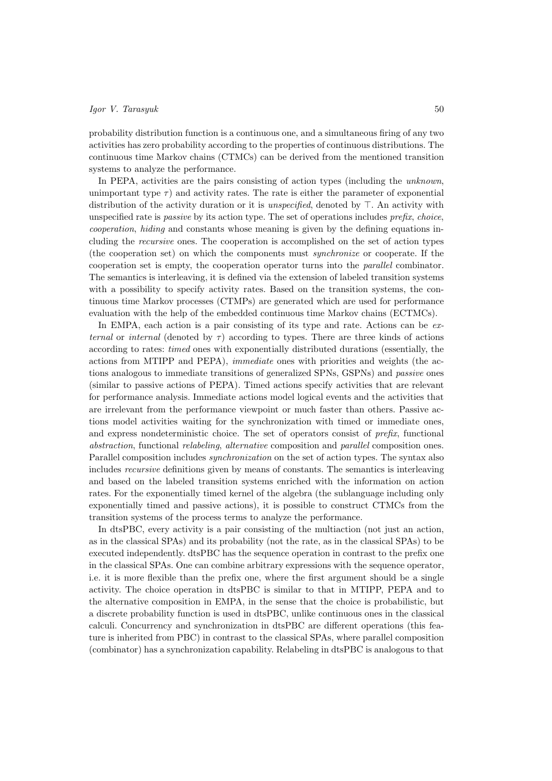probability distribution function is a continuous one, and a simultaneous firing of any two activities has zero probability according to the properties of continuous distributions. The continuous time Markov chains (CTMCs) can be derived from the mentioned transition systems to analyze the performance.

In PEPA, activities are the pairs consisting of action types (including the unknown, unimportant type  $\tau$ ) and activity rates. The rate is either the parameter of exponential distribution of the activity duration or it is unspecified, denoted by ⊤. An activity with unspecified rate is *passive* by its action type. The set of operations includes *prefix, choice,* cooperation, hiding and constants whose meaning is given by the defining equations including the recursive ones. The cooperation is accomplished on the set of action types (the cooperation set) on which the components must synchronize or cooperate. If the cooperation set is empty, the cooperation operator turns into the parallel combinator. The semantics is interleaving, it is defined via the extension of labeled transition systems with a possibility to specify activity rates. Based on the transition systems, the continuous time Markov processes (CTMPs) are generated which are used for performance evaluation with the help of the embedded continuous time Markov chains (ECTMCs).

In EMPA, each action is a pair consisting of its type and rate. Actions can be external or internal (denoted by  $\tau$ ) according to types. There are three kinds of actions according to rates: timed ones with exponentially distributed durations (essentially, the actions from MTIPP and PEPA), immediate ones with priorities and weights (the actions analogous to immediate transitions of generalized SPNs, GSPNs) and passive ones (similar to passive actions of PEPA). Timed actions specify activities that are relevant for performance analysis. Immediate actions model logical events and the activities that are irrelevant from the performance viewpoint or much faster than others. Passive actions model activities waiting for the synchronization with timed or immediate ones, and express nondeterministic choice. The set of operators consist of prefix, functional abstraction, functional relabeling, alternative composition and parallel composition ones. Parallel composition includes *synchronization* on the set of action types. The syntax also includes recursive definitions given by means of constants. The semantics is interleaving and based on the labeled transition systems enriched with the information on action rates. For the exponentially timed kernel of the algebra (the sublanguage including only exponentially timed and passive actions), it is possible to construct CTMCs from the transition systems of the process terms to analyze the performance.

In dtsPBC, every activity is a pair consisting of the multiaction (not just an action, as in the classical SPAs) and its probability (not the rate, as in the classical SPAs) to be executed independently. dtsPBC has the sequence operation in contrast to the prefix one in the classical SPAs. One can combine arbitrary expressions with the sequence operator, i.e. it is more flexible than the prefix one, where the first argument should be a single activity. The choice operation in dtsPBC is similar to that in MTIPP, PEPA and to the alternative composition in EMPA, in the sense that the choice is probabilistic, but a discrete probability function is used in dtsPBC, unlike continuous ones in the classical calculi. Concurrency and synchronization in dtsPBC are different operations (this feature is inherited from PBC) in contrast to the classical SPAs, where parallel composition (combinator) has a synchronization capability. Relabeling in dtsPBC is analogous to that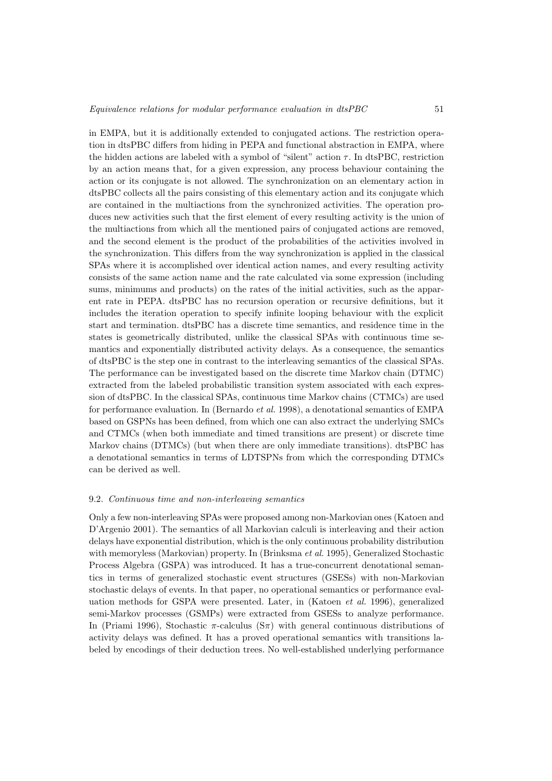in EMPA, but it is additionally extended to conjugated actions. The restriction operation in dtsPBC differs from hiding in PEPA and functional abstraction in EMPA, where the hidden actions are labeled with a symbol of "silent" action  $\tau$ . In dtsPBC, restriction by an action means that, for a given expression, any process behaviour containing the action or its conjugate is not allowed. The synchronization on an elementary action in dtsPBC collects all the pairs consisting of this elementary action and its conjugate which are contained in the multiactions from the synchronized activities. The operation produces new activities such that the first element of every resulting activity is the union of the multiactions from which all the mentioned pairs of conjugated actions are removed, and the second element is the product of the probabilities of the activities involved in the synchronization. This differs from the way synchronization is applied in the classical SPAs where it is accomplished over identical action names, and every resulting activity consists of the same action name and the rate calculated via some expression (including sums, minimums and products) on the rates of the initial activities, such as the apparent rate in PEPA. dtsPBC has no recursion operation or recursive definitions, but it includes the iteration operation to specify infinite looping behaviour with the explicit start and termination. dtsPBC has a discrete time semantics, and residence time in the states is geometrically distributed, unlike the classical SPAs with continuous time semantics and exponentially distributed activity delays. As a consequence, the semantics of dtsPBC is the step one in contrast to the interleaving semantics of the classical SPAs. The performance can be investigated based on the discrete time Markov chain (DTMC) extracted from the labeled probabilistic transition system associated with each expression of dtsPBC. In the classical SPAs, continuous time Markov chains (CTMCs) are used for performance evaluation. In (Bernardo et al. 1998), a denotational semantics of EMPA based on GSPNs has been defined, from which one can also extract the underlying SMCs and CTMCs (when both immediate and timed transitions are present) or discrete time Markov chains (DTMCs) (but when there are only immediate transitions). dtsPBC has a denotational semantics in terms of LDTSPNs from which the corresponding DTMCs can be derived as well.

#### 9.2. Continuous time and non-interleaving semantics

Only a few non-interleaving SPAs were proposed among non-Markovian ones (Katoen and D'Argenio 2001). The semantics of all Markovian calculi is interleaving and their action delays have exponential distribution, which is the only continuous probability distribution with memoryless (Markovian) property. In (Brinksma et al. 1995), Generalized Stochastic Process Algebra (GSPA) was introduced. It has a true-concurrent denotational semantics in terms of generalized stochastic event structures (GSESs) with non-Markovian stochastic delays of events. In that paper, no operational semantics or performance evaluation methods for GSPA were presented. Later, in (Katoen et al. 1996), generalized semi-Markov processes (GSMPs) were extracted from GSESs to analyze performance. In (Priami 1996), Stochastic  $\pi$ -calculus (S $\pi$ ) with general continuous distributions of activity delays was defined. It has a proved operational semantics with transitions labeled by encodings of their deduction trees. No well-established underlying performance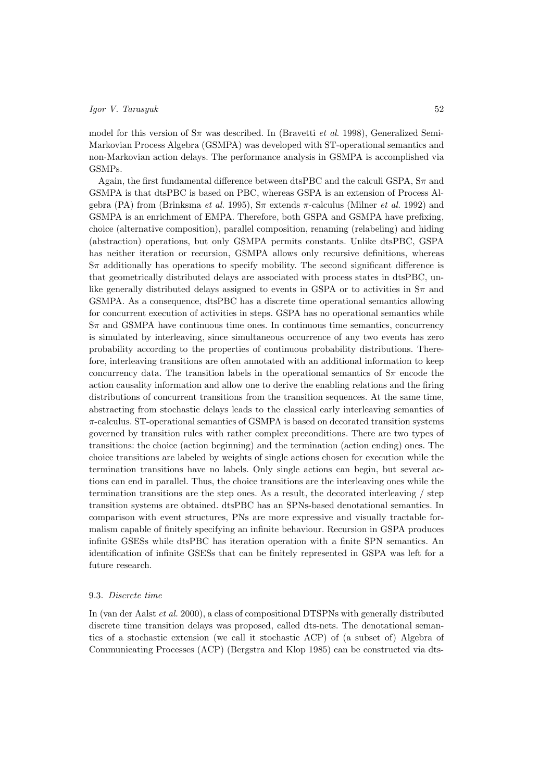model for this version of  $S_{\pi}$  was described. In (Bravetti *et al.* 1998), Generalized Semi-Markovian Process Algebra (GSMPA) was developed with ST-operational semantics and non-Markovian action delays. The performance analysis in GSMPA is accomplished via GSMPs.

Again, the first fundamental difference between dtsPBC and the calculi GSPA,  $S_{\pi}$  and GSMPA is that dtsPBC is based on PBC, whereas GSPA is an extension of Process Algebra (PA) from (Brinksma *et al.* 1995),  $S\pi$  extends  $\pi$ -calculus (Milner *et al.* 1992) and GSMPA is an enrichment of EMPA. Therefore, both GSPA and GSMPA have prefixing, choice (alternative composition), parallel composition, renaming (relabeling) and hiding (abstraction) operations, but only GSMPA permits constants. Unlike dtsPBC, GSPA has neither iteration or recursion, GSMPA allows only recursive definitions, whereas  $S_{\pi}$  additionally has operations to specify mobility. The second significant difference is that geometrically distributed delays are associated with process states in dtsPBC, unlike generally distributed delays assigned to events in GSPA or to activities in  $S_{\pi}$  and GSMPA. As a consequence, dtsPBC has a discrete time operational semantics allowing for concurrent execution of activities in steps. GSPA has no operational semantics while  $S_{\pi}$  and GSMPA have continuous time ones. In continuous time semantics, concurrency is simulated by interleaving, since simultaneous occurrence of any two events has zero probability according to the properties of continuous probability distributions. Therefore, interleaving transitions are often annotated with an additional information to keep concurrency data. The transition labels in the operational semantics of  $S_{\pi}$  encode the action causality information and allow one to derive the enabling relations and the firing distributions of concurrent transitions from the transition sequences. At the same time, abstracting from stochastic delays leads to the classical early interleaving semantics of  $\pi$ -calculus. ST-operational semantics of GSMPA is based on decorated transition systems governed by transition rules with rather complex preconditions. There are two types of transitions: the choice (action beginning) and the termination (action ending) ones. The choice transitions are labeled by weights of single actions chosen for execution while the termination transitions have no labels. Only single actions can begin, but several actions can end in parallel. Thus, the choice transitions are the interleaving ones while the termination transitions are the step ones. As a result, the decorated interleaving / step transition systems are obtained. dtsPBC has an SPNs-based denotational semantics. In comparison with event structures, PNs are more expressive and visually tractable formalism capable of finitely specifying an infinite behaviour. Recursion in GSPA produces infinite GSESs while dtsPBC has iteration operation with a finite SPN semantics. An identification of infinite GSESs that can be finitely represented in GSPA was left for a future research.

# 9.3. Discrete time

In (van der Aalst et al. 2000), a class of compositional DTSPNs with generally distributed discrete time transition delays was proposed, called dts-nets. The denotational semantics of a stochastic extension (we call it stochastic ACP) of (a subset of) Algebra of Communicating Processes (ACP) (Bergstra and Klop 1985) can be constructed via dts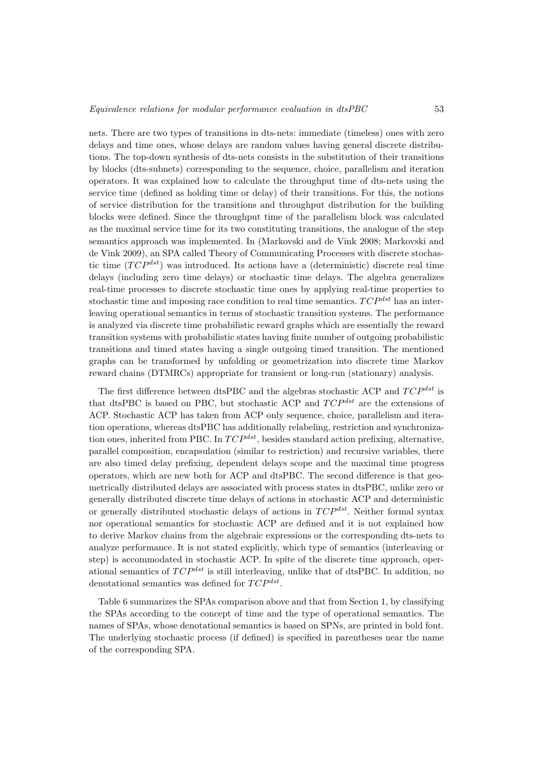nets. There are two types of transitions in dts-nets: immediate (timeless) ones with zero delays and time ones, whose delays are random values having general discrete distributions. The top-down synthesis of dts-nets consists in the substitution of their transitions by blocks (dts-subnets) corresponding to the sequence, choice, parallelism and iteration operators. It was explained how to calculate the throughput time of dts-nets using the service time (defined as holding time or delay) of their transitions. For this, the notions of service distribution for the transitions and throughput distribution for the building blocks were defined. Since the throughput time of the parallelism block was calculated as the maximal service time for its two constituting transitions, the analogue of the step semantics approach was implemented. In (Markovski and de Vink 2008; Markovski and de Vink 2009), an SPA called Theory of Communicating Processes with discrete stochastic time  $(TCP^{dst})$  was introduced. Its actions have a (deterministic) discrete real time delays (including zero time delays) or stochastic time delays. The algebra generalizes real-time processes to discrete stochastic time ones by applying real-time properties to stochastic time and imposing race condition to real time semantics.  $TCP^{dst}$  has an interleaving operational semantics in terms of stochastic transition systems. The performance is analyzed via discrete time probabilistic reward graphs which are essentially the reward transition systems with probabilistic states having finite number of outgoing probabilistic transitions and timed states having a single outgoing timed transition. The mentioned graphs can be transformed by unfolding or geometrization into discrete time Markov reward chains (DTMRCs) appropriate for transient or long-run (stationary) analysis.

The first difference between dtsPBC and the algebras stochastic ACP and  $TCP^{dst}$  is that dtsPBC is based on PBC, but stochastic ACP and  $TCP^{dst}$  are the extensions of ACP. Stochastic ACP has taken from ACP only sequence, choice, parallelism and iteration operations, whereas dtsPBC has additionally relabeling, restriction and synchronization ones, inherited from PBC. In  $TCP^{dst}$ , besides standard action prefixing, alternative, parallel composition, encapsulation (similar to restriction) and recursive variables, there are also timed delay prefixing, dependent delays scope and the maximal time progress operators, which are new both for ACP and dtsPBC. The second difference is that geometrically distributed delays are associated with process states in dtsPBC, unlike zero or generally distributed discrete time delays of actions in stochastic ACP and deterministic or generally distributed stochastic delays of actions in  $TCP^{dst}$ . Neither formal syntax nor operational semantics for stochastic ACP are defined and it is not explained how to derive Markov chains from the algebraic expressions or the corresponding dts-nets to analyze performance. It is not stated explicitly, which type of semantics (interleaving or step) is accommodated in stochastic ACP. In spite of the discrete time approach, operational semantics of  $TCP^{dst}$  is still interleaving, unlike that of dtsPBC. In addition, no denotational semantics was defined for  $TCP^{dst}$ .

Table 6 summarizes the SPAs comparison above and that from Section 1, by classifying the SPAs according to the concept of time and the type of operational semantics. The names of SPAs, whose denotational semantics is based on SPNs, are printed in bold font. The underlying stochastic process (if defined) is specified in parentheses near the name of the corresponding SPA.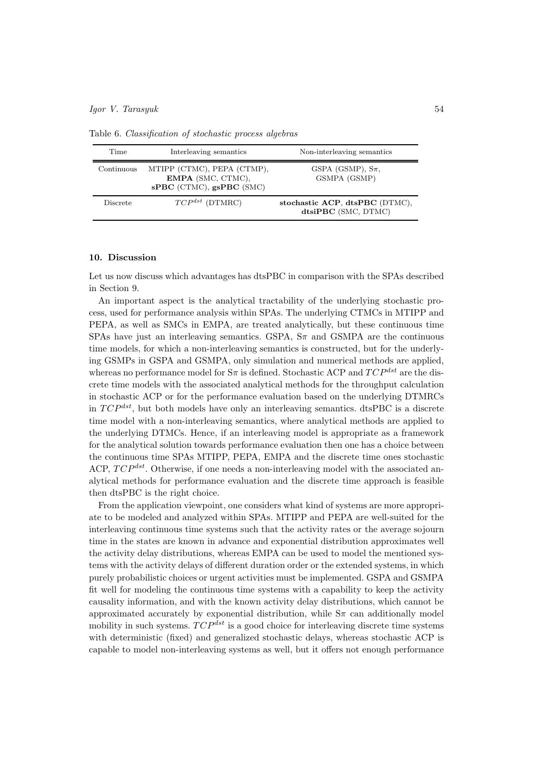| Time       | Interleaving semantics                                                      | Non-interleaving semantics                            |
|------------|-----------------------------------------------------------------------------|-------------------------------------------------------|
| Continuous | MTIPP (CTMC), PEPA (CTMP),<br>EMPA (SMC, CTMC),<br>sPBC (CTMC), gsPBC (SMC) | GSPA (GSMP), $S_{\pi}$ ,<br>GSMPA (GSMP)              |
| Discrete   | $TCP^{dst}$ (DTMRC)                                                         | stochastic ACP, dtsPBC (DTMC),<br>dtsiPBC (SMC, DTMC) |

Table 6. Classification of stochastic process algebras

# 10. Discussion

Let us now discuss which advantages has dtsPBC in comparison with the SPAs described in Section 9.

An important aspect is the analytical tractability of the underlying stochastic process, used for performance analysis within SPAs. The underlying CTMCs in MTIPP and PEPA, as well as SMCs in EMPA, are treated analytically, but these continuous time SPAs have just an interleaving semantics. GSPA,  $S_{\pi}$  and GSMPA are the continuous time models, for which a non-interleaving semantics is constructed, but for the underlying GSMPs in GSPA and GSMPA, only simulation and numerical methods are applied, whereas no performance model for  $S_{\pi}$  is defined. Stochastic ACP and  $TCP^{dst}$  are the discrete time models with the associated analytical methods for the throughput calculation in stochastic ACP or for the performance evaluation based on the underlying DTMRCs in  $TCP^{dst}$ , but both models have only an interleaving semantics. dtsPBC is a discrete time model with a non-interleaving semantics, where analytical methods are applied to the underlying DTMCs. Hence, if an interleaving model is appropriate as a framework for the analytical solution towards performance evaluation then one has a choice between the continuous time SPAs MTIPP, PEPA, EMPA and the discrete time ones stochastic ACP,  $TCP^{dst}$ . Otherwise, if one needs a non-interleaving model with the associated analytical methods for performance evaluation and the discrete time approach is feasible then dtsPBC is the right choice.

From the application viewpoint, one considers what kind of systems are more appropriate to be modeled and analyzed within SPAs. MTIPP and PEPA are well-suited for the interleaving continuous time systems such that the activity rates or the average sojourn time in the states are known in advance and exponential distribution approximates well the activity delay distributions, whereas EMPA can be used to model the mentioned systems with the activity delays of different duration order or the extended systems, in which purely probabilistic choices or urgent activities must be implemented. GSPA and GSMPA fit well for modeling the continuous time systems with a capability to keep the activity causality information, and with the known activity delay distributions, which cannot be approximated accurately by exponential distribution, while  $S_{\pi}$  can additionally model mobility in such systems.  $TCP^{dst}$  is a good choice for interleaving discrete time systems with deterministic (fixed) and generalized stochastic delays, whereas stochastic ACP is capable to model non-interleaving systems as well, but it offers not enough performance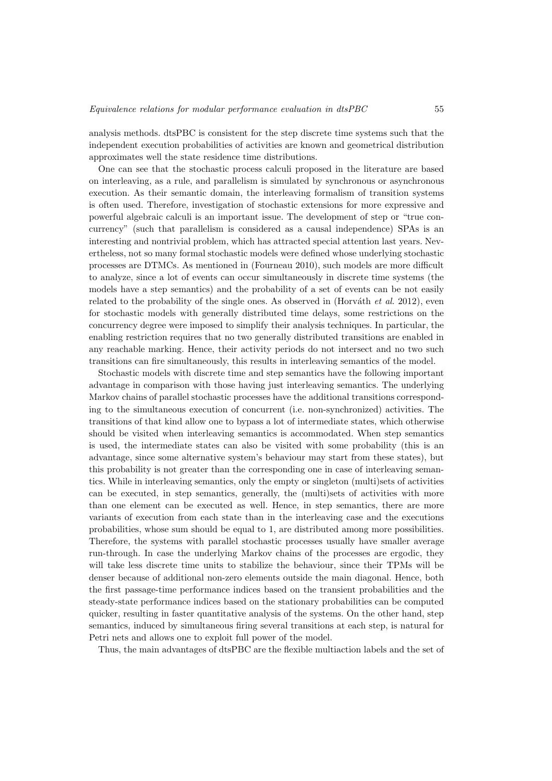analysis methods. dtsPBC is consistent for the step discrete time systems such that the independent execution probabilities of activities are known and geometrical distribution approximates well the state residence time distributions.

One can see that the stochastic process calculi proposed in the literature are based on interleaving, as a rule, and parallelism is simulated by synchronous or asynchronous execution. As their semantic domain, the interleaving formalism of transition systems is often used. Therefore, investigation of stochastic extensions for more expressive and powerful algebraic calculi is an important issue. The development of step or "true concurrency" (such that parallelism is considered as a causal independence) SPAs is an interesting and nontrivial problem, which has attracted special attention last years. Nevertheless, not so many formal stochastic models were defined whose underlying stochastic processes are DTMCs. As mentioned in (Fourneau 2010), such models are more difficult to analyze, since a lot of events can occur simultaneously in discrete time systems (the models have a step semantics) and the probability of a set of events can be not easily related to the probability of the single ones. As observed in (Horváth et al. 2012), even for stochastic models with generally distributed time delays, some restrictions on the concurrency degree were imposed to simplify their analysis techniques. In particular, the enabling restriction requires that no two generally distributed transitions are enabled in any reachable marking. Hence, their activity periods do not intersect and no two such transitions can fire simultaneously, this results in interleaving semantics of the model.

Stochastic models with discrete time and step semantics have the following important advantage in comparison with those having just interleaving semantics. The underlying Markov chains of parallel stochastic processes have the additional transitions corresponding to the simultaneous execution of concurrent (i.e. non-synchronized) activities. The transitions of that kind allow one to bypass a lot of intermediate states, which otherwise should be visited when interleaving semantics is accommodated. When step semantics is used, the intermediate states can also be visited with some probability (this is an advantage, since some alternative system's behaviour may start from these states), but this probability is not greater than the corresponding one in case of interleaving semantics. While in interleaving semantics, only the empty or singleton (multi)sets of activities can be executed, in step semantics, generally, the (multi)sets of activities with more than one element can be executed as well. Hence, in step semantics, there are more variants of execution from each state than in the interleaving case and the executions probabilities, whose sum should be equal to 1, are distributed among more possibilities. Therefore, the systems with parallel stochastic processes usually have smaller average run-through. In case the underlying Markov chains of the processes are ergodic, they will take less discrete time units to stabilize the behaviour, since their TPMs will be denser because of additional non-zero elements outside the main diagonal. Hence, both the first passage-time performance indices based on the transient probabilities and the steady-state performance indices based on the stationary probabilities can be computed quicker, resulting in faster quantitative analysis of the systems. On the other hand, step semantics, induced by simultaneous firing several transitions at each step, is natural for Petri nets and allows one to exploit full power of the model.

Thus, the main advantages of dtsPBC are the flexible multiaction labels and the set of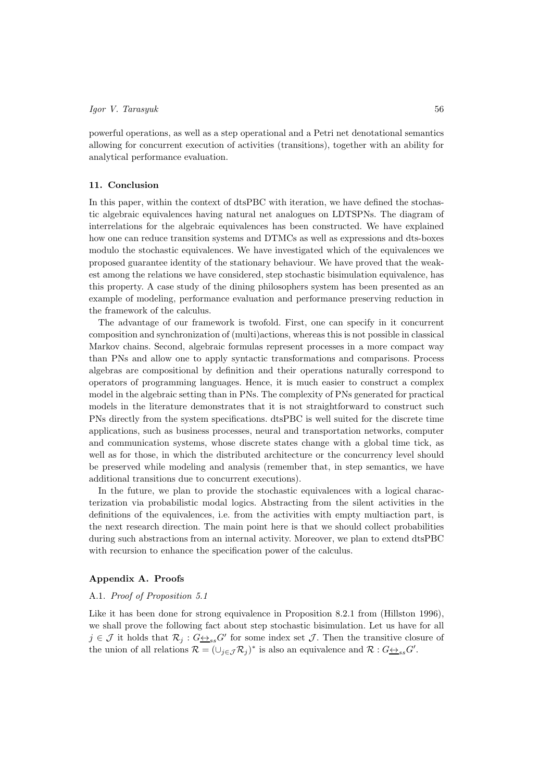powerful operations, as well as a step operational and a Petri net denotational semantics allowing for concurrent execution of activities (transitions), together with an ability for analytical performance evaluation.

# 11. Conclusion

In this paper, within the context of dtsPBC with iteration, we have defined the stochastic algebraic equivalences having natural net analogues on LDTSPNs. The diagram of interrelations for the algebraic equivalences has been constructed. We have explained how one can reduce transition systems and DTMCs as well as expressions and dts-boxes modulo the stochastic equivalences. We have investigated which of the equivalences we proposed guarantee identity of the stationary behaviour. We have proved that the weakest among the relations we have considered, step stochastic bisimulation equivalence, has this property. A case study of the dining philosophers system has been presented as an example of modeling, performance evaluation and performance preserving reduction in the framework of the calculus.

The advantage of our framework is twofold. First, one can specify in it concurrent composition and synchronization of (multi)actions, whereas this is not possible in classical Markov chains. Second, algebraic formulas represent processes in a more compact way than PNs and allow one to apply syntactic transformations and comparisons. Process algebras are compositional by definition and their operations naturally correspond to operators of programming languages. Hence, it is much easier to construct a complex model in the algebraic setting than in PNs. The complexity of PNs generated for practical models in the literature demonstrates that it is not straightforward to construct such PNs directly from the system specifications. dtsPBC is well suited for the discrete time applications, such as business processes, neural and transportation networks, computer and communication systems, whose discrete states change with a global time tick, as well as for those, in which the distributed architecture or the concurrency level should be preserved while modeling and analysis (remember that, in step semantics, we have additional transitions due to concurrent executions).

In the future, we plan to provide the stochastic equivalences with a logical characterization via probabilistic modal logics. Abstracting from the silent activities in the definitions of the equivalences, i.e. from the activities with empty multiaction part, is the next research direction. The main point here is that we should collect probabilities during such abstractions from an internal activity. Moreover, we plan to extend dtsPBC with recursion to enhance the specification power of the calculus.

# Appendix A. Proofs

# A.1. Proof of Proposition 5.1

Like it has been done for strong equivalence in Proposition 8.2.1 from (Hillston 1996), we shall prove the following fact about step stochastic bisimulation. Let us have for all  $j \in \mathcal{J}$  it holds that  $\mathcal{R}_j$ :  $G \leftrightarrow_{ss} G'$  for some index set  $\mathcal{J}$ . Then the transitive closure of the union of all relations  $\mathcal{R} = (\cup_{j \in \mathcal{J}} \mathcal{R}_j)^*$  is also an equivalence and  $\mathcal{R} : G \rightarrow S} G'.$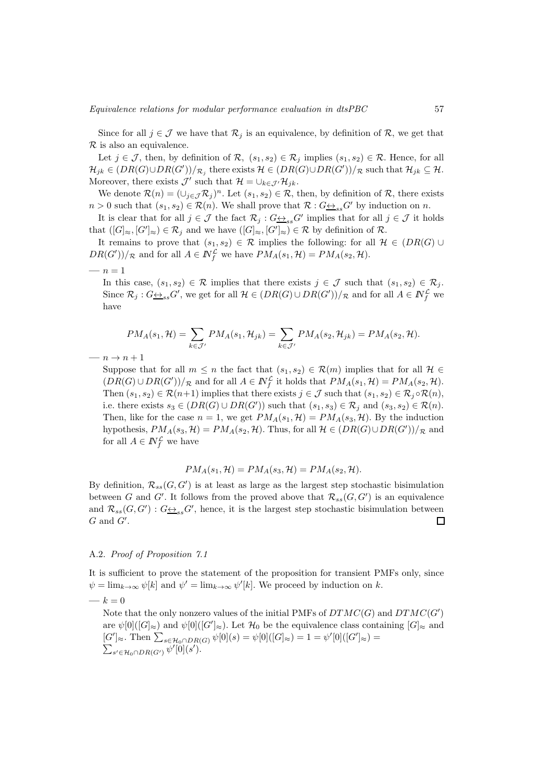Since for all  $j \in \mathcal{J}$  we have that  $\mathcal{R}_j$  is an equivalence, by definition of  $\mathcal{R}$ , we get that  $\mathcal R$  is also an equivalence.

Let  $j \in \mathcal{J}$ , then, by definition of  $\mathcal{R}$ ,  $(s_1, s_2) \in \mathcal{R}_j$  implies  $(s_1, s_2) \in \mathcal{R}$ . Hence, for all  $\mathcal{H}_{jk} \in (DR(G) \cup DR(G'))_{\mathcal{R}_j}$  there exists  $\mathcal{H} \in (DR(G) \cup DR(G'))_{\mathcal{R}}$  such that  $\mathcal{H}_{jk} \subseteq \mathcal{H}$ . Moreover, there exists  $\mathcal{J}'$  such that  $\mathcal{H} = \bigcup_{k \in \mathcal{J}'} \mathcal{H}_{jk}$ .

We denote  $\mathcal{R}(n) = (\cup_{j \in \mathcal{J}} \mathcal{R}_j)^n$ . Let  $(s_1, s_2) \in \mathcal{R}$ , then, by definition of  $\mathcal{R}$ , there exists  $n > 0$  such that  $(s_1, s_2) \in \mathcal{R}(n)$ . We shall prove that  $\mathcal{R}: G \rightarrow s s G'$  by induction on n.

It is clear that for all  $j \in \mathcal{J}$  the fact  $\mathcal{R}_j : G \rightarrow S} G'$  implies that for all  $j \in \mathcal{J}$  it holds that  $([G]_{\approx}, [G']_{\approx}) \in \mathcal{R}_j$  and we have  $([G]_{\approx}, [G']_{\approx}) \in \mathcal{R}$  by definition of  $\mathcal{R}$ .

It remains to prove that  $(s_1, s_2) \in \mathcal{R}$  implies the following: for all  $\mathcal{H} \in (DR(G) \cup$  $DR(G'))/R$  and for all  $A \in \mathbb{N}_f^{\mathcal{L}}$  we have  $PM_A(s_1, \mathcal{H}) = PM_A(s_2, \mathcal{H})$ .

—  $n = 1$ 

In this case,  $(s_1, s_2) \in \mathcal{R}$  implies that there exists  $j \in \mathcal{J}$  such that  $(s_1, s_2) \in \mathcal{R}_j$ . Since  $\mathcal{R}_j: G \rightarrow S_S G'$ , we get for all  $\mathcal{H} \in (DR(G) \cup DR(G'))/R$  and for all  $A \in \mathbb{N}_f^{\mathcal{L}}$  we have

$$
PM_A(s_1, \mathcal{H}) = \sum_{k \in \mathcal{J}'} PM_A(s_1, \mathcal{H}_{jk}) = \sum_{k \in \mathcal{J}'} PM_A(s_2, \mathcal{H}_{jk}) = PM_A(s_2, \mathcal{H}).
$$

 $- n \rightarrow n + 1$ 

Suppose that for all  $m \leq n$  the fact that  $(s_1, s_2) \in \mathcal{R}(m)$  implies that for all  $\mathcal{H} \in$  $(DR(G) \cup DR(G'))/R$  and for all  $A \in \mathbb{N}_f^{\mathcal{L}}$  it holds that  $PM_A(s_1, \mathcal{H}) = PM_A(s_2, \mathcal{H})$ . Then  $(s_1, s_2) \in \mathcal{R}(n+1)$  implies that there exists  $j \in \mathcal{J}$  such that  $(s_1, s_2) \in \mathcal{R}_i \circ \mathcal{R}(n)$ , i.e. there exists  $s_3 \in (DR(G) \cup DR(G'))$  such that  $(s_1, s_3) \in \mathcal{R}_j$  and  $(s_3, s_2) \in \mathcal{R}(n)$ . Then, like for the case  $n = 1$ , we get  $PM_A(s_1, \mathcal{H}) = PM_A(s_3, \mathcal{H})$ . By the induction hypothesis,  $PM_A(s_3, \mathcal{H}) = PM_A(s_2, \mathcal{H})$ . Thus, for all  $\mathcal{H} \in (DR(G) \cup DR(G'))/R$  and for all  $A \in \mathbb{N}_f^{\mathcal{L}}$  we have

$$
PM_A(s_1, \mathcal{H}) = PM_A(s_3, \mathcal{H}) = PM_A(s_2, \mathcal{H}).
$$

By definition,  $\mathcal{R}_{ss}(G, G')$  is at least as large as the largest step stochastic bisimulation between G and G'. It follows from the proved above that  $\mathcal{R}_{ss}(G, G')$  is an equivalence and  $\mathcal{R}_{ss}(G, G') : G \rightarrow S_{ss} G'$ , hence, it is the largest step stochastic bisimulation between  $G$  and  $G'$ .  $\Box$ 

# A.2. Proof of Proposition 7.1

It is sufficient to prove the statement of the proposition for transient PMFs only, since  $\psi = \lim_{k \to \infty} \psi[k]$  and  $\psi' = \lim_{k \to \infty} \psi'[k]$ . We proceed by induction on k.

—  $k = 0$ 

Note that the only nonzero values of the initial PMFs of  $DTMC(G)$  and  $DTMC(G')$ are  $\psi[0]([G]_{\approx})$  and  $\psi[0]([G']_{\approx})$ . Let  $\mathcal{H}_0$  be the equivalence class containing  $[G]_{\approx}$  and  $[G']_{\approx}$ . Then  $\sum_{s \in \mathcal{H}_0 \cap DR(G)} \psi[0](s) = \psi[0]([G]_{\approx}) = 1 = \psi'[0]([G']_{\approx}) =$  $\sum_{s' \in \mathcal{H}_0 \cap DR(G')} \overline{\psi'[\emptyset]}(s').$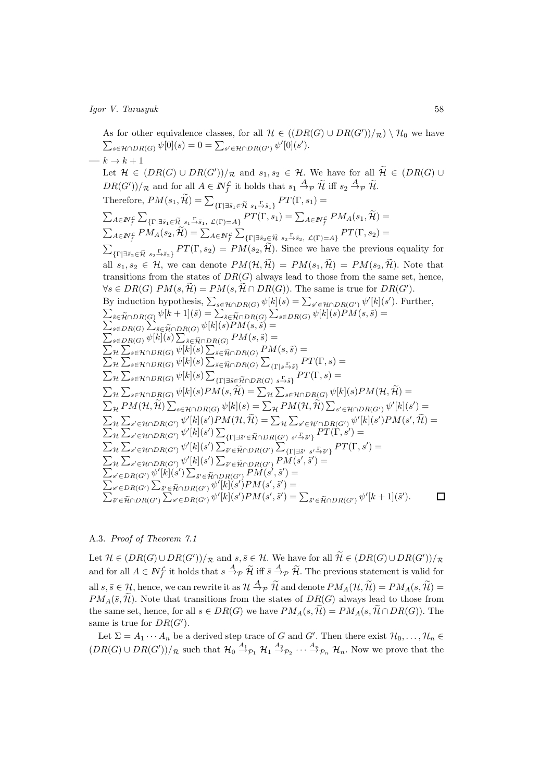As for other equivalence classes, for all  $\mathcal{H} \in ((DR(G) \cup DR(G'))/R) \setminus \mathcal{H}_0$  we have  $\sum_{s \in \mathcal{H} \cap DR(G)} \psi[0](s) = 0 = \sum_{s' \in \mathcal{H} \cap DR(G')} \psi'[0](s').$  $\longrightarrow k \rightarrow k+1$ Let  $\mathcal{H} \in (DR(G) \cup DR(G'))/R$  and  $s_1, s_2 \in \mathcal{H}$ . We have for all  $\mathcal{H} \in (DR(G) \cup$  $DR(G'))/R$  and for all  $A \in \mathbb{N}_f^{\mathcal{L}}$  it holds that  $s_1 \stackrel{A}{\rightarrow} p \mathcal{H}$  iff  $s_2 \stackrel{A}{\rightarrow} p \mathcal{H}$ . Therefore,  $PM(s_1, \widetilde{\mathcal{H}}) = \sum_{\{\Gamma \mid \exists \widetilde{s}_1 \in \widetilde{\mathcal{H}} \ s_1 \xrightarrow{\Gamma} \widetilde{s}_1\}} PT(\Gamma, s_1) =$  $\sum_{A\in I\!\!N_f^{\mathcal{L}}}\sum_{\{\Gamma|\exists \tilde{s}_1\in \tilde{\mathcal{H}}\;s_1\stackrel{\Gamma}{\to} \tilde{s}_1,\;\mathcal{L}(\Gamma)=A\}}PT(\Gamma,s_1)=\sum_{A\in I\!\!N_f^{\mathcal{L}}}PM_A(s_1,\widetilde{\mathcal{H}})=$  $\sum_{A\in I\!\!N_f^{\mathcal{L}}}PM_A(s_2,\widetilde{\mathcal{H}})=\sum_{A\in I\!\!N_f^{\mathcal{L}}}\sum_{\{\Gamma\mid \exists \tilde{s}_2\in \widetilde{\mathcal{H}}} \; s_2\overset{\Gamma}{\to} \tilde{s}_2, \; \mathcal{L}(\Gamma)=A\}}PT(\Gamma,s_2)=$  $\sum_{\{\Gamma|\exists \tilde{s}_2 \in \tilde{\mathcal{H}} \ s_2 \rightarrow \tilde{s}_2\}} PT(\Gamma, s_2) = PM(s_2, \tilde{\mathcal{H}}).$  Since we have the previous equality for all  $s_1, s_2 \in \mathcal{H}$ , we can denote  $PM(\mathcal{H}, \widetilde{\mathcal{H}}) = PM(s_1, \widetilde{\mathcal{H}}) = PM(s_2, \widetilde{\mathcal{H}})$ . Note that transitions from the states of  $DR(G)$  always lead to those from the same set, hence,  $\forall s \in DR(G) \ PM(s, \mathcal{H}) = PM(s, \mathcal{H} \cap DR(G)).$  The same is true for  $DR(G')$ . By induction hypothesis,  $\sum_{s \in \mathcal{H} \cap DR(G)} \psi[k](s) = \sum_{s' \in \mathcal{H} \cap DR(G')} \psi'[k](s')$ . Further,  $\sum_{\tilde{s}\in \tilde{\mathcal{H}}\cap DR(G)}\psi[k+1](\tilde{s})=\sum_{\tilde{s}\in \tilde{\mathcal{H}}\cap DR(G)}\sum_{s\in DR(G)}\psi[k](s)\tilde{PM}(s,\tilde{s})=$  $\sum_{s \in DR(G)} \sum_{\tilde{s} \in \tilde{\mathcal{H}} \cap DR(G)} \psi[k](s)PM(s, \tilde{s}) =$  $\sum_{s\in DR(G)} \psi[k](s) \sum_{\tilde{s}\in \tilde{\mathcal{H}} \cap DR(G)} PM(s,\tilde{s}) =$  $\sum_{\mathcal{H}}\sum_{s\in\mathcal{H}\cap DR(G)}\psi[k](s)\sum_{\tilde{s}\in\tilde{\mathcal{H}}\cap DR(G)}PM(s,\tilde{s})=$  $\sum_{\mathcal{H}}\sum_{s\in\mathcal{H}\cap DR(G)}\psi[k](s)\sum_{\tilde{s}\in\tilde{\mathcal{H}}\cap DR(G)}\sum_{\{\Gamma|s\stackrel{\Gamma}{\rightarrow}\tilde{s}\}}PT(\Gamma,s)=$  $\sum_{\mathcal{H}}\sum_{s\in\mathcal{H}\cap DR(G)}\psi[k](s)\sum_{\{\Gamma\mid\exists\tilde{s}\in\tilde{\mathcal{H}}\cap DR(G)}\sum_{s\stackrel{\Gamma}{\rightarrow}\tilde{s}\}}PT(\Gamma,s)=$  $\sum_{\mathcal{H}}\sum_{s\in\mathcal{H}\cap DR(G)}\psi[k](s)PM(s,\widetilde{\mathcal{H}})=\sum_{\mathcal{H}}\sum_{s\in\mathcal{H}\cap DR(G)}\psi[k](s)PM(\mathcal{H},\widetilde{\mathcal{H}})=$  $\sum_{\mathcal{H}} PM(\mathcal{H}, \widetilde{\mathcal{H}}) \sum_{s \in \mathcal{H} \cap DR(G)} \psi[k](s) = \sum_{\mathcal{H}} PM(\mathcal{H}, \widetilde{\mathcal{H}}) \sum_{s' \in \mathcal{H} \cap DR(G')} \psi'[k](s') =$  $\sum_{\mathcal{H}}\sum_{s'\in\mathcal{H}\cap DR(G')} \psi'[k](s')PM(\mathcal{H},\widetilde{\mathcal{H}})=\sum_{\mathcal{H}}\sum_{s'\in\mathcal{H}'\cap DR(G')} \psi'[k](s')PM(s',\widetilde{\mathcal{H}})=$  $\sum_{\mathcal{H}}\sum_{s'\in\mathcal{H}\cap DR(G')}\psi'[k](s')\sum_{\{\Gamma\vert\exists\tilde{s}'\in\tilde{\mathcal{H}}\cap DR(G')\backslash s'\xrightarrow{ \Gamma} \tilde{s}'\}}PT(\tilde{\Gamma},s')=$  $\sum_{\mathcal{H}}\sum_{s'\in\mathcal{H}\cap DR(G')}\psi'[k](s')\sum_{\tilde{s}'\in\tilde{\mathcal{H}}\cap DR(G')}\sum'_{\{\Gamma\mid\exists \tilde{s}'\setminus s'\xrightarrow{\Gamma}\tilde{s}'\}}PT(\Gamma,s')=$  $\sum_{\mathcal{H}}\sum_{s'\in \mathcal{H}\cap DR(G')} \psi'[k](s') \sum_{\tilde{s}'\in \widetilde{\mathcal{H}}\cap DR(G')} P\tilde{M}(s',\tilde{s}')=$  $\sum_{s'\in DR(G')} \psi'[k](s') \sum_{\tilde{s}'\in \tilde{\mathcal{H}}\cap DR(G')} PM(s',\tilde{s}') = \ \sum_{s'\in DR(G')} \psi'[k](s') \sum_{\tilde{s}'\in \tilde{\mathcal{H}}\cap DR(G')} PM(s',\tilde{s}') =$  $\sum_{s' \in DR(G')} \sum_{\tilde{s}' \in \tilde{\mathcal{H}} \cap DR(G')} \psi'[k](s')PM(s',\tilde{s}') =$  $\sum_{\tilde{s}' \in \tilde{\mathcal{H}} \cap DR(G')} \sum_{s' \in DR(G')} \psi'[k](s')PM(s',\tilde{s}') = \sum_{\tilde{s}' \in \tilde{\mathcal{H}} \cap DR(G')} \psi'[k+1](\tilde{s}')$ .  $\Box$ 

# A.3. Proof of Theorem 7.1

Let  $\mathcal{H} \in (DR(G) \cup DR(G'))/R$  and  $s, \overline{s} \in \mathcal{H}$ . We have for all  $\widetilde{\mathcal{H}} \in (DR(G) \cup DR(G'))/R$ and for all  $A \in \mathbb{N}_f^{\mathcal{L}}$  it holds that  $s \stackrel{A}{\to}_{\mathcal{P}} \widetilde{\mathcal{H}}$  iff  $\overline{s} \stackrel{A}{\to}_{\mathcal{P}} \widetilde{\mathcal{H}}$ . The previous statement is valid for all  $s, \bar{s} \in \mathcal{H}$ , hence, we can rewrite it as  $\mathcal{H} \stackrel{A}{\rightarrow}{}_{\mathcal{P}} \widetilde{\mathcal{H}}$  and denote  $PM_A(\mathcal{H}, \widetilde{\mathcal{H}}) = PM_A(s, \widetilde{\mathcal{H}}) =$  $PM_A(\bar{s}, \tilde{\mathcal{H}})$ . Note that transitions from the states of  $DR(G)$  always lead to those from the same set, hence, for all  $s \in DR(G)$  we have  $PM_A(s, \mathcal{H}) = PM_A(s, \mathcal{H} \cap DR(G))$ . The same is true for  $DR(G')$ .

Let  $\Sigma = A_1 \cdots A_n$  be a derived step trace of G and G'. Then there exist  $\mathcal{H}_0, \ldots, \mathcal{H}_n \in$  $(DR(G) \cup DR(G'))/R$  such that  $\mathcal{H}_0 \stackrel{A_1}{\rightarrow} P_1$   $\mathcal{H}_1 \stackrel{A_2}{\rightarrow} P_2 \cdots \stackrel{A_n}{\rightarrow} P_n$   $\mathcal{H}_n$ . Now we prove that the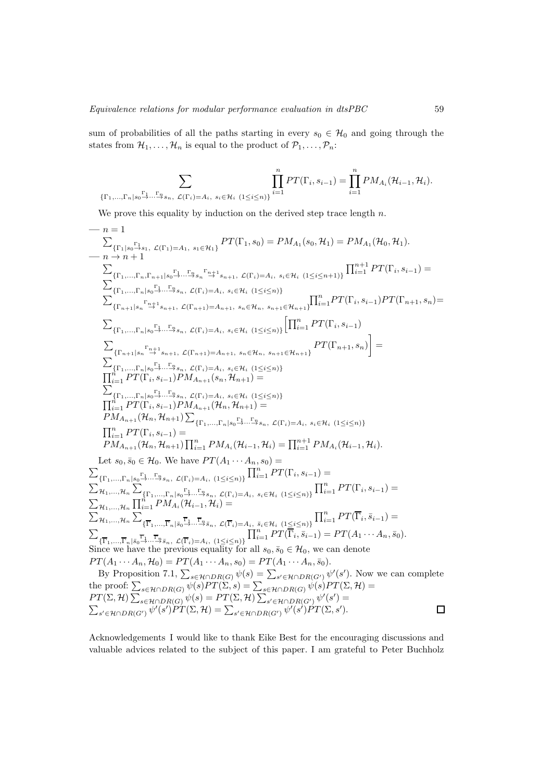sum of probabilities of all the paths starting in every  $s_0 \in \mathcal{H}_0$  and going through the states from  $\mathcal{H}_1, \ldots, \mathcal{H}_n$  is equal to the product of  $\mathcal{P}_1, \ldots, \mathcal{P}_n$ :

$$
\sum_{\{\Gamma_1,\ldots,\Gamma_n\mid s_0\stackrel{\Gamma_1}{\to}\ldots\stackrel{\Gamma_n}{\to} s_n,\ \mathcal{L}(\Gamma_i)=A_i,\ s_i\in\mathcal{H}_i}\prod_{(1\leq i\leq n)\}^nPT(\Gamma_i,s_{i-1})=\prod_{i=1}^nPM_{A_i}(\mathcal{H}_{i-1},\mathcal{H}_i).
$$

We prove this equality by induction on the derived step trace length  $n$ .

$$
n = 1
$$
\n
$$
\sum_{\{ \Gamma_1 \mid s_0 \Gamma_3, \Gamma_4, \mathcal{L}(\Gamma_1) = A_1, s_1 \in \mathcal{H}_1 \}} PT(\Gamma_1, s_0) = PM_{A_1}(s_0, \mathcal{H}_1) = PM_{A_1}(\mathcal{H}_0, \mathcal{H}_1).
$$
\n
$$
-n \to n+1
$$
\n
$$
\sum_{\{ \Gamma_1, \ldots, \Gamma_n, \Gamma_n, \Gamma_n + 1 \mid s_0 \Gamma_2, \ldots, \Gamma_n, \Gamma_n + 1 \leq \Gamma_4, s_i \in \mathcal{H}_i \ (1 \leq i \leq n) \}} \prod_{i=1}^{n+1} PT(\Gamma_i, s_{i-1}) =
$$
\n
$$
\sum_{\{ \Gamma_1, \ldots, \Gamma_n \mid s_0 \Gamma_4, \ldots, \Gamma_n \neq \Gamma_n, \mathcal{L}(\Gamma_i) = A_i, s_i \in \mathcal{H}_i \ (1 \leq i \leq n) \}} \prod_{i=1}^{n+1} PT(\Gamma_i, s_{i-1})PT(\Gamma_{n+1}, s_n) =
$$
\n
$$
T_{\{ \Gamma_1, \ldots, \Gamma_n \mid s_0 \Gamma_4, \ldots, \Gamma_n \neq \Gamma_n, \mathcal{L}(\Gamma_i) = A_i, s_i \in \mathcal{H}_i \ (1 \leq i \leq n) \}} \prod_{i=1}^{n+1} PT(\Gamma_i, s_{i-1})PT(\Gamma_{n+1}, s_n) =
$$
\n
$$
\sum_{\{ \Gamma_1, \ldots, \Gamma_n \mid s_0 \Gamma_4, \ldots, \Gamma_n \neq \Gamma_n, \mathcal{L}(\Gamma_i) = A_i, s_i \in \mathcal{H}_i \ (1 \leq i \leq n) \}} \prod_{i=1}^{n+1} PT(\Gamma_i, s_{i-1})
$$
\n
$$
\prod_{i=1}^{n+1} PT(\Gamma_i, s_{i-1})P M_{A_{n+1}}(s_n, s_n, t_i, s_{i+1} \ (1 \leq i \leq n) \}
$$
\n
$$
\prod_{i=1}^{n+1} PT(\Gamma_i, s_{i-1})P M_{A_{n+1}}(s_n, s_n, t_i, s_{i+1} \ (1 \leq i \leq n) \}
$$
\n

Acknowledgements I would like to thank Eike Best for the encouraging discussions and valuable advices related to the subject of this paper. I am grateful to Peter Buchholz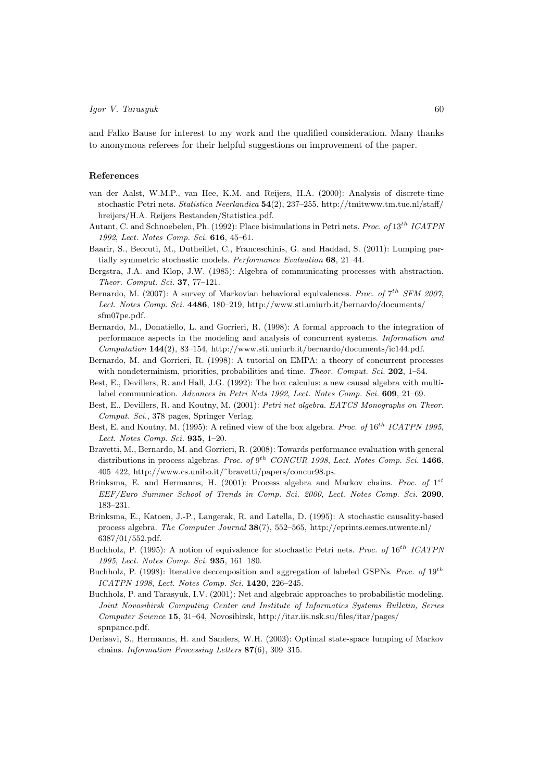and Falko Bause for interest to my work and the qualified consideration. Many thanks to anonymous referees for their helpful suggestions on improvement of the paper.

# References

- van der Aalst, W.M.P., van Hee, K.M. and Reijers, H.A. (2000): Analysis of discrete-time stochastic Petri nets. *Statistica Neerlandica* 54(2), 237–255, http://tmitwww.tm.tue.nl/staff/ hreijers/H.A. Reijers Bestanden/Statistica.pdf.
- Autant, C. and Schnoebelen, Ph. (1992): Place bisimulations in Petri nets. *Proc. of* 13th *ICATPN 1992*, *Lect. Notes Comp. Sci.* 616, 45–61.
- Baarir, S., Beccuti, M., Dutheillet, C., Franceschinis, G. and Haddad, S. (2011): Lumping partially symmetric stochastic models. *Performance Evaluation* 68, 21–44.
- Bergstra, J.A. and Klop, J.W. (1985): Algebra of communicating processes with abstraction. *Theor. Comput. Sci.* 37, 77–121.
- Bernardo, M. (2007): A survey of Markovian behavioral equivalences. *Proc. of*  $7^{th}$  *SFM 2007*, *Lect. Notes Comp. Sci.* 4486, 180–219, http://www.sti.uniurb.it/bernardo/documents/ sfm07pe.pdf.
- Bernardo, M., Donatiello, L. and Gorrieri, R. (1998): A formal approach to the integration of performance aspects in the modeling and analysis of concurrent systems. *Information and Computation* 144(2), 83–154, http://www.sti.uniurb.it/bernardo/documents/ic144.pdf.
- Bernardo, M. and Gorrieri, R. (1998): A tutorial on EMPA: a theory of concurrent processes with nondeterminism, priorities, probabilities and time. *Theor. Comput. Sci.* 202, 1–54.
- Best, E., Devillers, R. and Hall, J.G. (1992): The box calculus: a new causal algebra with multilabel communication. *Advances in Petri Nets 1992*, *Lect. Notes Comp. Sci.* 609, 21–69.
- Best, E., Devillers, R. and Koutny, M. (2001): *Petri net algebra. EATCS Monographs on Theor. Comput. Sci.*, 378 pages, Springer Verlag.
- Best, E. and Koutny, M. (1995): A refined view of the box algebra. *Proc. of*  $16^{th}$  *ICATPN 1995*, *Lect. Notes Comp. Sci.* 935, 1–20.
- Bravetti, M., Bernardo, M. and Gorrieri, R. (2008): Towards performance evaluation with general distributions in process algebras. *Proc. of* 9<sup>th</sup> *CONCUR 1998*, *Lect. Notes Comp. Sci.* **1466**, 405–422, http://www.cs.unibo.it/˜bravetti/papers/concur98.ps.
- Brinksma, E. and Hermanns, H. (2001): Process algebra and Markov chains. *Proc. of* 1 st *EEF/Euro Summer School of Trends in Comp. Sci. 2000*, *Lect. Notes Comp. Sci.* 2090, 183–231.
- Brinksma, E., Katoen, J.-P., Langerak, R. and Latella, D. (1995): A stochastic causality-based process algebra. *The Computer Journal* 38(7), 552–565, http://eprints.eemcs.utwente.nl/ 6387/01/552.pdf.
- Buchholz, P. (1995): A notion of equivalence for stochastic Petri nets. *Proc. of* 16th *ICATPN 1995*, *Lect. Notes Comp. Sci.* 935, 161–180.
- Buchholz, P. (1998): Iterative decomposition and aggregation of labeled GSPNs. *Proc. of* 19th *ICATPN 1998*, *Lect. Notes Comp. Sci.* 1420, 226–245.
- Buchholz, P. and Tarasyuk, I.V. (2001): Net and algebraic approaches to probabilistic modeling. *Joint Novosibirsk Computing Center and Institute of Informatics Systems Bulletin, Series Computer Science* 15, 31–64, Novosibirsk, http://itar.iis.nsk.su/files/itar/pages/ spnpancc.pdf.
- Derisavi, S., Hermanns, H. and Sanders, W.H. (2003): Optimal state-space lumping of Markov chains. *Information Processing Letters* 87(6), 309–315.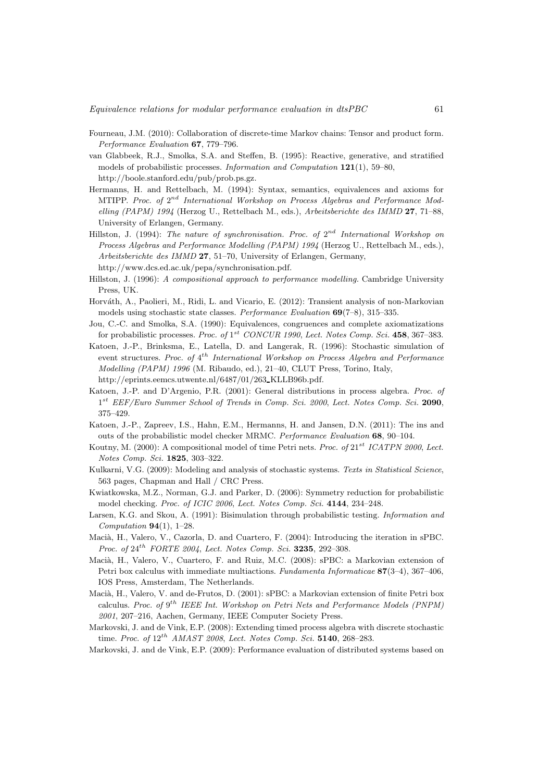- Fourneau, J.M. (2010): Collaboration of discrete-time Markov chains: Tensor and product form. *Performance Evaluation* 67, 779–796.
- van Glabbeek, R.J., Smolka, S.A. and Steffen, B. (1995): Reactive, generative, and stratified models of probabilistic processes. *Information and Computation* 121(1), 59–80, http://boole.stanford.edu/pub/prob.ps.gz.
- Hermanns, H. and Rettelbach, M. (1994): Syntax, semantics, equivalences and axioms for MTIPP. Proc. of  $2^{nd}$  International Workshop on Process Algebras and Performance Mod*elling (PAPM) 1994* (Herzog U., Rettelbach M., eds.), *Arbeitsberichte des IMMD* 27, 71–88, University of Erlangen, Germany.
- Hillston, J. (1994): *The nature of synchronisation. Proc. of*  $2^{nd}$  *International Workshop on Process Algebras and Performance Modelling (PAPM) 1994* (Herzog U., Rettelbach M., eds.), *Arbeitsberichte des IMMD* 27, 51–70, University of Erlangen, Germany, http://www.dcs.ed.ac.uk/pepa/synchronisation.pdf.
- Hillston, J. (1996): *A compositional approach to performance modelling.* Cambridge University Press, UK.
- Horváth, A., Paolieri, M., Ridi, L. and Vicario, E. (2012): Transient analysis of non-Markovian models using stochastic state classes. *Performance Evaluation* 69(7–8), 315–335.
- Jou, C.-C. and Smolka, S.A. (1990): Equivalences, congruences and complete axiomatizations for probabilistic processes. *Proc. of*  $1^{st}$  *CONCUR 1990*, *Lect. Notes Comp. Sci.* **458**, 367–383.
- Katoen, J.-P., Brinksma, E., Latella, D. and Langerak, R. (1996): Stochastic simulation of event structures. *Proc. of* 4 th *International Workshop on Process Algebra and Performance Modelling (PAPM) 1996* (M. Ribaudo, ed.), 21–40, CLUT Press, Torino, Italy, http://eprints.eemcs.utwente.nl/6487/01/263 KLLB96b.pdf.
- Katoen, J.-P. and D'Argenio, P.R. (2001): General distributions in process algebra. *Proc. of* 1 st *EEF/Euro Summer School of Trends in Comp. Sci. 2000*, *Lect. Notes Comp. Sci.* 2090, 375–429.
- Katoen, J.-P., Zapreev, I.S., Hahn, E.M., Hermanns, H. and Jansen, D.N. (2011): The ins and outs of the probabilistic model checker MRMC. *Performance Evaluation* 68, 90–104.
- Koutny, M. (2000): A compositional model of time Petri nets. *Proc. of* 21st *ICATPN 2000*, *Lect. Notes Comp. Sci.* 1825, 303–322.
- Kulkarni, V.G. (2009): Modeling and analysis of stochastic systems. *Texts in Statistical Science*, 563 pages, Chapman and Hall / CRC Press.
- Kwiatkowska, M.Z., Norman, G.J. and Parker, D. (2006): Symmetry reduction for probabilistic model checking. *Proc. of ICIC 2006*, *Lect. Notes Comp. Sci.* 4144, 234–248.
- Larsen, K.G. and Skou, A. (1991): Bisimulation through probabilistic testing. *Information and Computation* 94(1), 1–28.
- Macià, H., Valero, V., Cazorla, D. and Cuartero, F. (2004): Introducing the iteration in sPBC. *Proc. of* 24th *FORTE 2004*, *Lect. Notes Comp. Sci.* 3235, 292–308.
- Macià, H., Valero, V., Cuartero, F. and Ruiz, M.C. (2008): sPBC: a Markovian extension of Petri box calculus with immediate multiactions. *Fundamenta Informaticae* 87(3–4), 367–406, IOS Press, Amsterdam, The Netherlands.
- Macià, H., Valero, V. and de-Frutos, D. (2001): sPBC: a Markovian extension of finite Petri box calculus. *Proc. of*  $9^{th}$  *IEEE Int. Workshop on Petri Nets and Performance Models (PNPM) 2001*, 207–216, Aachen, Germany, IEEE Computer Society Press.
- Markovski, J. and de Vink, E.P. (2008): Extending timed process algebra with discrete stochastic time. *Proc. of*  $12^{th}$  *AMAST 2008*, *Lect. Notes Comp. Sci.* 5140, 268-283.
- Markovski, J. and de Vink, E.P. (2009): Performance evaluation of distributed systems based on